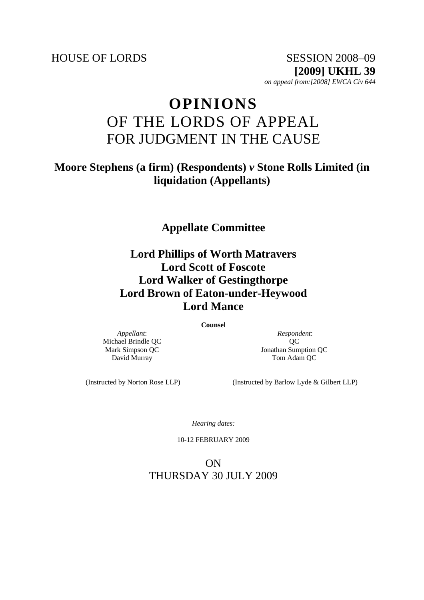# **OPINIONS**  OF THE LORDS OF APPEAL FOR JUDGMENT IN THE CAUSE

# **Moore Stephens (a firm) (Respondents)** *v* **Stone Rolls Limited (in liquidation (Appellants)**

**Appellate Committee** 

# **Lord Phillips of Worth Matravers Lord Scott of Foscote Lord Walker of Gestingthorpe Lord Brown of Eaton-under-Heywood Lord Mance**

**Counsel** 

*Appellant*: Michael Brindle QC Mark Simpson QC David Murray

 *Respondent*: QC Jonathan Sumption QC Tom Adam QC

(Instructed by Norton Rose LLP)

(Instructed by Barlow Lyde & Gilbert LLP)

*Hearing dates:* 

10-12 FEBRUARY 2009

ON THURSDAY 30 JULY 2009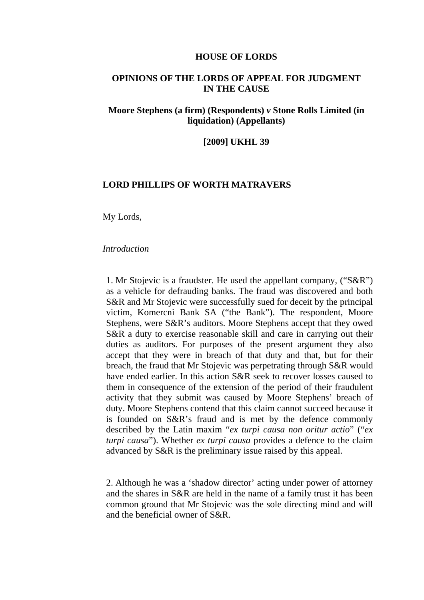#### **HOUSE OF LORDS**

# **OPINIONS OF THE LORDS OF APPEAL FOR JUDGMENT IN THE CAUSE**

# **Moore Stephens (a firm) (Respondents)** *v* **Stone Rolls Limited (in liquidation) (Appellants)**

**[2009] UKHL 39**

#### **LORD PHILLIPS OF WORTH MATRAVERS**

My Lords,

*Introduction* 

1. Mr Stojevic is a fraudster. He used the appellant company, ("S&R") as a vehicle for defrauding banks. The fraud was discovered and both S&R and Mr Stojevic were successfully sued for deceit by the principal victim, Komercni Bank SA ("the Bank"). The respondent, Moore Stephens, were S&R's auditors. Moore Stephens accept that they owed S&R a duty to exercise reasonable skill and care in carrying out their duties as auditors. For purposes of the present argument they also accept that they were in breach of that duty and that, but for their breach, the fraud that Mr Stojevic was perpetrating through S&R would have ended earlier. In this action S&R seek to recover losses caused to them in consequence of the extension of the period of their fraudulent activity that they submit was caused by Moore Stephens' breach of duty. Moore Stephens contend that this claim cannot succeed because it is founded on S&R's fraud and is met by the defence commonly described by the Latin maxim "*ex turpi causa non oritur actio*" ("*ex turpi causa*"). Whether *ex turpi causa* provides a defence to the claim advanced by S&R is the preliminary issue raised by this appeal.

2. Although he was a 'shadow director' acting under power of attorney and the shares in S&R are held in the name of a family trust it has been common ground that Mr Stojevic was the sole directing mind and will and the beneficial owner of  $S\&R$ .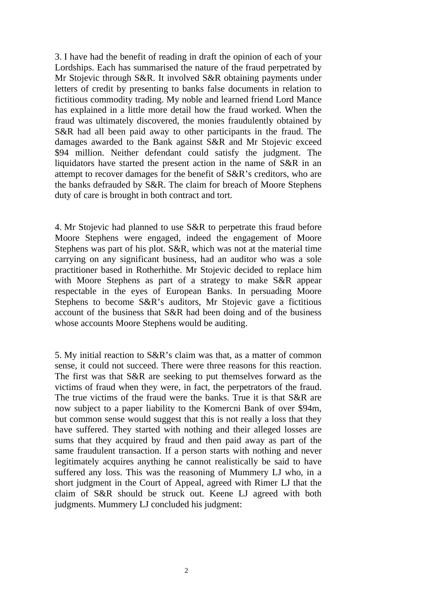3. I have had the benefit of reading in draft the opinion of each of your Lordships. Each has summarised the nature of the fraud perpetrated by Mr Stojevic through S&R. It involved S&R obtaining payments under letters of credit by presenting to banks false documents in relation to fictitious commodity trading. My noble and learned friend Lord Mance has explained in a little more detail how the fraud worked. When the fraud was ultimately discovered, the monies fraudulently obtained by S&R had all been paid away to other participants in the fraud. The damages awarded to the Bank against S&R and Mr Stojevic exceed \$94 million. Neither defendant could satisfy the judgment. The liquidators have started the present action in the name of S&R in an attempt to recover damages for the benefit of S&R's creditors, who are the banks defrauded by S&R. The claim for breach of Moore Stephens duty of care is brought in both contract and tort.

4. Mr Stojevic had planned to use S&R to perpetrate this fraud before Moore Stephens were engaged, indeed the engagement of Moore Stephens was part of his plot. S&R, which was not at the material time carrying on any significant business, had an auditor who was a sole practitioner based in Rotherhithe. Mr Stojevic decided to replace him with Moore Stephens as part of a strategy to make S&R appear respectable in the eyes of European Banks. In persuading Moore Stephens to become S&R's auditors, Mr Stojevic gave a fictitious account of the business that S&R had been doing and of the business whose accounts Moore Stephens would be auditing.

5. My initial reaction to S&R's claim was that, as a matter of common sense, it could not succeed. There were three reasons for this reaction. The first was that S&R are seeking to put themselves forward as the victims of fraud when they were, in fact, the perpetrators of the fraud. The true victims of the fraud were the banks. True it is that S&R are now subject to a paper liability to the Komercni Bank of over \$94m, but common sense would suggest that this is not really a loss that they have suffered. They started with nothing and their alleged losses are sums that they acquired by fraud and then paid away as part of the same fraudulent transaction. If a person starts with nothing and never legitimately acquires anything he cannot realistically be said to have suffered any loss. This was the reasoning of Mummery LJ who, in a short judgment in the Court of Appeal, agreed with Rimer LJ that the claim of S&R should be struck out. Keene LJ agreed with both judgments. Mummery LJ concluded his judgment: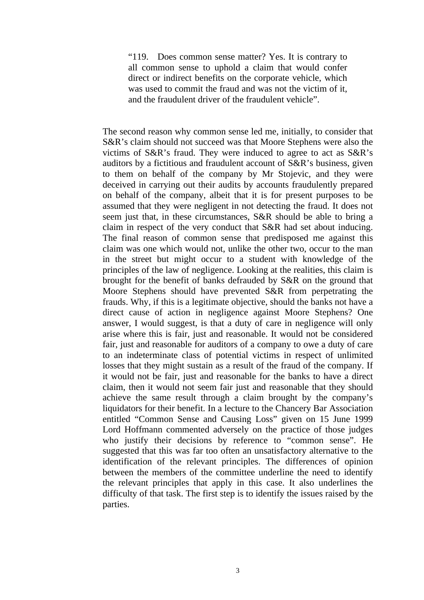"119. Does common sense matter? Yes. It is contrary to all common sense to uphold a claim that would confer direct or indirect benefits on the corporate vehicle, which was used to commit the fraud and was not the victim of it, and the fraudulent driver of the fraudulent vehicle".

The second reason why common sense led me, initially, to consider that S&R's claim should not succeed was that Moore Stephens were also the victims of S&R's fraud. They were induced to agree to act as S&R's auditors by a fictitious and fraudulent account of S&R's business, given to them on behalf of the company by Mr Stojevic, and they were deceived in carrying out their audits by accounts fraudulently prepared on behalf of the company, albeit that it is for present purposes to be assumed that they were negligent in not detecting the fraud. It does not seem just that, in these circumstances, S&R should be able to bring a claim in respect of the very conduct that S&R had set about inducing. The final reason of common sense that predisposed me against this claim was one which would not, unlike the other two, occur to the man in the street but might occur to a student with knowledge of the principles of the law of negligence. Looking at the realities, this claim is brought for the benefit of banks defrauded by S&R on the ground that Moore Stephens should have prevented S&R from perpetrating the frauds. Why, if this is a legitimate objective, should the banks not have a direct cause of action in negligence against Moore Stephens? One answer, I would suggest, is that a duty of care in negligence will only arise where this is fair, just and reasonable. It would not be considered fair, just and reasonable for auditors of a company to owe a duty of care to an indeterminate class of potential victims in respect of unlimited losses that they might sustain as a result of the fraud of the company. If it would not be fair, just and reasonable for the banks to have a direct claim, then it would not seem fair just and reasonable that they should achieve the same result through a claim brought by the company's liquidators for their benefit. In a lecture to the Chancery Bar Association entitled "Common Sense and Causing Loss" given on 15 June 1999 Lord Hoffmann commented adversely on the practice of those judges who justify their decisions by reference to "common sense". He suggested that this was far too often an unsatisfactory alternative to the identification of the relevant principles. The differences of opinion between the members of the committee underline the need to identify the relevant principles that apply in this case. It also underlines the difficulty of that task. The first step is to identify the issues raised by the parties.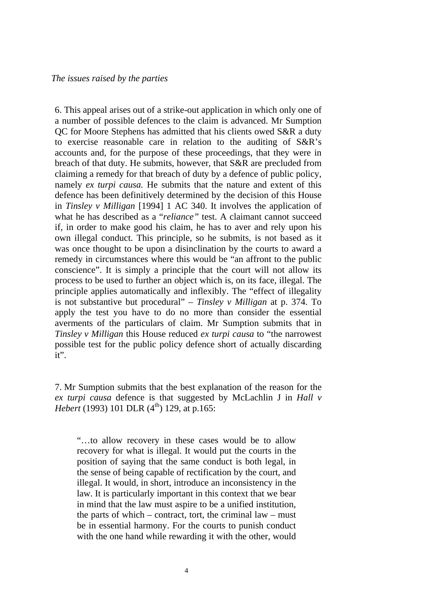6. This appeal arises out of a strike-out application in which only one of a number of possible defences to the claim is advanced. Mr Sumption QC for Moore Stephens has admitted that his clients owed S&R a duty to exercise reasonable care in relation to the auditing of S&R's accounts and, for the purpose of these proceedings, that they were in breach of that duty. He submits, however, that S&R are precluded from claiming a remedy for that breach of duty by a defence of public policy, namely *ex turpi causa.* He submits that the nature and extent of this defence has been definitively determined by the decision of this House in *Tinsley v Milligan* [1994] 1 AC 340. It involves the application of what he has described as a "*reliance"* test. A claimant cannot succeed if, in order to make good his claim, he has to aver and rely upon his own illegal conduct. This principle, so he submits, is not based as it was once thought to be upon a disinclination by the courts to award a remedy in circumstances where this would be "an affront to the public conscience". It is simply a principle that the court will not allow its process to be used to further an object which is, on its face, illegal. The principle applies automatically and inflexibly. The "effect of illegality is not substantive but procedural" – *Tinsley v Milligan* at p. 374. To apply the test you have to do no more than consider the essential averments of the particulars of claim. Mr Sumption submits that in *Tinsley v Milligan* this House reduced *ex turpi causa* to "the narrowest possible test for the public policy defence short of actually discarding it".

7. Mr Sumption submits that the best explanation of the reason for the *ex turpi causa* defence is that suggested by McLachlin J in *Hall v Hebert* (1993) 101 DLR (4<sup>th</sup>) 129, at p.165:

"…to allow recovery in these cases would be to allow recovery for what is illegal. It would put the courts in the position of saying that the same conduct is both legal, in the sense of being capable of rectification by the court, and illegal. It would, in short, introduce an inconsistency in the law. It is particularly important in this context that we bear in mind that the law must aspire to be a unified institution, the parts of which – contract, tort, the criminal  $law - must$ be in essential harmony. For the courts to punish conduct with the one hand while rewarding it with the other, would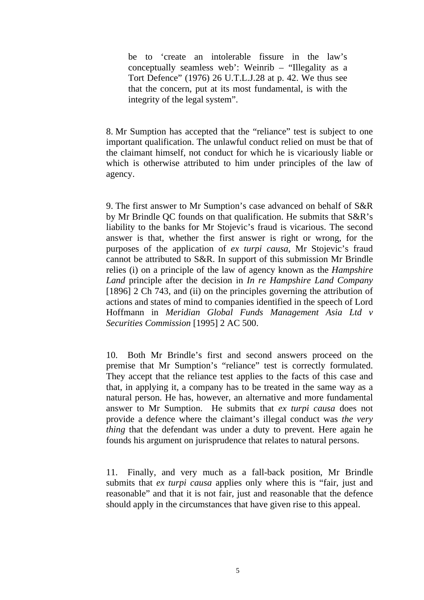be to 'create an intolerable fissure in the law's conceptually seamless web': Weinrib – "Illegality as a Tort Defence" (1976) 26 U.T.L.J.28 at p. 42. We thus see that the concern, put at its most fundamental, is with the integrity of the legal system".

8. Mr Sumption has accepted that the "reliance" test is subject to one important qualification. The unlawful conduct relied on must be that of the claimant himself, not conduct for which he is vicariously liable or which is otherwise attributed to him under principles of the law of agency.

9. The first answer to Mr Sumption's case advanced on behalf of S&R by Mr Brindle QC founds on that qualification. He submits that S&R's liability to the banks for Mr Stojevic's fraud is vicarious. The second answer is that, whether the first answer is right or wrong, for the purposes of the application of *ex turpi causa*, Mr Stojevic's fraud cannot be attributed to S&R. In support of this submission Mr Brindle relies (i) on a principle of the law of agency known as the *Hampshire Land* principle after the decision in *In re Hampshire Land Company*  [1896] 2 Ch 743, and (ii) on the principles governing the attribution of actions and states of mind to companies identified in the speech of Lord Hoffmann in *Meridian Global Funds Management Asia Ltd v Securities Commission* [1995] 2 AC 500.

10. Both Mr Brindle's first and second answers proceed on the premise that Mr Sumption's "reliance" test is correctly formulated. They accept that the reliance test applies to the facts of this case and that, in applying it, a company has to be treated in the same way as a natural person. He has, however, an alternative and more fundamental answer to Mr Sumption. He submits that *ex turpi causa* does not provide a defence where the claimant's illegal conduct was *the very thing* that the defendant was under a duty to prevent. Here again he founds his argument on jurisprudence that relates to natural persons.

11. Finally, and very much as a fall-back position, Mr Brindle submits that *ex turpi causa* applies only where this is "fair, just and reasonable" and that it is not fair, just and reasonable that the defence should apply in the circumstances that have given rise to this appeal.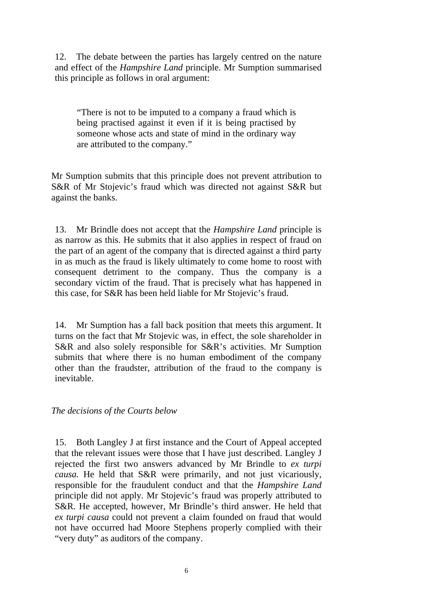12. The debate between the parties has largely centred on the nature and effect of the *Hampshire Land* principle. Mr Sumption summarised this principle as follows in oral argument:

"There is not to be imputed to a company a fraud which is being practised against it even if it is being practised by someone whose acts and state of mind in the ordinary way are attributed to the company."

Mr Sumption submits that this principle does not prevent attribution to S&R of Mr Stojevic's fraud which was directed not against S&R but against the banks.

13. Mr Brindle does not accept that the *Hampshire Land* principle is as narrow as this. He submits that it also applies in respect of fraud on the part of an agent of the company that is directed against a third party in as much as the fraud is likely ultimately to come home to roost with consequent detriment to the company. Thus the company is a secondary victim of the fraud. That is precisely what has happened in this case, for S&R has been held liable for Mr Stojevic's fraud.

14. Mr Sumption has a fall back position that meets this argument. It turns on the fact that Mr Stojevic was, in effect, the sole shareholder in S&R and also solely responsible for S&R's activities. Mr Sumption submits that where there is no human embodiment of the company other than the fraudster, attribution of the fraud to the company is inevitable.

# *The decisions of the Courts below*

15. Both Langley J at first instance and the Court of Appeal accepted that the relevant issues were those that I have just described. Langley J rejected the first two answers advanced by Mr Brindle to *ex turpi causa.* He held that S&R were primarily, and not just vicariously, responsible for the fraudulent conduct and that the *Hampshire Land*  principle did not apply. Mr Stojevic's fraud was properly attributed to S&R. He accepted, however, Mr Brindle's third answer. He held that *ex turpi causa* could not prevent a claim founded on fraud that would not have occurred had Moore Stephens properly complied with their "very duty" as auditors of the company.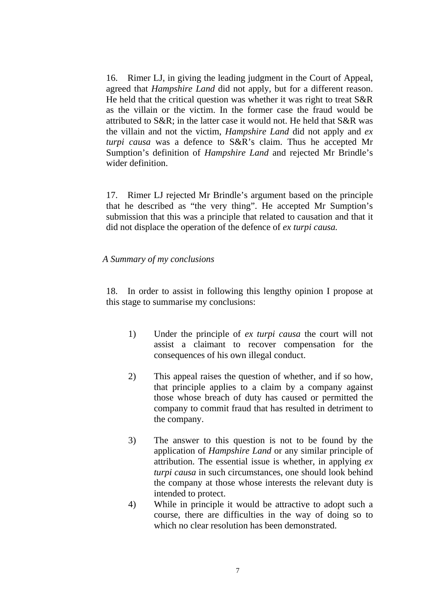16. Rimer LJ, in giving the leading judgment in the Court of Appeal, agreed that *Hampshire Land* did not apply, but for a different reason. He held that the critical question was whether it was right to treat S&R as the villain or the victim. In the former case the fraud would be attributed to S&R; in the latter case it would not. He held that S&R was the villain and not the victim, *Hampshire Land* did not apply and *ex turpi causa* was a defence to S&R's claim. Thus he accepted Mr Sumption's definition of *Hampshire Land* and rejected Mr Brindle's wider definition.

17. Rimer LJ rejected Mr Brindle's argument based on the principle that he described as "the very thing". He accepted Mr Sumption's submission that this was a principle that related to causation and that it did not displace the operation of the defence of *ex turpi causa.*

# *A Summary of my conclusions*

18. In order to assist in following this lengthy opinion I propose at this stage to summarise my conclusions:

- 1) Under the principle of *ex turpi causa* the court will not assist a claimant to recover compensation for the consequences of his own illegal conduct.
- 2) This appeal raises the question of whether, and if so how, that principle applies to a claim by a company against those whose breach of duty has caused or permitted the company to commit fraud that has resulted in detriment to the company.
- 3) The answer to this question is not to be found by the application of *Hampshire Land* or any similar principle of attribution. The essential issue is whether, in applying *ex turpi causa* in such circumstances, one should look behind the company at those whose interests the relevant duty is intended to protect.
- 4) While in principle it would be attractive to adopt such a course, there are difficulties in the way of doing so to which no clear resolution has been demonstrated.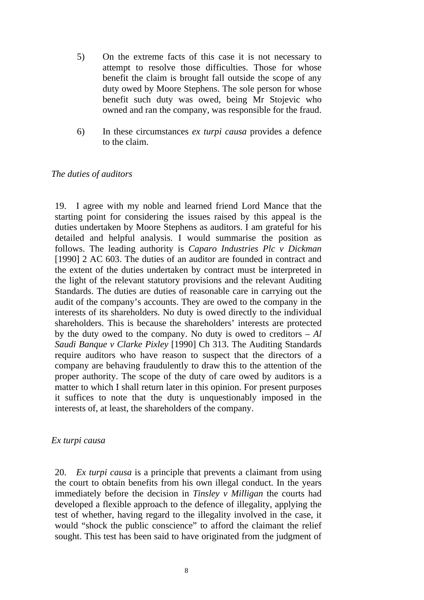- 5) On the extreme facts of this case it is not necessary to attempt to resolve those difficulties. Those for whose benefit the claim is brought fall outside the scope of any duty owed by Moore Stephens. The sole person for whose benefit such duty was owed, being Mr Stojevic who owned and ran the company, was responsible for the fraud.
- 6) In these circumstances *ex turpi causa* provides a defence to the claim.

# *The duties of auditors*

19. I agree with my noble and learned friend Lord Mance that the starting point for considering the issues raised by this appeal is the duties undertaken by Moore Stephens as auditors. I am grateful for his detailed and helpful analysis. I would summarise the position as follows. The leading authority is *Caparo Industries Plc v Dickman*  [1990] 2 AC 603. The duties of an auditor are founded in contract and the extent of the duties undertaken by contract must be interpreted in the light of the relevant statutory provisions and the relevant Auditing Standards. The duties are duties of reasonable care in carrying out the audit of the company's accounts. They are owed to the company in the interests of its shareholders. No duty is owed directly to the individual shareholders. This is because the shareholders' interests are protected by the duty owed to the company. No duty is owed to creditors – *Al Saudi Banque v Clarke Pixley* [1990] Ch 313. The Auditing Standards require auditors who have reason to suspect that the directors of a company are behaving fraudulently to draw this to the attention of the proper authority. The scope of the duty of care owed by auditors is a matter to which I shall return later in this opinion. For present purposes it suffices to note that the duty is unquestionably imposed in the interests of, at least, the shareholders of the company.

#### *Ex turpi causa*

20. *Ex turpi causa* is a principle that prevents a claimant from using the court to obtain benefits from his own illegal conduct. In the years immediately before the decision in *Tinsley v Milligan* the courts had developed a flexible approach to the defence of illegality, applying the test of whether, having regard to the illegality involved in the case, it would "shock the public conscience" to afford the claimant the relief sought. This test has been said to have originated from the judgment of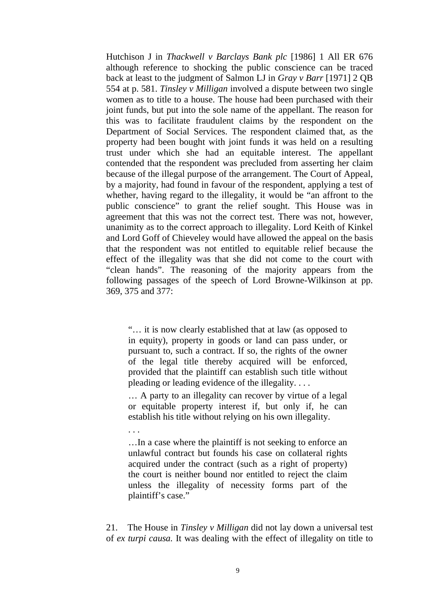Hutchison J in *Thackwell v Barclays Bank plc* [1986] 1 All ER 676 although reference to shocking the public conscience can be traced back at least to the judgment of Salmon LJ in *Gray v Barr* [1971] 2 QB 554 at p. 581. *Tinsley v Milligan* involved a dispute between two single women as to title to a house. The house had been purchased with their joint funds, but put into the sole name of the appellant. The reason for this was to facilitate fraudulent claims by the respondent on the Department of Social Services. The respondent claimed that, as the property had been bought with joint funds it was held on a resulting trust under which she had an equitable interest. The appellant contended that the respondent was precluded from asserting her claim because of the illegal purpose of the arrangement. The Court of Appeal, by a majority, had found in favour of the respondent, applying a test of whether, having regard to the illegality, it would be "an affront to the public conscience" to grant the relief sought. This House was in agreement that this was not the correct test. There was not, however, unanimity as to the correct approach to illegality. Lord Keith of Kinkel and Lord Goff of Chieveley would have allowed the appeal on the basis that the respondent was not entitled to equitable relief because the effect of the illegality was that she did not come to the court with "clean hands". The reasoning of the majority appears from the following passages of the speech of Lord Browne-Wilkinson at pp. 369, 375 and 377:

"… it is now clearly established that at law (as opposed to in equity), property in goods or land can pass under, or pursuant to, such a contract. If so, the rights of the owner of the legal title thereby acquired will be enforced, provided that the plaintiff can establish such title without pleading or leading evidence of the illegality. . . .

… A party to an illegality can recover by virtue of a legal or equitable property interest if, but only if, he can establish his title without relying on his own illegality.

. . .

…In a case where the plaintiff is not seeking to enforce an unlawful contract but founds his case on collateral rights acquired under the contract (such as a right of property) the court is neither bound nor entitled to reject the claim unless the illegality of necessity forms part of the plaintiff's case."

21. The House in *Tinsley v Milligan* did not lay down a universal test of *ex turpi causa.* It was dealing with the effect of illegality on title to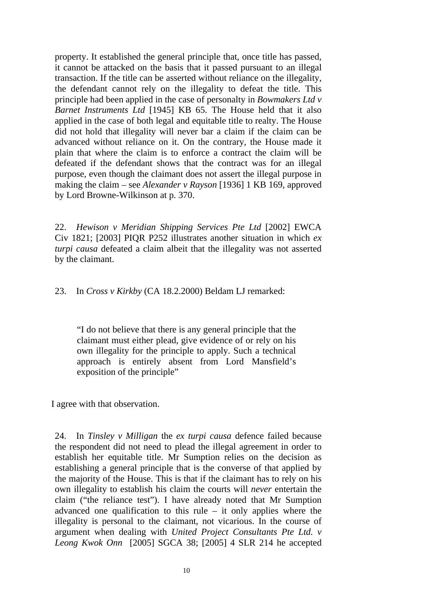property. It established the general principle that, once title has passed, it cannot be attacked on the basis that it passed pursuant to an illegal transaction. If the title can be asserted without reliance on the illegality, the defendant cannot rely on the illegality to defeat the title. This principle had been applied in the case of personalty in *Bowmakers Ltd v Barnet Instruments Ltd* [1945] KB 65. The House held that it also applied in the case of both legal and equitable title to realty. The House did not hold that illegality will never bar a claim if the claim can be advanced without reliance on it. On the contrary, the House made it plain that where the claim is to enforce a contract the claim will be defeated if the defendant shows that the contract was for an illegal purpose, even though the claimant does not assert the illegal purpose in making the claim – see *Alexander v Rayson* [1936] 1 KB 169, approved by Lord Browne-Wilkinson at p. 370.

22. *Hewison v Meridian Shipping Services Pte Ltd* [2002] EWCA Civ 1821; [2003] PIQR P252 illustrates another situation in which *ex turpi causa* defeated a claim albeit that the illegality was not asserted by the claimant.

23. In *Cross v Kirkby* (CA 18.2.2000) Beldam LJ remarked:

"I do not believe that there is any general principle that the claimant must either plead, give evidence of or rely on his own illegality for the principle to apply. Such a technical approach is entirely absent from Lord Mansfield's exposition of the principle"

I agree with that observation.

24. In *Tinsley v Milligan* the *ex turpi causa* defence failed because the respondent did not need to plead the illegal agreement in order to establish her equitable title. Mr Sumption relies on the decision as establishing a general principle that is the converse of that applied by the majority of the House. This is that if the claimant has to rely on his own illegality to establish his claim the courts will *never* entertain the claim ("the reliance test"). I have already noted that Mr Sumption advanced one qualification to this rule – it only applies where the illegality is personal to the claimant, not vicarious. In the course of argument when dealing with *United Project Consultants Pte Ltd. v Leong Kwok Onn* [2005] SGCA 38; [2005] 4 SLR 214 he accepted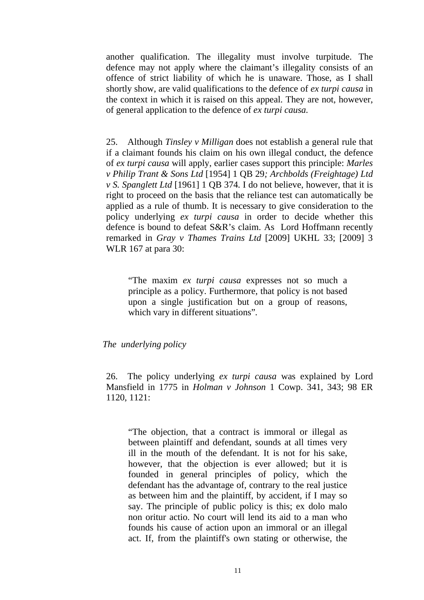another qualification. The illegality must involve turpitude. The defence may not apply where the claimant's illegality consists of an offence of strict liability of which he is unaware. Those, as I shall shortly show, are valid qualifications to the defence of *ex turpi causa* in the context in which it is raised on this appeal. They are not, however, of general application to the defence of *ex turpi causa.*

25. Although *Tinsley v Milligan* does not establish a general rule that if a claimant founds his claim on his own illegal conduct, the defence of *ex turpi causa* will apply, earlier cases support this principle: *Marles v Philip Trant & Sons Ltd* [1954] 1 QB 29*; Archbolds (Freightage) Ltd v S. Spanglett Ltd* [1961] 1 QB 374*.* I do not believe, however, that it is right to proceed on the basis that the reliance test can automatically be applied as a rule of thumb. It is necessary to give consideration to the policy underlying *ex turpi causa* in order to decide whether this defence is bound to defeat S&R's claim. As Lord Hoffmann recently remarked in *Gray v Thames Trains Ltd* [2009] UKHL 33; [2009] 3 WLR 167 at para 30:

"The maxim *ex turpi causa* expresses not so much a principle as a policy. Furthermore, that policy is not based upon a single justification but on a group of reasons, which vary in different situations"*.*

#### *The underlying policy*

26. The policy underlying *ex turpi causa* was explained by Lord Mansfield in 1775 in *Holman v Johnson* 1 Cowp. 341, 343; 98 ER 1120, 1121:

"The objection, that a contract is immoral or illegal as between plaintiff and defendant, sounds at all times very ill in the mouth of the defendant. It is not for his sake, however, that the objection is ever allowed; but it is founded in general principles of policy, which the defendant has the advantage of, contrary to the real justice as between him and the plaintiff, by accident, if I may so say. The principle of public policy is this; ex dolo malo non oritur actio. No court will lend its aid to a man who founds his cause of action upon an immoral or an illegal act. If, from the plaintiff's own stating or otherwise, the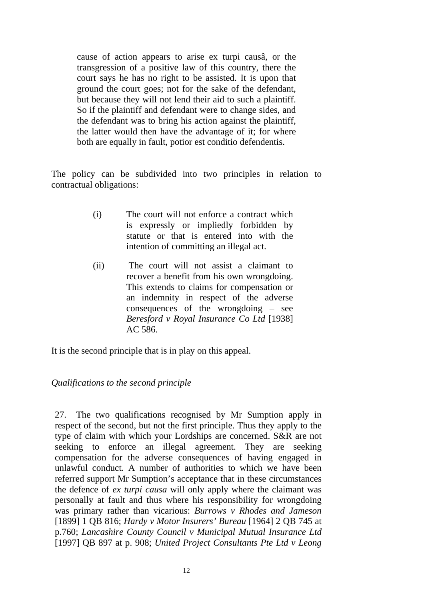cause of action appears to arise ex turpi causâ, or the transgression of a positive law of this country, there the court says he has no right to be assisted. It is upon that ground the court goes; not for the sake of the defendant, but because they will not lend their aid to such a plaintiff. So if the plaintiff and defendant were to change sides, and the defendant was to bring his action against the plaintiff, the latter would then have the advantage of it; for where both are equally in fault, potior est conditio defendentis.

The policy can be subdivided into two principles in relation to contractual obligations:

- (i) The court will not enforce a contract which is expressly or impliedly forbidden by statute or that is entered into with the intention of committing an illegal act.
- (ii) The court will not assist a claimant to recover a benefit from his own wrongdoing. This extends to claims for compensation or an indemnity in respect of the adverse consequences of the wrongdoing – see *Beresford v Royal Insurance Co Ltd* [1938] AC 586.

It is the second principle that is in play on this appeal.

# *Qualifications to the second principle*

27. The two qualifications recognised by Mr Sumption apply in respect of the second, but not the first principle. Thus they apply to the type of claim with which your Lordships are concerned. S&R are not seeking to enforce an illegal agreement. They are seeking compensation for the adverse consequences of having engaged in unlawful conduct. A number of authorities to which we have been referred support Mr Sumption's acceptance that in these circumstances the defence of *ex turpi causa* will only apply where the claimant was personally at fault and thus where his responsibility for wrongdoing was primary rather than vicarious: *Burrows v Rhodes and Jameson* [1899] 1 QB 816; *Hardy v Motor Insurers' Bureau* [1964] 2 QB 745 at p.760; *Lancashire County Council v Municipal Mutual Insurance Ltd*  [1997] QB 897 at p. 908; *United Project Consultants Pte Ltd v Leong*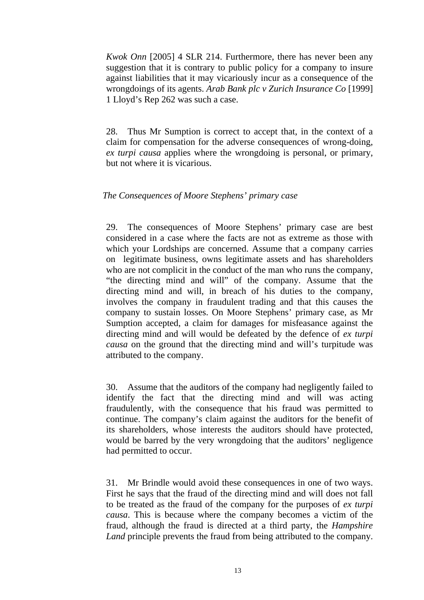*Kwok Onn* [2005] 4 SLR 214. Furthermore, there has never been any suggestion that it is contrary to public policy for a company to insure against liabilities that it may vicariously incur as a consequence of the wrongdoings of its agents. *Arab Bank plc v Zurich Insurance Co* [1999] 1 Lloyd's Rep 262 was such a case.

28. Thus Mr Sumption is correct to accept that, in the context of a claim for compensation for the adverse consequences of wrong-doing, *ex turpi causa* applies where the wrongdoing is personal, or primary, but not where it is vicarious.

#### *The Consequences of Moore Stephens' primary case*

29. The consequences of Moore Stephens' primary case are best considered in a case where the facts are not as extreme as those with which your Lordships are concerned. Assume that a company carries on legitimate business, owns legitimate assets and has shareholders who are not complicit in the conduct of the man who runs the company, "the directing mind and will" of the company. Assume that the directing mind and will, in breach of his duties to the company, involves the company in fraudulent trading and that this causes the company to sustain losses. On Moore Stephens' primary case, as Mr Sumption accepted, a claim for damages for misfeasance against the directing mind and will would be defeated by the defence of *ex turpi causa* on the ground that the directing mind and will's turpitude was attributed to the company.

30. Assume that the auditors of the company had negligently failed to identify the fact that the directing mind and will was acting fraudulently, with the consequence that his fraud was permitted to continue. The company's claim against the auditors for the benefit of its shareholders, whose interests the auditors should have protected, would be barred by the very wrongdoing that the auditors' negligence had permitted to occur.

31. Mr Brindle would avoid these consequences in one of two ways. First he says that the fraud of the directing mind and will does not fall to be treated as the fraud of the company for the purposes of *ex turpi causa*. This is because where the company becomes a victim of the fraud, although the fraud is directed at a third party, the *Hampshire Land* principle prevents the fraud from being attributed to the company.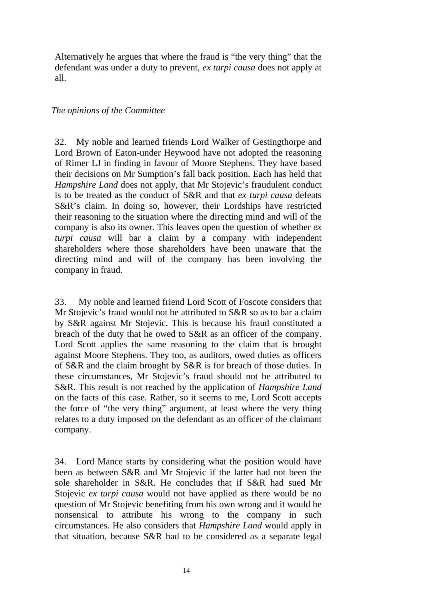Alternatively he argues that where the fraud is "the very thing" that the defendant was under a duty to prevent, *ex turpi causa* does not apply at all.

# *The opinions of the Committee*

32. My noble and learned friends Lord Walker of Gestingthorpe and Lord Brown of Eaton-under Heywood have not adopted the reasoning of Rimer LJ in finding in favour of Moore Stephens. They have based their decisions on Mr Sumption's fall back position. Each has held that *Hampshire Land* does not apply, that Mr Stojevic's fraudulent conduct is to be treated as the conduct of S&R and that *ex turpi causa* defeats S&R's claim. In doing so, however, their Lordships have restricted their reasoning to the situation where the directing mind and will of the company is also its owner. This leaves open the question of whether *ex turpi causa* will bar a claim by a company with independent shareholders where those shareholders have been unaware that the directing mind and will of the company has been involving the company in fraud.

33. My noble and learned friend Lord Scott of Foscote considers that Mr Stojevic's fraud would not be attributed to S&R so as to bar a claim by S&R against Mr Stojevic. This is because his fraud constituted a breach of the duty that he owed to S&R as an officer of the company. Lord Scott applies the same reasoning to the claim that is brought against Moore Stephens. They too, as auditors, owed duties as officers of S&R and the claim brought by S&R is for breach of those duties. In these circumstances, Mr Stojevic's fraud should not be attributed to S&R. This result is not reached by the application of *Hampshire Land*  on the facts of this case. Rather, so it seems to me, Lord Scott accepts the force of "the very thing" argument, at least where the very thing relates to a duty imposed on the defendant as an officer of the claimant company.

34. Lord Mance starts by considering what the position would have been as between S&R and Mr Stojevic if the latter had not been the sole shareholder in S&R. He concludes that if S&R had sued Mr Stojevic *ex turpi causa* would not have applied as there would be no question of Mr Stojevic benefiting from his own wrong and it would be nonsensical to attribute his wrong to the company in such circumstances. He also considers that *Hampshire Land* would apply in that situation, because S&R had to be considered as a separate legal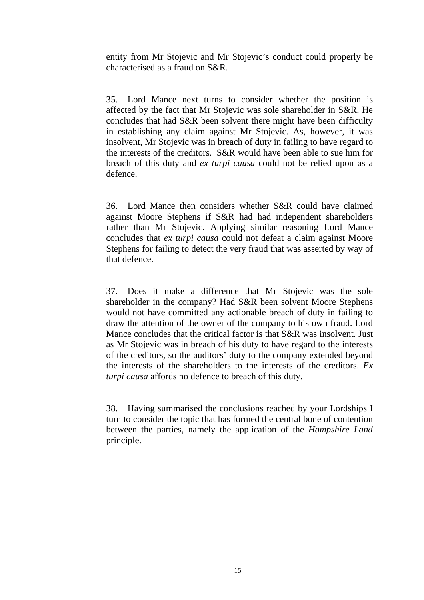entity from Mr Stojevic and Mr Stojevic's conduct could properly be characterised as a fraud on S&R.

35. Lord Mance next turns to consider whether the position is affected by the fact that Mr Stojevic was sole shareholder in S&R. He concludes that had S&R been solvent there might have been difficulty in establishing any claim against Mr Stojevic. As, however, it was insolvent, Mr Stojevic was in breach of duty in failing to have regard to the interests of the creditors. S&R would have been able to sue him for breach of this duty and *ex turpi causa* could not be relied upon as a defence.

36. Lord Mance then considers whether S&R could have claimed against Moore Stephens if S&R had had independent shareholders rather than Mr Stojevic. Applying similar reasoning Lord Mance concludes that *ex turpi causa* could not defeat a claim against Moore Stephens for failing to detect the very fraud that was asserted by way of that defence.

37. Does it make a difference that Mr Stojevic was the sole shareholder in the company? Had S&R been solvent Moore Stephens would not have committed any actionable breach of duty in failing to draw the attention of the owner of the company to his own fraud. Lord Mance concludes that the critical factor is that S&R was insolvent. Just as Mr Stojevic was in breach of his duty to have regard to the interests of the creditors, so the auditors' duty to the company extended beyond the interests of the shareholders to the interests of the creditors. *Ex turpi causa* affords no defence to breach of this duty.

38. Having summarised the conclusions reached by your Lordships I turn to consider the topic that has formed the central bone of contention between the parties, namely the application of the *Hampshire Land*  principle.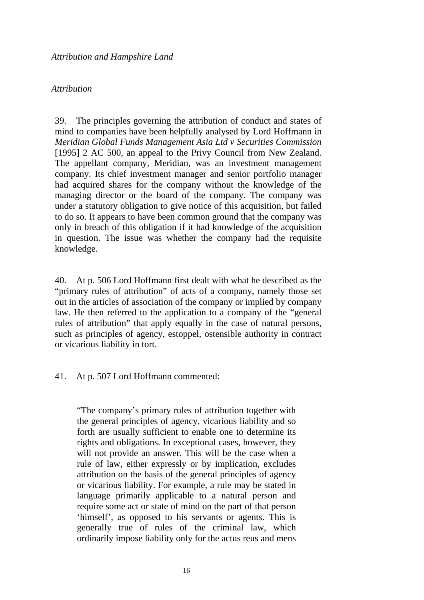# *Attribution*

39. The principles governing the attribution of conduct and states of mind to companies have been helpfully analysed by Lord Hoffmann in *Meridian Global Funds Management Asia Ltd v Securities Commission*  [1995] 2 AC 500, an appeal to the Privy Council from New Zealand. The appellant company, Meridian, was an investment management company. Its chief investment manager and senior portfolio manager had acquired shares for the company without the knowledge of the managing director or the board of the company. The company was under a statutory obligation to give notice of this acquisition, but failed to do so. It appears to have been common ground that the company was only in breach of this obligation if it had knowledge of the acquisition in question. The issue was whether the company had the requisite knowledge.

40. At p. 506 Lord Hoffmann first dealt with what he described as the "primary rules of attribution" of acts of a company, namely those set out in the articles of association of the company or implied by company law. He then referred to the application to a company of the "general rules of attribution" that apply equally in the case of natural persons, such as principles of agency, estoppel, ostensible authority in contract or vicarious liability in tort.

41. At p. 507 Lord Hoffmann commented:

"The company's primary rules of attribution together with the general principles of agency, vicarious liability and so forth are usually sufficient to enable one to determine its rights and obligations. In exceptional cases, however, they will not provide an answer. This will be the case when a rule of law, either expressly or by implication, excludes attribution on the basis of the general principles of agency or vicarious liability. For example, a rule may be stated in language primarily applicable to a natural person and require some act or state of mind on the part of that person 'himself', as opposed to his servants or agents. This is generally true of rules of the criminal law, which ordinarily impose liability only for the actus reus and mens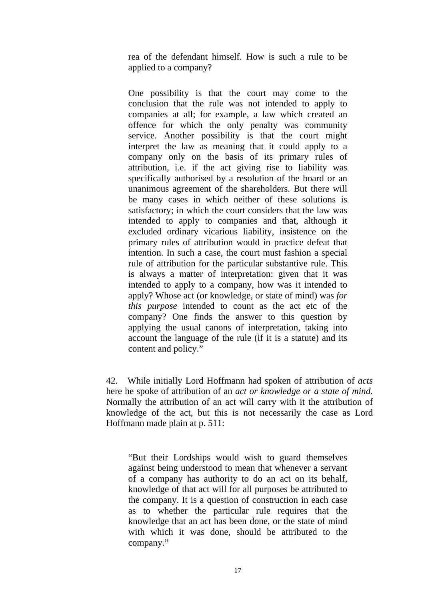rea of the defendant himself. How is such a rule to be applied to a company?

One possibility is that the court may come to the conclusion that the rule was not intended to apply to companies at all; for example, a law which created an offence for which the only penalty was community service. Another possibility is that the court might interpret the law as meaning that it could apply to a company only on the basis of its primary rules of attribution, i.e. if the act giving rise to liability was specifically authorised by a resolution of the board or an unanimous agreement of the shareholders. But there will be many cases in which neither of these solutions is satisfactory; in which the court considers that the law was intended to apply to companies and that, although it excluded ordinary vicarious liability, insistence on the primary rules of attribution would in practice defeat that intention. In such a case, the court must fashion a special rule of attribution for the particular substantive rule. This is always a matter of interpretation: given that it was intended to apply to a company, how was it intended to apply? Whose act (or knowledge, or state of mind) was *for this purpose* intended to count as the act etc of the company? One finds the answer to this question by applying the usual canons of interpretation, taking into account the language of the rule (if it is a statute) and its content and policy."

42. While initially Lord Hoffmann had spoken of attribution of *acts*  here he spoke of attribution of an *act or knowledge or a state of mind.* Normally the attribution of an act will carry with it the attribution of knowledge of the act, but this is not necessarily the case as Lord Hoffmann made plain at p. 511:

"But their Lordships would wish to guard themselves against being understood to mean that whenever a servant of a company has authority to do an act on its behalf, knowledge of that act will for all purposes be attributed to the company. It is a question of construction in each case as to whether the particular rule requires that the knowledge that an act has been done, or the state of mind with which it was done, should be attributed to the company."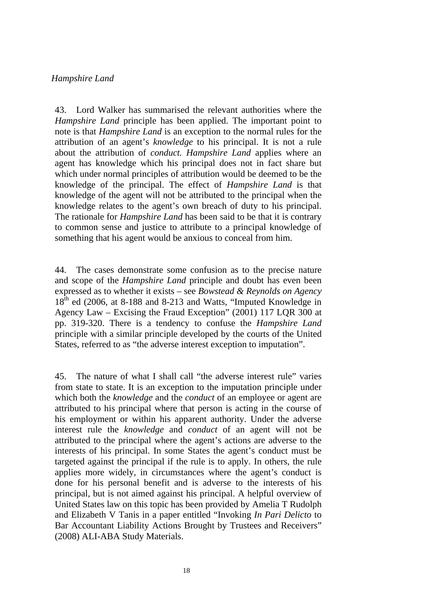# *Hampshire Land*

43. Lord Walker has summarised the relevant authorities where the *Hampshire Land* principle has been applied. The important point to note is that *Hampshire Land* is an exception to the normal rules for the attribution of an agent's *knowledge* to his principal. It is not a rule about the attribution of *conduct. Hampshire Land* applies where an agent has knowledge which his principal does not in fact share but which under normal principles of attribution would be deemed to be the knowledge of the principal. The effect of *Hampshire Land* is that knowledge of the agent will not be attributed to the principal when the knowledge relates to the agent's own breach of duty to his principal. The rationale for *Hampshire Land* has been said to be that it is contrary to common sense and justice to attribute to a principal knowledge of something that his agent would be anxious to conceal from him.

44. The cases demonstrate some confusion as to the precise nature and scope of the *Hampshire Land* principle and doubt has even been expressed as to whether it exists – see *Bowstead & Reynolds on Agency* 18<sup>th</sup> ed (2006, at 8-188 and 8-213 and Watts, "Imputed Knowledge in Agency Law – Excising the Fraud Exception" (2001) 117 LQR 300 at pp. 319-320. There is a tendency to confuse the *Hampshire Land*  principle with a similar principle developed by the courts of the United States, referred to as "the adverse interest exception to imputation".

45. The nature of what I shall call "the adverse interest rule" varies from state to state. It is an exception to the imputation principle under which both the *knowledge* and the *conduct* of an employee or agent are attributed to his principal where that person is acting in the course of his employment or within his apparent authority. Under the adverse interest rule the *knowledge* and *conduct* of an agent will not be attributed to the principal where the agent's actions are adverse to the interests of his principal. In some States the agent's conduct must be targeted against the principal if the rule is to apply. In others, the rule applies more widely, in circumstances where the agent's conduct is done for his personal benefit and is adverse to the interests of his principal, but is not aimed against his principal. A helpful overview of United States law on this topic has been provided by Amelia T Rudolph and Elizabeth V Tanis in a paper entitled "Invoking *In Pari Delicto* to Bar Accountant Liability Actions Brought by Trustees and Receivers" (2008) ALI-ABA Study Materials.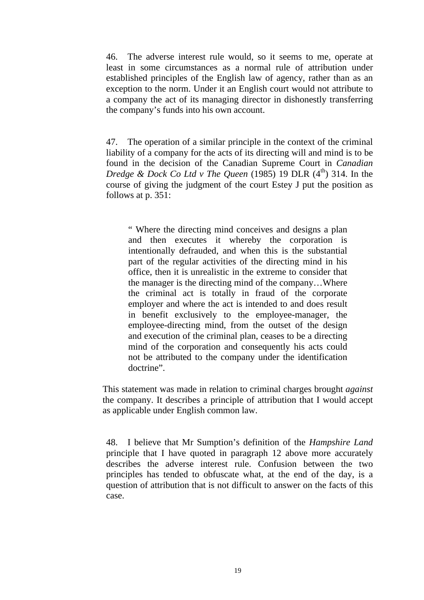46. The adverse interest rule would, so it seems to me, operate at least in some circumstances as a normal rule of attribution under established principles of the English law of agency, rather than as an exception to the norm. Under it an English court would not attribute to a company the act of its managing director in dishonestly transferring the company's funds into his own account.

47. The operation of a similar principle in the context of the criminal liability of a company for the acts of its directing will and mind is to be found in the decision of the Canadian Supreme Court in *Canadian Dredge & Dock Co Ltd v The Queen* (1985) 19 DLR  $(4^{th})$  314. In the course of giving the judgment of the court Estey J put the position as follows at p. 351:

" Where the directing mind conceives and designs a plan and then executes it whereby the corporation is intentionally defrauded, and when this is the substantial part of the regular activities of the directing mind in his office, then it is unrealistic in the extreme to consider that the manager is the directing mind of the company…Where the criminal act is totally in fraud of the corporate employer and where the act is intended to and does result in benefit exclusively to the employee-manager, the employee-directing mind, from the outset of the design and execution of the criminal plan, ceases to be a directing mind of the corporation and consequently his acts could not be attributed to the company under the identification doctrine".

This statement was made in relation to criminal charges brought *against* the company. It describes a principle of attribution that I would accept as applicable under English common law.

48. I believe that Mr Sumption's definition of the *Hampshire Land*  principle that I have quoted in paragraph 12 above more accurately describes the adverse interest rule. Confusion between the two principles has tended to obfuscate what, at the end of the day, is a question of attribution that is not difficult to answer on the facts of this case.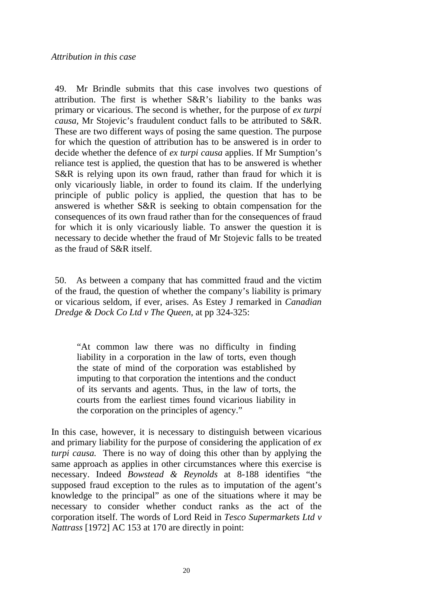49. Mr Brindle submits that this case involves two questions of attribution. The first is whether S&R's liability to the banks was primary or vicarious. The second is whether, for the purpose of *ex turpi causa,* Mr Stojevic's fraudulent conduct falls to be attributed to S&R. These are two different ways of posing the same question. The purpose for which the question of attribution has to be answered is in order to decide whether the defence of *ex turpi causa* applies. If Mr Sumption's reliance test is applied, the question that has to be answered is whether S&R is relying upon its own fraud, rather than fraud for which it is only vicariously liable, in order to found its claim. If the underlying principle of public policy is applied, the question that has to be answered is whether S&R is seeking to obtain compensation for the consequences of its own fraud rather than for the consequences of fraud for which it is only vicariously liable. To answer the question it is necessary to decide whether the fraud of Mr Stojevic falls to be treated as the fraud of S&R itself.

50. As between a company that has committed fraud and the victim of the fraud, the question of whether the company's liability is primary or vicarious seldom, if ever, arises. As Estey J remarked in *Canadian Dredge & Dock Co Ltd v The Queen*, at pp 324-325:

"At common law there was no difficulty in finding liability in a corporation in the law of torts, even though the state of mind of the corporation was established by imputing to that corporation the intentions and the conduct of its servants and agents. Thus, in the law of torts, the courts from the earliest times found vicarious liability in the corporation on the principles of agency."

In this case, however, it is necessary to distinguish between vicarious and primary liability for the purpose of considering the application of *ex turpi causa.* There is no way of doing this other than by applying the same approach as applies in other circumstances where this exercise is necessary. Indeed *Bowstead & Reynolds* at 8-188 identifies "the supposed fraud exception to the rules as to imputation of the agent's knowledge to the principal" as one of the situations where it may be necessary to consider whether conduct ranks as the act of the corporation itself. The words of Lord Reid in *Tesco Supermarkets Ltd v Nattrass* [1972] AC 153 at 170 are directly in point: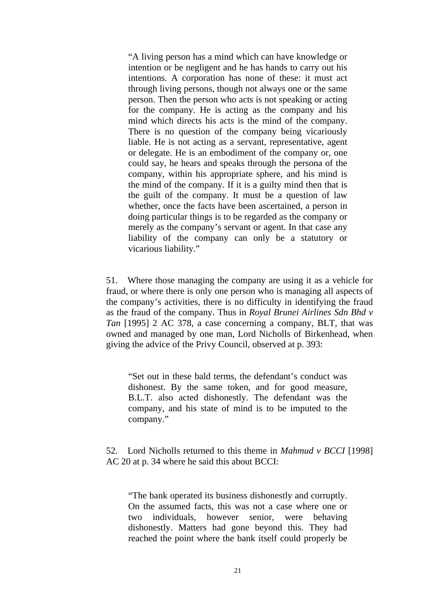"A living person has a mind which can have knowledge or intention or be negligent and he has hands to carry out his intentions. A corporation has none of these: it must act through living persons, though not always one or the same person. Then the person who acts is not speaking or acting for the company. He is acting as the company and his mind which directs his acts is the mind of the company. There is no question of the company being vicariously liable. He is not acting as a servant, representative, agent or delegate. He is an embodiment of the company or, one could say, he hears and speaks through the persona of the company, within his appropriate sphere, and his mind is the mind of the company. If it is a guilty mind then that is the guilt of the company. It must be a question of law whether, once the facts have been ascertained, a person in doing particular things is to be regarded as the company or merely as the company's servant or agent. In that case any liability of the company can only be a statutory or vicarious liability."

51. Where those managing the company are using it as a vehicle for fraud, or where there is only one person who is managing all aspects of the company's activities, there is no difficulty in identifying the fraud as the fraud of the company. Thus in *Royal Brunei Airlines Sdn Bhd v Tan* [1995] 2 AC 378, a case concerning a company, BLT, that was owned and managed by one man, Lord Nicholls of Birkenhead, when giving the advice of the Privy Council, observed at p. 393:

"Set out in these bald terms, the defendant's conduct was dishonest. By the same token, and for good measure, B.L.T. also acted dishonestly. The defendant was the company, and his state of mind is to be imputed to the company."

52. Lord Nicholls returned to this theme in *Mahmud v BCCI* [1998] AC 20 at p. 34 where he said this about BCCI:

"The bank operated its business dishonestly and corruptly. On the assumed facts, this was not a case where one or two individuals, however senior, were behaving dishonestly. Matters had gone beyond this. They had reached the point where the bank itself could properly be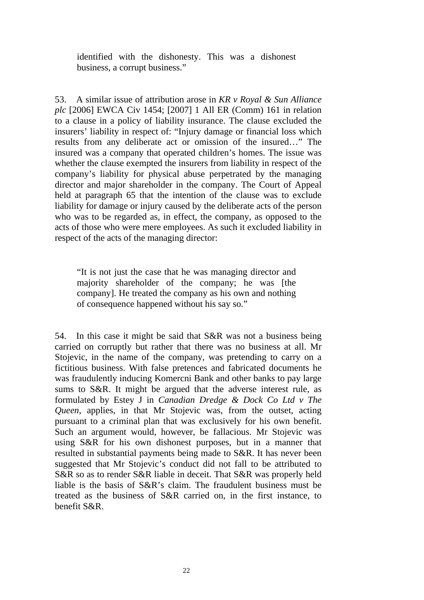identified with the dishonesty. This was a dishonest business, a corrupt business."

53. A similar issue of attribution arose in *KR v Royal & Sun Alliance plc* [2006] EWCA Civ 1454; [2007] 1 All ER (Comm) 161 in relation to a clause in a policy of liability insurance. The clause excluded the insurers' liability in respect of: "Injury damage or financial loss which results from any deliberate act or omission of the insured…" The insured was a company that operated children's homes. The issue was whether the clause exempted the insurers from liability in respect of the company's liability for physical abuse perpetrated by the managing director and major shareholder in the company. The Court of Appeal held at paragraph 65 that the intention of the clause was to exclude liability for damage or injury caused by the deliberate acts of the person who was to be regarded as, in effect, the company, as opposed to the acts of those who were mere employees. As such it excluded liability in respect of the acts of the managing director:

"It is not just the case that he was managing director and majority shareholder of the company; he was [the company]. He treated the company as his own and nothing of consequence happened without his say so."

54. In this case it might be said that S&R was not a business being carried on corruptly but rather that there was no business at all. Mr Stojevic, in the name of the company, was pretending to carry on a fictitious business. With false pretences and fabricated documents he was fraudulently inducing Komercni Bank and other banks to pay large sums to S&R. It might be argued that the adverse interest rule, as formulated by Estey J in *Canadian Dredge & Dock Co Ltd v The Queen*, applies, in that Mr Stojevic was, from the outset, acting pursuant to a criminal plan that was exclusively for his own benefit. Such an argument would, however, be fallacious. Mr Stojevic was using S&R for his own dishonest purposes, but in a manner that resulted in substantial payments being made to S&R. It has never been suggested that Mr Stojevic's conduct did not fall to be attributed to S&R so as to render S&R liable in deceit. That S&R was properly held liable is the basis of S&R's claim. The fraudulent business must be treated as the business of S&R carried on, in the first instance, to benefit S&R.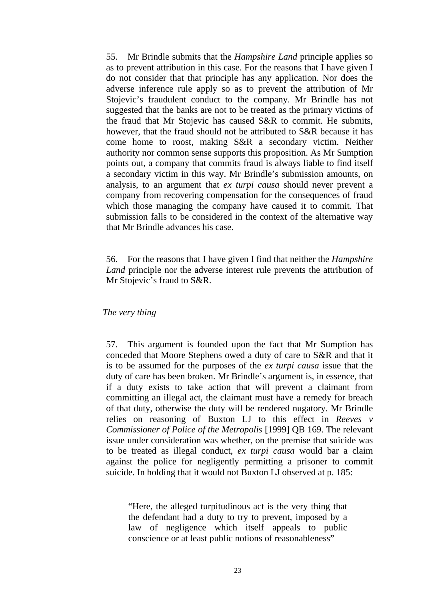55. Mr Brindle submits that the *Hampshire Land* principle applies so as to prevent attribution in this case. For the reasons that I have given I do not consider that that principle has any application. Nor does the adverse inference rule apply so as to prevent the attribution of Mr Stojevic's fraudulent conduct to the company. Mr Brindle has not suggested that the banks are not to be treated as the primary victims of the fraud that Mr Stojevic has caused S&R to commit. He submits, however, that the fraud should not be attributed to S&R because it has come home to roost, making S&R a secondary victim. Neither authority nor common sense supports this proposition. As Mr Sumption points out, a company that commits fraud is always liable to find itself a secondary victim in this way. Mr Brindle's submission amounts, on analysis, to an argument that *ex turpi causa* should never prevent a company from recovering compensation for the consequences of fraud which those managing the company have caused it to commit. That submission falls to be considered in the context of the alternative way that Mr Brindle advances his case.

56. For the reasons that I have given I find that neither the *Hampshire Land* principle nor the adverse interest rule prevents the attribution of Mr Stojevic's fraud to S&R.

#### *The very thing*

57. This argument is founded upon the fact that Mr Sumption has conceded that Moore Stephens owed a duty of care to S&R and that it is to be assumed for the purposes of the *ex turpi causa* issue that the duty of care has been broken. Mr Brindle's argument is, in essence, that if a duty exists to take action that will prevent a claimant from committing an illegal act, the claimant must have a remedy for breach of that duty, otherwise the duty will be rendered nugatory. Mr Brindle relies on reasoning of Buxton LJ to this effect in *Reeves v Commissioner of Police of the Metropolis* [1999] QB 169. The relevant issue under consideration was whether, on the premise that suicide was to be treated as illegal conduct, *ex turpi causa* would bar a claim against the police for negligently permitting a prisoner to commit suicide. In holding that it would not Buxton LJ observed at p. 185:

"Here, the alleged turpitudinous act is the very thing that the defendant had a duty to try to prevent, imposed by a law of negligence which itself appeals to public conscience or at least public notions of reasonableness"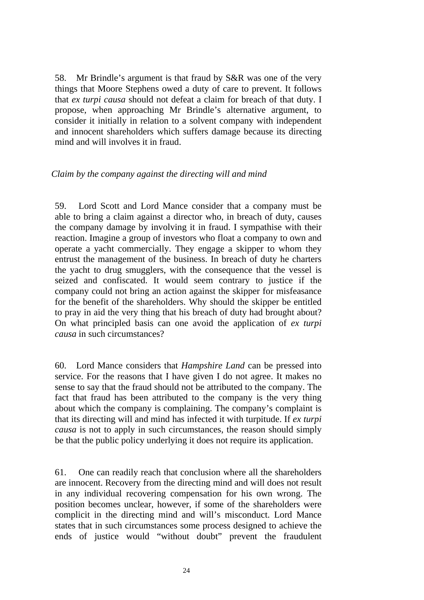58. Mr Brindle's argument is that fraud by S&R was one of the very things that Moore Stephens owed a duty of care to prevent. It follows that *ex turpi causa* should not defeat a claim for breach of that duty. I propose, when approaching Mr Brindle's alternative argument, to consider it initially in relation to a solvent company with independent and innocent shareholders which suffers damage because its directing mind and will involves it in fraud.

# *Claim by the company against the directing will and mind*

59. Lord Scott and Lord Mance consider that a company must be able to bring a claim against a director who, in breach of duty, causes the company damage by involving it in fraud. I sympathise with their reaction. Imagine a group of investors who float a company to own and operate a yacht commercially. They engage a skipper to whom they entrust the management of the business. In breach of duty he charters the yacht to drug smugglers, with the consequence that the vessel is seized and confiscated. It would seem contrary to justice if the company could not bring an action against the skipper for misfeasance for the benefit of the shareholders. Why should the skipper be entitled to pray in aid the very thing that his breach of duty had brought about? On what principled basis can one avoid the application of *ex turpi causa* in such circumstances?

60. Lord Mance considers that *Hampshire Land* can be pressed into service. For the reasons that I have given I do not agree. It makes no sense to say that the fraud should not be attributed to the company. The fact that fraud has been attributed to the company is the very thing about which the company is complaining. The company's complaint is that its directing will and mind has infected it with turpitude. If *ex turpi causa* is not to apply in such circumstances, the reason should simply be that the public policy underlying it does not require its application.

61. One can readily reach that conclusion where all the shareholders are innocent. Recovery from the directing mind and will does not result in any individual recovering compensation for his own wrong. The position becomes unclear, however, if some of the shareholders were complicit in the directing mind and will's misconduct. Lord Mance states that in such circumstances some process designed to achieve the ends of justice would "without doubt" prevent the fraudulent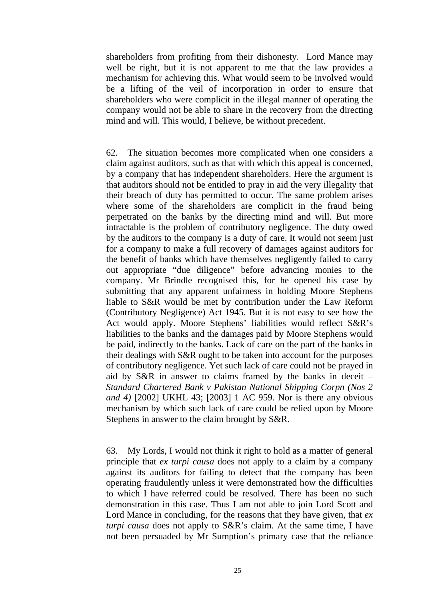shareholders from profiting from their dishonesty. Lord Mance may well be right, but it is not apparent to me that the law provides a mechanism for achieving this. What would seem to be involved would be a lifting of the veil of incorporation in order to ensure that shareholders who were complicit in the illegal manner of operating the company would not be able to share in the recovery from the directing mind and will. This would, I believe, be without precedent.

62. The situation becomes more complicated when one considers a claim against auditors, such as that with which this appeal is concerned, by a company that has independent shareholders. Here the argument is that auditors should not be entitled to pray in aid the very illegality that their breach of duty has permitted to occur. The same problem arises where some of the shareholders are complicit in the fraud being perpetrated on the banks by the directing mind and will. But more intractable is the problem of contributory negligence. The duty owed by the auditors to the company is a duty of care. It would not seem just for a company to make a full recovery of damages against auditors for the benefit of banks which have themselves negligently failed to carry out appropriate "due diligence" before advancing monies to the company. Mr Brindle recognised this, for he opened his case by submitting that any apparent unfairness in holding Moore Stephens liable to S&R would be met by contribution under the Law Reform (Contributory Negligence) Act 1945. But it is not easy to see how the Act would apply. Moore Stephens' liabilities would reflect S&R's liabilities to the banks and the damages paid by Moore Stephens would be paid, indirectly to the banks. Lack of care on the part of the banks in their dealings with S&R ought to be taken into account for the purposes of contributory negligence. Yet such lack of care could not be prayed in aid by S&R in answer to claims framed by the banks in deceit – *Standard Chartered Bank v Pakistan National Shipping Corpn (Nos 2 and 4)* [2002] UKHL 43; [2003] 1 AC 959. Nor is there any obvious mechanism by which such lack of care could be relied upon by Moore Stephens in answer to the claim brought by S&R.

63. My Lords, I would not think it right to hold as a matter of general principle that *ex turpi causa* does not apply to a claim by a company against its auditors for failing to detect that the company has been operating fraudulently unless it were demonstrated how the difficulties to which I have referred could be resolved. There has been no such demonstration in this case. Thus I am not able to join Lord Scott and Lord Mance in concluding, for the reasons that they have given, that *ex turpi causa* does not apply to S&R's claim. At the same time, I have not been persuaded by Mr Sumption's primary case that the reliance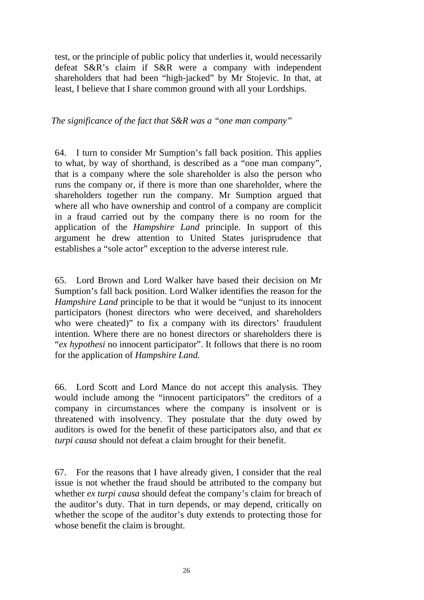test, or the principle of public policy that underlies it, would necessarily defeat S&R's claim if S&R were a company with independent shareholders that had been "high-jacked" by Mr Stojevic. In that, at least, I believe that I share common ground with all your Lordships.

# *The significance of the fact that S&R was a "one man company"*

64. I turn to consider Mr Sumption's fall back position. This applies to what, by way of shorthand, is described as a "one man company", that is a company where the sole shareholder is also the person who runs the company or, if there is more than one shareholder, where the shareholders together run the company. Mr Sumption argued that where all who have ownership and control of a company are complicit in a fraud carried out by the company there is no room for the application of the *Hampshire Land* principle. In support of this argument he drew attention to United States jurisprudence that establishes a "sole actor" exception to the adverse interest rule.

65. Lord Brown and Lord Walker have based their decision on Mr Sumption's fall back position. Lord Walker identifies the reason for the *Hampshire Land* principle to be that it would be "unjust to its innocent participators (honest directors who were deceived, and shareholders who were cheated)" to fix a company with its directors' fraudulent intention. Where there are no honest directors or shareholders there is "*ex hypothesi* no innocent participator". It follows that there is no room for the application of *Hampshire Land.*

66. Lord Scott and Lord Mance do not accept this analysis. They would include among the "innocent participators" the creditors of a company in circumstances where the company is insolvent or is threatened with insolvency. They postulate that the duty owed by auditors is owed for the benefit of these participators also, and that *ex turpi causa* should not defeat a claim brought for their benefit.

67. For the reasons that I have already given, I consider that the real issue is not whether the fraud should be attributed to the company but whether *ex turpi causa* should defeat the company's claim for breach of the auditor's duty. That in turn depends, or may depend, critically on whether the scope of the auditor's duty extends to protecting those for whose benefit the claim is brought.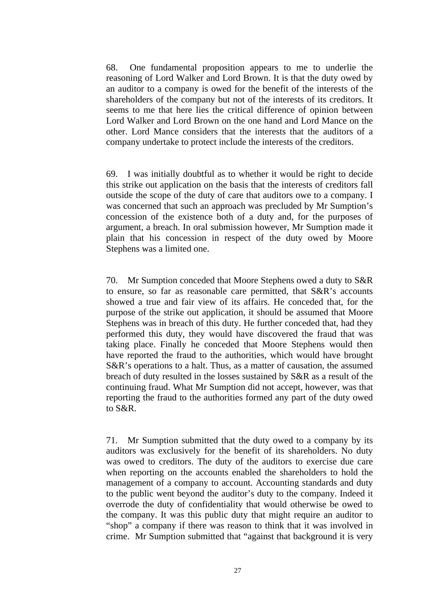68. One fundamental proposition appears to me to underlie the reasoning of Lord Walker and Lord Brown. It is that the duty owed by an auditor to a company is owed for the benefit of the interests of the shareholders of the company but not of the interests of its creditors. It seems to me that here lies the critical difference of opinion between Lord Walker and Lord Brown on the one hand and Lord Mance on the other. Lord Mance considers that the interests that the auditors of a company undertake to protect include the interests of the creditors.

69. I was initially doubtful as to whether it would be right to decide this strike out application on the basis that the interests of creditors fall outside the scope of the duty of care that auditors owe to a company. I was concerned that such an approach was precluded by Mr Sumption's concession of the existence both of a duty and, for the purposes of argument, a breach. In oral submission however, Mr Sumption made it plain that his concession in respect of the duty owed by Moore Stephens was a limited one.

70. Mr Sumption conceded that Moore Stephens owed a duty to S&R to ensure, so far as reasonable care permitted, that S&R's accounts showed a true and fair view of its affairs. He conceded that, for the purpose of the strike out application, it should be assumed that Moore Stephens was in breach of this duty. He further conceded that, had they performed this duty, they would have discovered the fraud that was taking place. Finally he conceded that Moore Stephens would then have reported the fraud to the authorities, which would have brought S&R's operations to a halt. Thus, as a matter of causation, the assumed breach of duty resulted in the losses sustained by S&R as a result of the continuing fraud. What Mr Sumption did not accept, however, was that reporting the fraud to the authorities formed any part of the duty owed to S&R.

71. Mr Sumption submitted that the duty owed to a company by its auditors was exclusively for the benefit of its shareholders. No duty was owed to creditors. The duty of the auditors to exercise due care when reporting on the accounts enabled the shareholders to hold the management of a company to account. Accounting standards and duty to the public went beyond the auditor's duty to the company. Indeed it overrode the duty of confidentiality that would otherwise be owed to the company. It was this public duty that might require an auditor to "shop" a company if there was reason to think that it was involved in crime. Mr Sumption submitted that "against that background it is very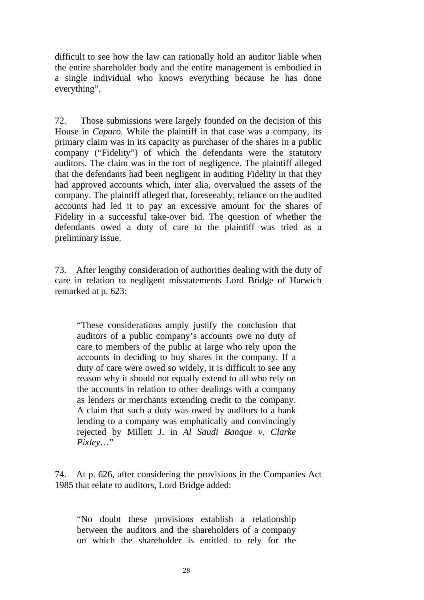difficult to see how the law can rationally hold an auditor liable when the entire shareholder body and the entire management is embodied in a single individual who knows everything because he has done everything".

72. Those submissions were largely founded on the decision of this House in *Caparo.* While the plaintiff in that case was a company, its primary claim was in its capacity as purchaser of the shares in a public company ("Fidelity") of which the defendants were the statutory auditors. The claim was in the tort of negligence. The plaintiff alleged that the defendants had been negligent in auditing Fidelity in that they had approved accounts which, inter alia, overvalued the assets of the company. The plaintiff alleged that, foreseeably, reliance on the audited accounts had led it to pay an excessive amount for the shares of Fidelity in a successful take-over bid. The question of whether the defendants owed a duty of care to the plaintiff was tried as a preliminary issue.

73. After lengthy consideration of authorities dealing with the duty of care in relation to negligent misstatements Lord Bridge of Harwich remarked at p. 623:

"These considerations amply justify the conclusion that auditors of a public company's accounts owe no duty of care to members of the public at large who rely upon the accounts in deciding to buy shares in the company. If a duty of care were owed so widely, it is difficult to see any reason why it should not equally extend to all who rely on the accounts in relation to other dealings with a company as lenders or merchants extending credit to the company. A claim that such a duty was owed by auditors to a bank lending to a company was emphatically and convincingly rejected by Millett J. in *Al Saudi Banque v. Clarke Pixley*…"

74. At p. 626, after considering the provisions in the Companies Act 1985 that relate to auditors, Lord Bridge added:

"No doubt these provisions establish a relationship between the auditors and the shareholders of a company on which the shareholder is entitled to rely for the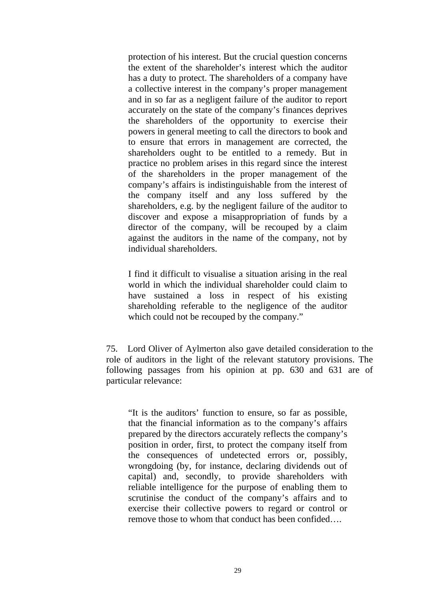protection of his interest. But the crucial question concerns the extent of the shareholder's interest which the auditor has a duty to protect. The shareholders of a company have a collective interest in the company's proper management and in so far as a negligent failure of the auditor to report accurately on the state of the company's finances deprives the shareholders of the opportunity to exercise their powers in general meeting to call the directors to book and to ensure that errors in management are corrected, the shareholders ought to be entitled to a remedy. But in practice no problem arises in this regard since the interest of the shareholders in the proper management of the company's affairs is indistinguishable from the interest of the company itself and any loss suffered by the shareholders, e.g. by the negligent failure of the auditor to discover and expose a misappropriation of funds by a director of the company, will be recouped by a claim against the auditors in the name of the company, not by individual shareholders.

I find it difficult to visualise a situation arising in the real world in which the individual shareholder could claim to have sustained a loss in respect of his existing shareholding referable to the negligence of the auditor which could not be recouped by the company."

75. Lord Oliver of Aylmerton also gave detailed consideration to the role of auditors in the light of the relevant statutory provisions. The following passages from his opinion at pp. 630 and 631 are of particular relevance:

"It is the auditors' function to ensure, so far as possible, that the financial information as to the company's affairs prepared by the directors accurately reflects the company's position in order, first, to protect the company itself from the consequences of undetected errors or, possibly, wrongdoing (by, for instance, declaring dividends out of capital) and, secondly, to provide shareholders with reliable intelligence for the purpose of enabling them to scrutinise the conduct of the company's affairs and to exercise their collective powers to regard or control or remove those to whom that conduct has been confided….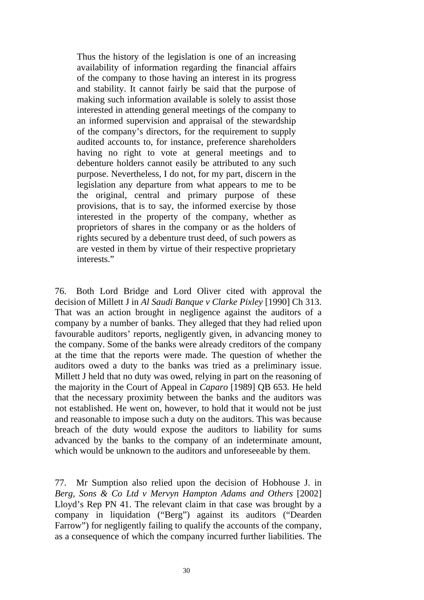Thus the history of the legislation is one of an increasing availability of information regarding the financial affairs of the company to those having an interest in its progress and stability. It cannot fairly be said that the purpose of making such information available is solely to assist those interested in attending general meetings of the company to an informed supervision and appraisal of the stewardship of the company's directors, for the requirement to supply audited accounts to, for instance, preference shareholders having no right to vote at general meetings and to debenture holders cannot easily be attributed to any such purpose. Nevertheless, I do not, for my part, discern in the legislation any departure from what appears to me to be the original, central and primary purpose of these provisions, that is to say, the informed exercise by those interested in the property of the company, whether as proprietors of shares in the company or as the holders of rights secured by a debenture trust deed, of such powers as are vested in them by virtue of their respective proprietary interests."

76. Both Lord Bridge and Lord Oliver cited with approval the decision of Millett J in *Al Saudi Banque v Clarke Pixley* [1990] Ch 313. That was an action brought in negligence against the auditors of a company by a number of banks. They alleged that they had relied upon favourable auditors' reports, negligently given, in advancing money to the company. Some of the banks were already creditors of the company at the time that the reports were made. The question of whether the auditors owed a duty to the banks was tried as a preliminary issue. Millett J held that no duty was owed, relying in part on the reasoning of the majority in the Court of Appeal in *Caparo* [1989] QB 653*.* He held that the necessary proximity between the banks and the auditors was not established. He went on, however, to hold that it would not be just and reasonable to impose such a duty on the auditors. This was because breach of the duty would expose the auditors to liability for sums advanced by the banks to the company of an indeterminate amount, which would be unknown to the auditors and unforeseeable by them.

77. Mr Sumption also relied upon the decision of Hobhouse J. in *Berg, Sons & Co Ltd v Mervyn Hampton Adams and Others* [2002] Lloyd's Rep PN 41. The relevant claim in that case was brought by a company in liquidation ("Berg") against its auditors ("Dearden Farrow") for negligently failing to qualify the accounts of the company, as a consequence of which the company incurred further liabilities. The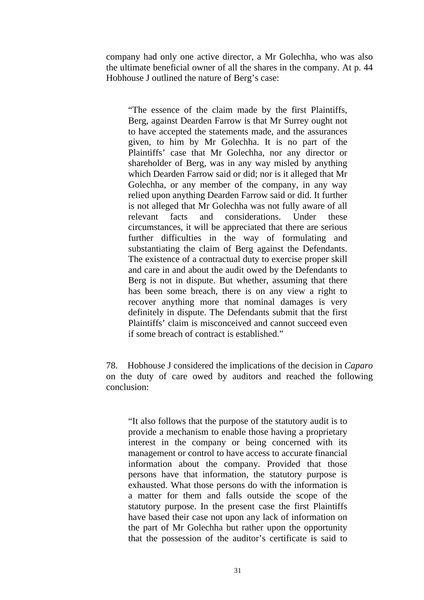company had only one active director, a Mr Golechha, who was also the ultimate beneficial owner of all the shares in the company. At p. 44 Hobhouse J outlined the nature of Berg's case:

"The essence of the claim made by the first Plaintiffs, Berg, against Dearden Farrow is that Mr Surrey ought not to have accepted the statements made, and the assurances given, to him by Mr Golechha. It is no part of the Plaintiffs' case that Mr Golechha, nor any director or shareholder of Berg, was in any way misled by anything which Dearden Farrow said or did; nor is it alleged that Mr Golechha, or any member of the company, in any way relied upon anything Dearden Farrow said or did. It further is not alleged that Mr Golechha was not fully aware of all relevant facts and considerations. Under these circumstances, it will be appreciated that there are serious further difficulties in the way of formulating and substantiating the claim of Berg against the Defendants. The existence of a contractual duty to exercise proper skill and care in and about the audit owed by the Defendants to Berg is not in dispute. But whether, assuming that there has been some breach, there is on any view a right to recover anything more that nominal damages is very definitely in dispute. The Defendants submit that the first Plaintiffs' claim is misconceived and cannot succeed even if some breach of contract is established."

78. Hobhouse J considered the implications of the decision in *Caparo*  on the duty of care owed by auditors and reached the following conclusion:

"It also follows that the purpose of the statutory audit is to provide a mechanism to enable those having a proprietary interest in the company or being concerned with its management or control to have access to accurate financial information about the company. Provided that those persons have that information, the statutory purpose is exhausted. What those persons do with the information is a matter for them and falls outside the scope of the statutory purpose. In the present case the first Plaintiffs have based their case not upon any lack of information on the part of Mr Golechha but rather upon the opportunity that the possession of the auditor's certificate is said to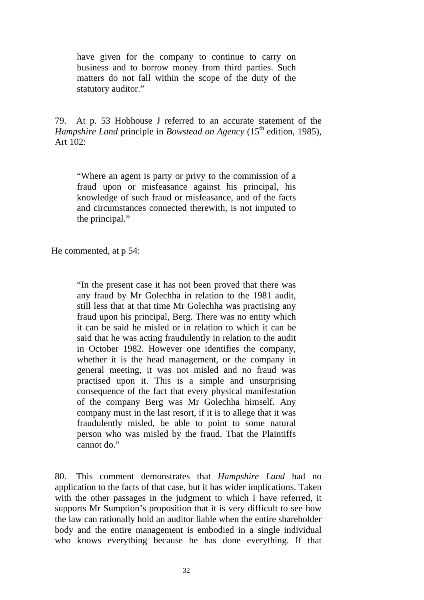have given for the company to continue to carry on business and to borrow money from third parties. Such matters do not fall within the scope of the duty of the statutory auditor."

79. At p. 53 Hobhouse J referred to an accurate statement of the *Hampshire Land principle in Bowstead on Agency* (15<sup>th</sup> edition, 1985), Art 102:

"Where an agent is party or privy to the commission of a fraud upon or misfeasance against his principal, his knowledge of such fraud or misfeasance, and of the facts and circumstances connected therewith, is not imputed to the principal."

He commented, at p 54:

"In the present case it has not been proved that there was any fraud by Mr Golechha in relation to the 1981 audit, still less that at that time Mr Golechha was practising any fraud upon his principal, Berg. There was no entity which it can be said he misled or in relation to which it can be said that he was acting fraudulently in relation to the audit in October 1982. However one identifies the company, whether it is the head management, or the company in general meeting, it was not misled and no fraud was practised upon it. This is a simple and unsurprising consequence of the fact that every physical manifestation of the company Berg was Mr Golechha himself. Any company must in the last resort, if it is to allege that it was fraudulently misled, be able to point to some natural person who was misled by the fraud. That the Plaintiffs cannot do."

80. This comment demonstrates that *Hampshire Land* had no application to the facts of that case, but it has wider implications. Taken with the other passages in the judgment to which I have referred, it supports Mr Sumption's proposition that it is very difficult to see how the law can rationally hold an auditor liable when the entire shareholder body and the entire management is embodied in a single individual who knows everything because he has done everything. If that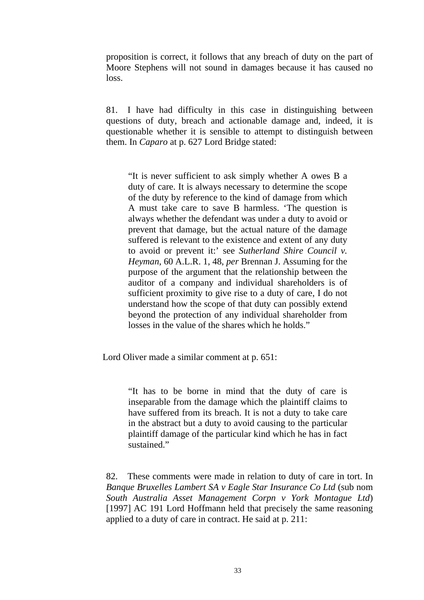proposition is correct, it follows that any breach of duty on the part of Moore Stephens will not sound in damages because it has caused no loss.

81. I have had difficulty in this case in distinguishing between questions of duty, breach and actionable damage and, indeed, it is questionable whether it is sensible to attempt to distinguish between them. In *Caparo* at p. 627 Lord Bridge stated:

"It is never sufficient to ask simply whether A owes B a duty of care. It is always necessary to determine the scope of the duty by reference to the kind of damage from which A must take care to save B harmless. 'The question is always whether the defendant was under a duty to avoid or prevent that damage, but the actual nature of the damage suffered is relevant to the existence and extent of any duty to avoid or prevent it:' see *Sutherland Shire Council v. Heyman*, 60 A.L.R. 1, 48, *per* Brennan J. Assuming for the purpose of the argument that the relationship between the auditor of a company and individual shareholders is of sufficient proximity to give rise to a duty of care, I do not understand how the scope of that duty can possibly extend beyond the protection of any individual shareholder from losses in the value of the shares which he holds."

Lord Oliver made a similar comment at p. 651:

"It has to be borne in mind that the duty of care is inseparable from the damage which the plaintiff claims to have suffered from its breach. It is not a duty to take care in the abstract but a duty to avoid causing to the particular plaintiff damage of the particular kind which he has in fact sustained."

82. These comments were made in relation to duty of care in tort. In *Banque Bruxelles Lambert SA v Eagle Star Insurance Co Ltd* (sub nom *South Australia Asset Management Corpn v York Montague Ltd*) [1997] AC 191 Lord Hoffmann held that precisely the same reasoning applied to a duty of care in contract. He said at p. 211: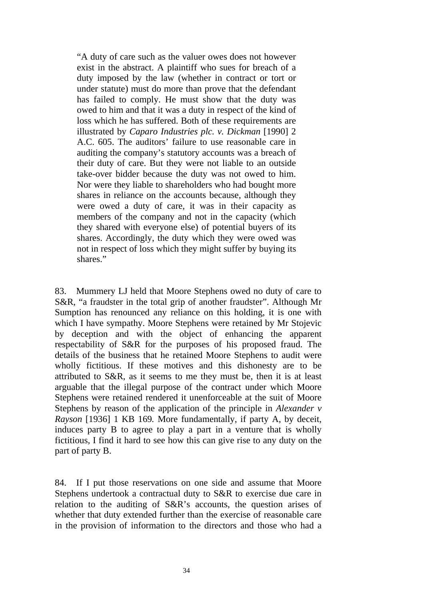"A duty of care such as the valuer owes does not however exist in the abstract. A plaintiff who sues for breach of a duty imposed by the law (whether in contract or tort or under statute) must do more than prove that the defendant has failed to comply. He must show that the duty was owed to him and that it was a duty in respect of the kind of loss which he has suffered. Both of these requirements are illustrated by *Caparo Industries plc. v. Dickman* [1990] 2 A.C. 605. The auditors' failure to use reasonable care in auditing the company's statutory accounts was a breach of their duty of care. But they were not liable to an outside take-over bidder because the duty was not owed to him. Nor were they liable to shareholders who had bought more shares in reliance on the accounts because, although they were owed a duty of care, it was in their capacity as members of the company and not in the capacity (which they shared with everyone else) of potential buyers of its shares. Accordingly, the duty which they were owed was not in respect of loss which they might suffer by buying its shares."

83. Mummery LJ held that Moore Stephens owed no duty of care to S&R, "a fraudster in the total grip of another fraudster". Although Mr Sumption has renounced any reliance on this holding, it is one with which I have sympathy. Moore Stephens were retained by Mr Stojevic by deception and with the object of enhancing the apparent respectability of S&R for the purposes of his proposed fraud. The details of the business that he retained Moore Stephens to audit were wholly fictitious. If these motives and this dishonesty are to be attributed to S&R, as it seems to me they must be, then it is at least arguable that the illegal purpose of the contract under which Moore Stephens were retained rendered it unenforceable at the suit of Moore Stephens by reason of the application of the principle in *Alexander v Rayson* [1936] 1 KB 169*.* More fundamentally, if party A, by deceit, induces party B to agree to play a part in a venture that is wholly fictitious, I find it hard to see how this can give rise to any duty on the part of party B.

84. If I put those reservations on one side and assume that Moore Stephens undertook a contractual duty to S&R to exercise due care in relation to the auditing of S&R's accounts, the question arises of whether that duty extended further than the exercise of reasonable care in the provision of information to the directors and those who had a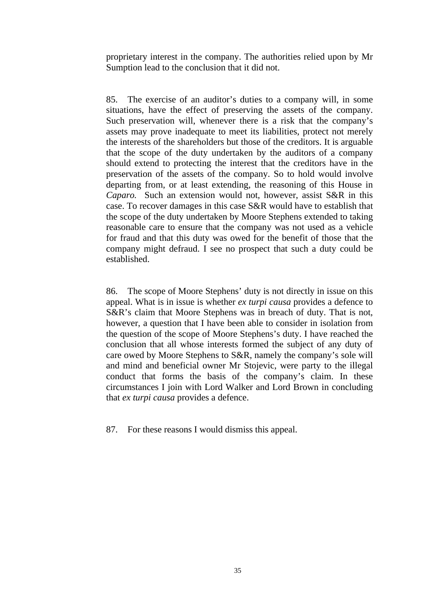proprietary interest in the company. The authorities relied upon by Mr Sumption lead to the conclusion that it did not.

85. The exercise of an auditor's duties to a company will, in some situations, have the effect of preserving the assets of the company. Such preservation will, whenever there is a risk that the company's assets may prove inadequate to meet its liabilities, protect not merely the interests of the shareholders but those of the creditors. It is arguable that the scope of the duty undertaken by the auditors of a company should extend to protecting the interest that the creditors have in the preservation of the assets of the company. So to hold would involve departing from, or at least extending, the reasoning of this House in *Caparo.* Such an extension would not, however, assist S&R in this case. To recover damages in this case S&R would have to establish that the scope of the duty undertaken by Moore Stephens extended to taking reasonable care to ensure that the company was not used as a vehicle for fraud and that this duty was owed for the benefit of those that the company might defraud. I see no prospect that such a duty could be established.

86. The scope of Moore Stephens' duty is not directly in issue on this appeal. What is in issue is whether *ex turpi causa* provides a defence to S&R's claim that Moore Stephens was in breach of duty. That is not, however, a question that I have been able to consider in isolation from the question of the scope of Moore Stephens's duty. I have reached the conclusion that all whose interests formed the subject of any duty of care owed by Moore Stephens to S&R, namely the company's sole will and mind and beneficial owner Mr Stojevic, were party to the illegal conduct that forms the basis of the company's claim. In these circumstances I join with Lord Walker and Lord Brown in concluding that *ex turpi causa* provides a defence.

87. For these reasons I would dismiss this appeal.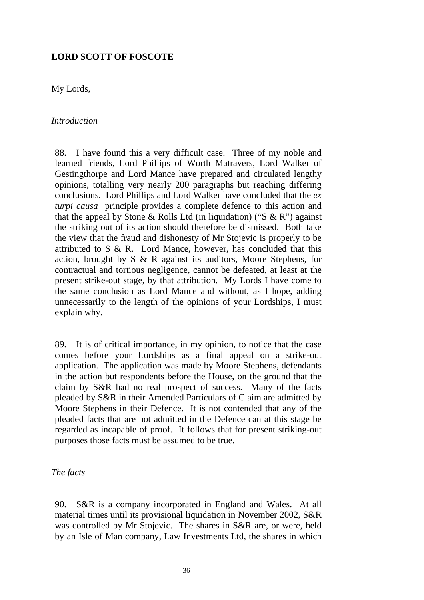# **LORD SCOTT OF FOSCOTE**

My Lords,

## *Introduction*

88. I have found this a very difficult case. Three of my noble and learned friends, Lord Phillips of Worth Matravers, Lord Walker of Gestingthorpe and Lord Mance have prepared and circulated lengthy opinions, totalling very nearly 200 paragraphs but reaching differing conclusions. Lord Phillips and Lord Walker have concluded that the *ex turpi causa* principle provides a complete defence to this action and that the appeal by Stone & Rolls Ltd (in liquidation) ("S & R") against the striking out of its action should therefore be dismissed. Both take the view that the fraud and dishonesty of Mr Stojevic is properly to be attributed to  $S \& R$ . Lord Mance, however, has concluded that this action, brought by S & R against its auditors, Moore Stephens, for contractual and tortious negligence, cannot be defeated, at least at the present strike-out stage, by that attribution. My Lords I have come to the same conclusion as Lord Mance and without, as I hope, adding unnecessarily to the length of the opinions of your Lordships, I must explain why.

89. It is of critical importance, in my opinion, to notice that the case comes before your Lordships as a final appeal on a strike-out application. The application was made by Moore Stephens, defendants in the action but respondents before the House, on the ground that the claim by S&R had no real prospect of success. Many of the facts pleaded by S&R in their Amended Particulars of Claim are admitted by Moore Stephens in their Defence. It is not contended that any of the pleaded facts that are not admitted in the Defence can at this stage be regarded as incapable of proof. It follows that for present striking-out purposes those facts must be assumed to be true.

*The facts* 

90. S&R is a company incorporated in England and Wales. At all material times until its provisional liquidation in November 2002, S&R was controlled by Mr Stojevic. The shares in S&R are, or were, held by an Isle of Man company, Law Investments Ltd, the shares in which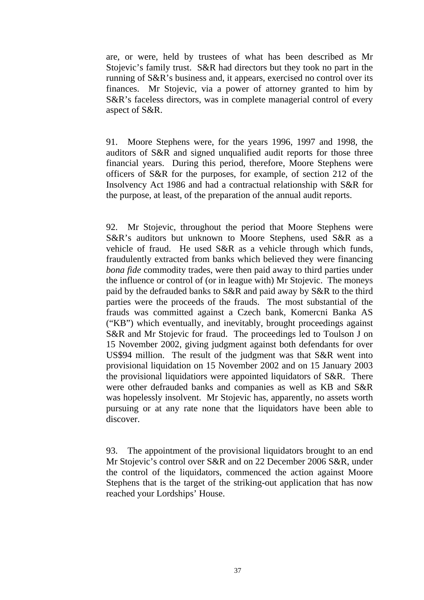are, or were, held by trustees of what has been described as Mr Stojevic's family trust. S&R had directors but they took no part in the running of S&R's business and, it appears, exercised no control over its finances. Mr Stojevic, via a power of attorney granted to him by S&R's faceless directors, was in complete managerial control of every aspect of S&R.

91. Moore Stephens were, for the years 1996, 1997 and 1998, the auditors of S&R and signed unqualified audit reports for those three financial years. During this period, therefore, Moore Stephens were officers of S&R for the purposes, for example, of section 212 of the Insolvency Act 1986 and had a contractual relationship with S&R for the purpose, at least, of the preparation of the annual audit reports.

92. Mr Stojevic, throughout the period that Moore Stephens were S&R's auditors but unknown to Moore Stephens, used S&R as a vehicle of fraud. He used S&R as a vehicle through which funds, fraudulently extracted from banks which believed they were financing *bona fide* commodity trades, were then paid away to third parties under the influence or control of (or in league with) Mr Stojevic. The moneys paid by the defrauded banks to S&R and paid away by S&R to the third parties were the proceeds of the frauds. The most substantial of the frauds was committed against a Czech bank, Komercni Banka AS ("KB") which eventually, and inevitably, brought proceedings against S&R and Mr Stojevic for fraud. The proceedings led to Toulson J on 15 November 2002, giving judgment against both defendants for over US\$94 million. The result of the judgment was that S&R went into provisional liquidation on 15 November 2002 and on 15 January 2003 the provisional liquidatiors were appointed liquidators of S&R. There were other defrauded banks and companies as well as KB and S&R was hopelessly insolvent. Mr Stojevic has, apparently, no assets worth pursuing or at any rate none that the liquidators have been able to discover.

93. The appointment of the provisional liquidators brought to an end Mr Stojevic's control over S&R and on 22 December 2006 S&R, under the control of the liquidators, commenced the action against Moore Stephens that is the target of the striking-out application that has now reached your Lordships' House.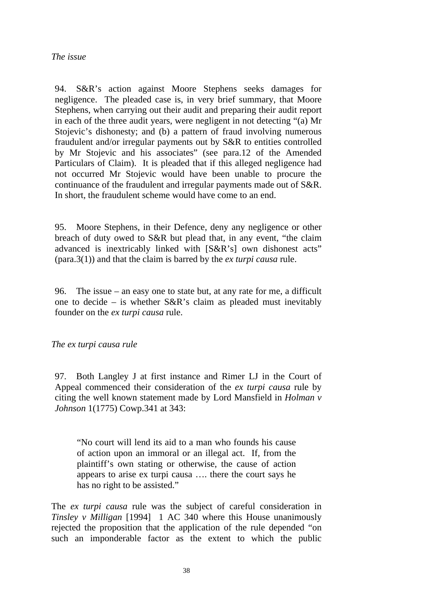94. S&R's action against Moore Stephens seeks damages for negligence. The pleaded case is, in very brief summary, that Moore Stephens, when carrying out their audit and preparing their audit report in each of the three audit years, were negligent in not detecting "(a) Mr Stojevic's dishonesty; and (b) a pattern of fraud involving numerous fraudulent and/or irregular payments out by S&R to entities controlled by Mr Stojevic and his associates" (see para.12 of the Amended Particulars of Claim). It is pleaded that if this alleged negligence had not occurred Mr Stojevic would have been unable to procure the continuance of the fraudulent and irregular payments made out of S&R. In short, the fraudulent scheme would have come to an end.

95. Moore Stephens, in their Defence, deny any negligence or other breach of duty owed to S&R but plead that, in any event, "the claim advanced is inextricably linked with [S&R's] own dishonest acts" (para.3(1)) and that the claim is barred by the *ex turpi causa* rule.

96. The issue – an easy one to state but, at any rate for me, a difficult one to decide – is whether  $S\&R$ 's claim as pleaded must inevitably founder on the *ex turpi causa* rule.

## *The ex turpi causa rule*

97. Both Langley J at first instance and Rimer LJ in the Court of Appeal commenced their consideration of the *ex turpi causa* rule by citing the well known statement made by Lord Mansfield in *Holman v Johnson* 1(1775) Cowp.341 at 343:

"No court will lend its aid to a man who founds his cause of action upon an immoral or an illegal act. If, from the plaintiff's own stating or otherwise, the cause of action appears to arise ex turpi causa …. there the court says he has no right to be assisted."

The *ex turpi causa* rule was the subject of careful consideration in *Tinsley v Milligan* [1994] 1 AC 340 where this House unanimously rejected the proposition that the application of the rule depended "on such an imponderable factor as the extent to which the public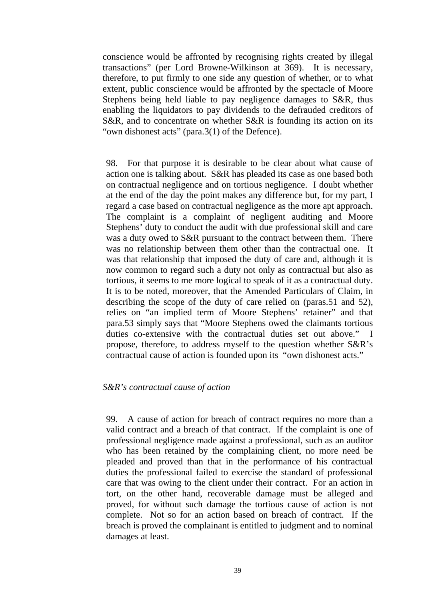conscience would be affronted by recognising rights created by illegal transactions" (per Lord Browne-Wilkinson at 369). It is necessary, therefore, to put firmly to one side any question of whether, or to what extent, public conscience would be affronted by the spectacle of Moore Stephens being held liable to pay negligence damages to S&R, thus enabling the liquidators to pay dividends to the defrauded creditors of S&R, and to concentrate on whether S&R is founding its action on its "own dishonest acts" (para.3(1) of the Defence).

98. For that purpose it is desirable to be clear about what cause of action one is talking about. S&R has pleaded its case as one based both on contractual negligence and on tortious negligence. I doubt whether at the end of the day the point makes any difference but, for my part, I regard a case based on contractual negligence as the more apt approach. The complaint is a complaint of negligent auditing and Moore Stephens' duty to conduct the audit with due professional skill and care was a duty owed to S&R pursuant to the contract between them. There was no relationship between them other than the contractual one. It was that relationship that imposed the duty of care and, although it is now common to regard such a duty not only as contractual but also as tortious, it seems to me more logical to speak of it as a contractual duty. It is to be noted, moreover, that the Amended Particulars of Claim, in describing the scope of the duty of care relied on (paras.51 and 52), relies on "an implied term of Moore Stephens' retainer" and that para.53 simply says that "Moore Stephens owed the claimants tortious duties co-extensive with the contractual duties set out above." I propose, therefore, to address myself to the question whether S&R's contractual cause of action is founded upon its "own dishonest acts."

#### *S&R's contractual cause of action*

99. A cause of action for breach of contract requires no more than a valid contract and a breach of that contract. If the complaint is one of professional negligence made against a professional, such as an auditor who has been retained by the complaining client, no more need be pleaded and proved than that in the performance of his contractual duties the professional failed to exercise the standard of professional care that was owing to the client under their contract. For an action in tort, on the other hand, recoverable damage must be alleged and proved, for without such damage the tortious cause of action is not complete. Not so for an action based on breach of contract. If the breach is proved the complainant is entitled to judgment and to nominal damages at least.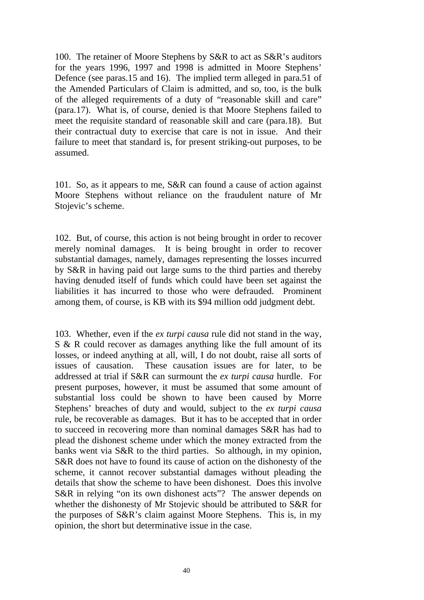100. The retainer of Moore Stephens by S&R to act as S&R's auditors for the years 1996, 1997 and 1998 is admitted in Moore Stephens' Defence (see paras.15 and 16). The implied term alleged in para.51 of the Amended Particulars of Claim is admitted, and so, too, is the bulk of the alleged requirements of a duty of "reasonable skill and care" (para.17). What is, of course, denied is that Moore Stephens failed to meet the requisite standard of reasonable skill and care (para.18). But their contractual duty to exercise that care is not in issue. And their failure to meet that standard is, for present striking-out purposes, to be assumed.

101. So, as it appears to me, S&R can found a cause of action against Moore Stephens without reliance on the fraudulent nature of Mr Stojevic's scheme.

102. But, of course, this action is not being brought in order to recover merely nominal damages. It is being brought in order to recover substantial damages, namely, damages representing the losses incurred by S&R in having paid out large sums to the third parties and thereby having denuded itself of funds which could have been set against the liabilities it has incurred to those who were defrauded. Prominent among them, of course, is KB with its \$94 million odd judgment debt.

103. Whether, even if the *ex turpi causa* rule did not stand in the way, S & R could recover as damages anything like the full amount of its losses, or indeed anything at all, will, I do not doubt, raise all sorts of issues of causation. These causation issues are for later, to be addressed at trial if S&R can surmount the *ex turpi causa* hurdle. For present purposes, however, it must be assumed that some amount of substantial loss could be shown to have been caused by Morre Stephens' breaches of duty and would, subject to the *ex turpi causa*  rule, be recoverable as damages. But it has to be accepted that in order to succeed in recovering more than nominal damages S&R has had to plead the dishonest scheme under which the money extracted from the banks went via S&R to the third parties. So although, in my opinion, S&R does not have to found its cause of action on the dishonesty of the scheme, it cannot recover substantial damages without pleading the details that show the scheme to have been dishonest. Does this involve S&R in relying "on its own dishonest acts"? The answer depends on whether the dishonesty of Mr Stojevic should be attributed to S&R for the purposes of S&R's claim against Moore Stephens. This is, in my opinion, the short but determinative issue in the case.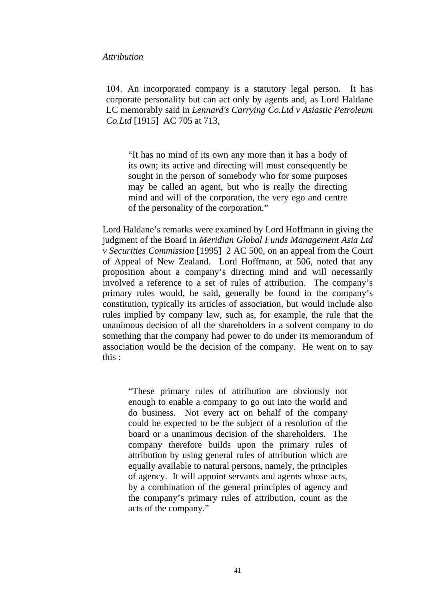### *Attribution*

104. An incorporated company is a statutory legal person. It has corporate personality but can act only by agents and, as Lord Haldane LC memorably said in *Lennard's Carrying Co.Ltd v Asiastic Petroleum Co.Ltd* [1915] AC 705 at 713,

"It has no mind of its own any more than it has a body of its own; its active and directing will must consequently be sought in the person of somebody who for some purposes may be called an agent, but who is really the directing mind and will of the corporation, the very ego and centre of the personality of the corporation."

Lord Haldane's remarks were examined by Lord Hoffmann in giving the judgment of the Board in *Meridian Global Funds Management Asia Ltd v Securities Commission* [1995] 2 AC 500, on an appeal from the Court of Appeal of New Zealand. Lord Hoffmann, at 506, noted that any proposition about a company's directing mind and will necessarily involved a reference to a set of rules of attribution. The company's primary rules would, he said, generally be found in the company's constitution, typically its articles of association, but would include also rules implied by company law, such as, for example, the rule that the unanimous decision of all the shareholders in a solvent company to do something that the company had power to do under its memorandum of association would be the decision of the company. He went on to say this :

"These primary rules of attribution are obviously not enough to enable a company to go out into the world and do business. Not every act on behalf of the company could be expected to be the subject of a resolution of the board or a unanimous decision of the shareholders. The company therefore builds upon the primary rules of attribution by using general rules of attribution which are equally available to natural persons, namely, the principles of agency. It will appoint servants and agents whose acts, by a combination of the general principles of agency and the company's primary rules of attribution, count as the acts of the company."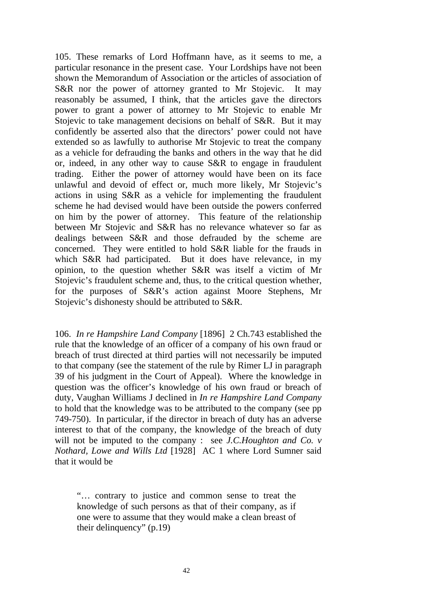105. These remarks of Lord Hoffmann have, as it seems to me, a particular resonance in the present case. Your Lordships have not been shown the Memorandum of Association or the articles of association of S&R nor the power of attorney granted to Mr Stojevic. It may reasonably be assumed, I think, that the articles gave the directors power to grant a power of attorney to Mr Stojevic to enable Mr Stojevic to take management decisions on behalf of S&R. But it may confidently be asserted also that the directors' power could not have extended so as lawfully to authorise Mr Stojevic to treat the company as a vehicle for defrauding the banks and others in the way that he did or, indeed, in any other way to cause S&R to engage in fraudulent trading. Either the power of attorney would have been on its face unlawful and devoid of effect or, much more likely, Mr Stojevic's actions in using S&R as a vehicle for implementing the fraudulent scheme he had devised would have been outside the powers conferred on him by the power of attorney. This feature of the relationship between Mr Stojevic and S&R has no relevance whatever so far as dealings between S&R and those defrauded by the scheme are concerned. They were entitled to hold S&R liable for the frauds in which S&R had participated. But it does have relevance, in my opinion, to the question whether S&R was itself a victim of Mr Stojevic's fraudulent scheme and, thus, to the critical question whether, for the purposes of S&R's action against Moore Stephens, Mr Stojevic's dishonesty should be attributed to S&R.

106. *In re Hampshire Land Company* [1896] 2 Ch.743 established the rule that the knowledge of an officer of a company of his own fraud or breach of trust directed at third parties will not necessarily be imputed to that company (see the statement of the rule by Rimer LJ in paragraph 39 of his judgment in the Court of Appeal). Where the knowledge in question was the officer's knowledge of his own fraud or breach of duty, Vaughan Williams J declined in *In re Hampshire Land Company*  to hold that the knowledge was to be attributed to the company (see pp 749-750). In particular, if the director in breach of duty has an adverse interest to that of the company, the knowledge of the breach of duty will not be imputed to the company : see *J.C.Houghton and Co. v Nothard, Lowe and Wills Ltd* [1928] AC 1 where Lord Sumner said that it would be

"… contrary to justice and common sense to treat the knowledge of such persons as that of their company, as if one were to assume that they would make a clean breast of their delinquency" (p.19)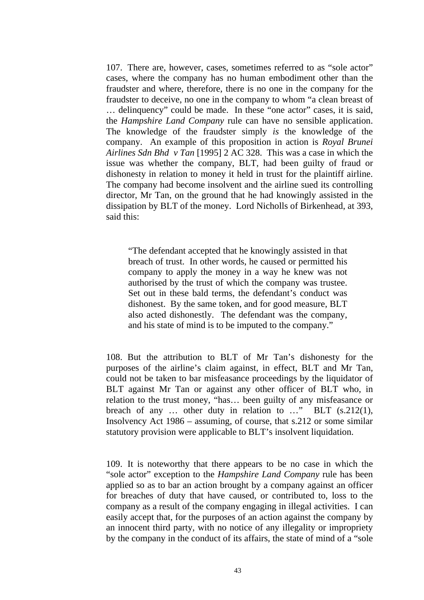107. There are, however, cases, sometimes referred to as "sole actor" cases, where the company has no human embodiment other than the fraudster and where, therefore, there is no one in the company for the fraudster to deceive, no one in the company to whom "a clean breast of … delinquency" could be made. In these "one actor" cases, it is said, the *Hampshire Land Company* rule can have no sensible application. The knowledge of the fraudster simply *is* the knowledge of the company. An example of this proposition in action is *Royal Brunei Airlines Sdn Bhd v Tan* [1995] 2 AC 328. This was a case in which the issue was whether the company, BLT, had been guilty of fraud or dishonesty in relation to money it held in trust for the plaintiff airline. The company had become insolvent and the airline sued its controlling director, Mr Tan, on the ground that he had knowingly assisted in the dissipation by BLT of the money. Lord Nicholls of Birkenhead, at 393, said this:

"The defendant accepted that he knowingly assisted in that breach of trust. In other words, he caused or permitted his company to apply the money in a way he knew was not authorised by the trust of which the company was trustee. Set out in these bald terms, the defendant's conduct was dishonest. By the same token, and for good measure, BLT also acted dishonestly. The defendant was the company, and his state of mind is to be imputed to the company."

108. But the attribution to BLT of Mr Tan's dishonesty for the purposes of the airline's claim against, in effect, BLT and Mr Tan, could not be taken to bar misfeasance proceedings by the liquidator of BLT against Mr Tan or against any other officer of BLT who, in relation to the trust money, "has… been guilty of any misfeasance or breach of any … other duty in relation to …" BLT (s.212(1), Insolvency Act 1986 – assuming, of course, that s.212 or some similar statutory provision were applicable to BLT's insolvent liquidation.

109. It is noteworthy that there appears to be no case in which the "sole actor" exception to the *Hampshire Land Company* rule has been applied so as to bar an action brought by a company against an officer for breaches of duty that have caused, or contributed to, loss to the company as a result of the company engaging in illegal activities. I can easily accept that, for the purposes of an action against the company by an innocent third party, with no notice of any illegality or impropriety by the company in the conduct of its affairs, the state of mind of a "sole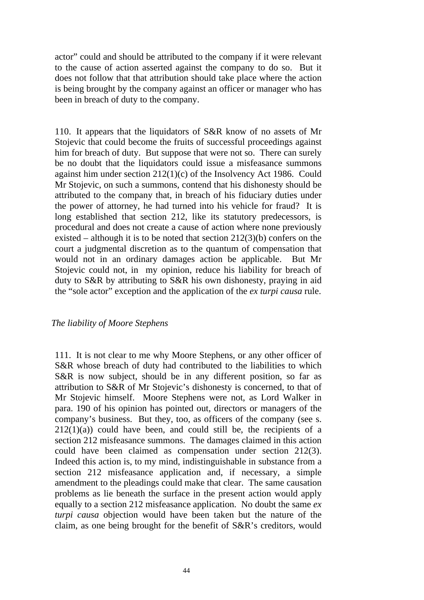actor" could and should be attributed to the company if it were relevant to the cause of action asserted against the company to do so. But it does not follow that that attribution should take place where the action is being brought by the company against an officer or manager who has been in breach of duty to the company.

110. It appears that the liquidators of S&R know of no assets of Mr Stojevic that could become the fruits of successful proceedings against him for breach of duty. But suppose that were not so. There can surely be no doubt that the liquidators could issue a misfeasance summons against him under section 212(1)(c) of the Insolvency Act 1986. Could Mr Stojevic, on such a summons, contend that his dishonesty should be attributed to the company that, in breach of his fiduciary duties under the power of attorney, he had turned into his vehicle for fraud? It is long established that section 212, like its statutory predecessors, is procedural and does not create a cause of action where none previously existed – although it is to be noted that section  $212(3)(b)$  confers on the court a judgmental discretion as to the quantum of compensation that would not in an ordinary damages action be applicable. But Mr Stojevic could not, in my opinion, reduce his liability for breach of duty to S&R by attributing to S&R his own dishonesty, praying in aid the "sole actor" exception and the application of the *ex turpi causa* rule.

## *The liability of Moore Stephens*

111. It is not clear to me why Moore Stephens, or any other officer of S&R whose breach of duty had contributed to the liabilities to which S&R is now subject, should be in any different position, so far as attribution to S&R of Mr Stojevic's dishonesty is concerned, to that of Mr Stojevic himself. Moore Stephens were not, as Lord Walker in para. 190 of his opinion has pointed out, directors or managers of the company's business. But they, too, as officers of the company (see s.  $212(1)(a)$  could have been, and could still be, the recipients of a section 212 misfeasance summons. The damages claimed in this action could have been claimed as compensation under section 212(3). Indeed this action is, to my mind, indistinguishable in substance from a section 212 misfeasance application and, if necessary, a simple amendment to the pleadings could make that clear. The same causation problems as lie beneath the surface in the present action would apply equally to a section 212 misfeasance application. No doubt the same *ex turpi causa* objection would have been taken but the nature of the claim, as one being brought for the benefit of S&R's creditors, would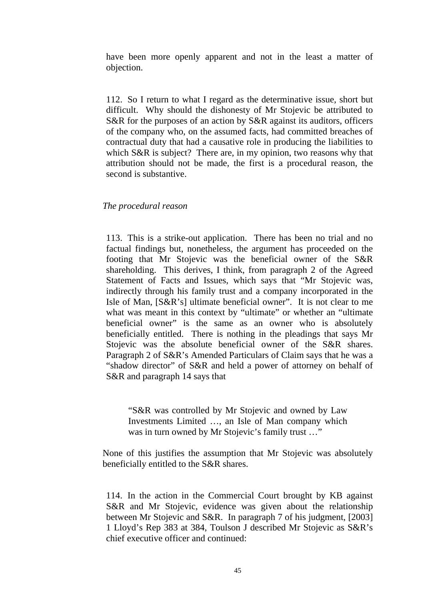have been more openly apparent and not in the least a matter of objection.

112. So I return to what I regard as the determinative issue, short but difficult. Why should the dishonesty of Mr Stojevic be attributed to S&R for the purposes of an action by S&R against its auditors, officers of the company who, on the assumed facts, had committed breaches of contractual duty that had a causative role in producing the liabilities to which S&R is subject? There are, in my opinion, two reasons why that attribution should not be made, the first is a procedural reason, the second is substantive.

### *The procedural reason*

113. This is a strike-out application. There has been no trial and no factual findings but, nonetheless, the argument has proceeded on the footing that Mr Stojevic was the beneficial owner of the S&R shareholding. This derives, I think, from paragraph 2 of the Agreed Statement of Facts and Issues, which says that "Mr Stojevic was, indirectly through his family trust and a company incorporated in the Isle of Man, [S&R's] ultimate beneficial owner". It is not clear to me what was meant in this context by "ultimate" or whether an "ultimate" beneficial owner" is the same as an owner who is absolutely beneficially entitled. There is nothing in the pleadings that says Mr Stojevic was the absolute beneficial owner of the S&R shares. Paragraph 2 of S&R's Amended Particulars of Claim says that he was a "shadow director" of S&R and held a power of attorney on behalf of S&R and paragraph 14 says that

"S&R was controlled by Mr Stojevic and owned by Law Investments Limited …, an Isle of Man company which was in turn owned by Mr Stojevic's family trust ..."

None of this justifies the assumption that Mr Stojevic was absolutely beneficially entitled to the S&R shares.

114. In the action in the Commercial Court brought by KB against S&R and Mr Stojevic, evidence was given about the relationship between Mr Stojevic and S&R. In paragraph 7 of his judgment, [2003] 1 Lloyd's Rep 383 at 384, Toulson J described Mr Stojevic as S&R's chief executive officer and continued: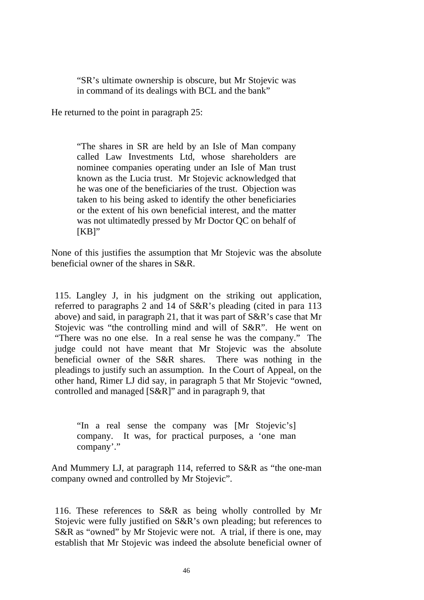"SR's ultimate ownership is obscure, but Mr Stojevic was in command of its dealings with BCL and the bank"

He returned to the point in paragraph 25:

"The shares in SR are held by an Isle of Man company called Law Investments Ltd, whose shareholders are nominee companies operating under an Isle of Man trust known as the Lucia trust. Mr Stojevic acknowledged that he was one of the beneficiaries of the trust. Objection was taken to his being asked to identify the other beneficiaries or the extent of his own beneficial interest, and the matter was not ultimatedly pressed by Mr Doctor QC on behalf of  $[KB"$ 

None of this justifies the assumption that Mr Stojevic was the absolute beneficial owner of the shares in S&R.

115. Langley J, in his judgment on the striking out application, referred to paragraphs 2 and 14 of S&R's pleading (cited in para 113 above) and said, in paragraph 21, that it was part of S&R's case that Mr Stojevic was "the controlling mind and will of S&R". He went on "There was no one else. In a real sense he was the company." The judge could not have meant that Mr Stojevic was the absolute beneficial owner of the S&R shares. There was nothing in the pleadings to justify such an assumption. In the Court of Appeal, on the other hand, Rimer LJ did say, in paragraph 5 that Mr Stojevic "owned, controlled and managed [S&R]" and in paragraph 9, that

"In a real sense the company was [Mr Stojevic's] company. It was, for practical purposes, a 'one man company'."

And Mummery LJ, at paragraph 114, referred to S&R as "the one-man company owned and controlled by Mr Stojevic".

116. These references to S&R as being wholly controlled by Mr Stojevic were fully justified on S&R's own pleading; but references to S&R as "owned" by Mr Stojevic were not. A trial, if there is one, may establish that Mr Stojevic was indeed the absolute beneficial owner of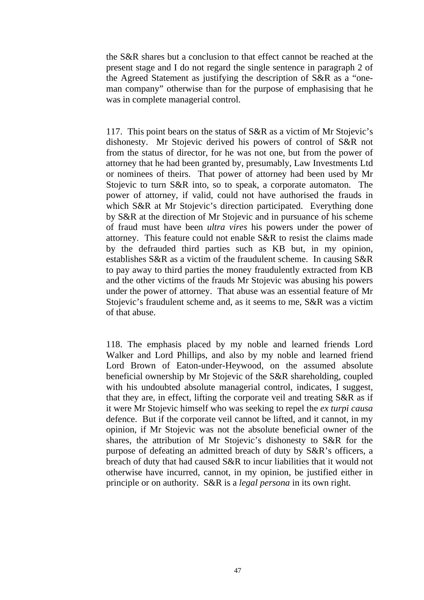the S&R shares but a conclusion to that effect cannot be reached at the present stage and I do not regard the single sentence in paragraph 2 of the Agreed Statement as justifying the description of S&R as a "oneman company" otherwise than for the purpose of emphasising that he was in complete managerial control.

117. This point bears on the status of S&R as a victim of Mr Stojevic's dishonesty. Mr Stojevic derived his powers of control of S&R not from the status of director, for he was not one, but from the power of attorney that he had been granted by, presumably, Law Investments Ltd or nominees of theirs. That power of attorney had been used by Mr Stojevic to turn S&R into, so to speak, a corporate automaton. The power of attorney, if valid, could not have authorised the frauds in which S&R at Mr Stojevic's direction participated. Everything done by S&R at the direction of Mr Stojevic and in pursuance of his scheme of fraud must have been *ultra vires* his powers under the power of attorney.This feature could not enable S&R to resist the claims made by the defrauded third parties such as KB but, in my opinion, establishes S&R as a victim of the fraudulent scheme. In causing S&R to pay away to third parties the money fraudulently extracted from KB and the other victims of the frauds Mr Stojevic was abusing his powers under the power of attorney. That abuse was an essential feature of Mr Stojevic's fraudulent scheme and, as it seems to me, S&R was a victim of that abuse.

118. The emphasis placed by my noble and learned friends Lord Walker and Lord Phillips, and also by my noble and learned friend Lord Brown of Eaton-under-Heywood, on the assumed absolute beneficial ownership by Mr Stojevic of the S&R shareholding, coupled with his undoubted absolute managerial control, indicates, I suggest, that they are, in effect, lifting the corporate veil and treating S&R as if it were Mr Stojevic himself who was seeking to repel the *ex turpi causa*  defence. But if the corporate veil cannot be lifted, and it cannot, in my opinion, if Mr Stojevic was not the absolute beneficial owner of the shares, the attribution of Mr Stojevic's dishonesty to S&R for the purpose of defeating an admitted breach of duty by S&R's officers, a breach of duty that had caused S&R to incur liabilities that it would not otherwise have incurred, cannot, in my opinion, be justified either in principle or on authority. S&R is a *legal persona* in its own right.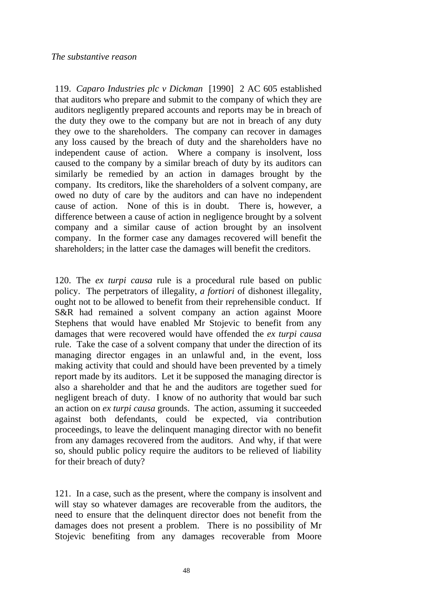119. *Caparo Industries plc v Dickman* [1990] 2 AC 605 established that auditors who prepare and submit to the company of which they are auditors negligently prepared accounts and reports may be in breach of the duty they owe to the company but are not in breach of any duty they owe to the shareholders. The company can recover in damages any loss caused by the breach of duty and the shareholders have no independent cause of action. Where a company is insolvent, loss caused to the company by a similar breach of duty by its auditors can similarly be remedied by an action in damages brought by the company. Its creditors, like the shareholders of a solvent company, are owed no duty of care by the auditors and can have no independent cause of action. None of this is in doubt. There is, however, a difference between a cause of action in negligence brought by a solvent company and a similar cause of action brought by an insolvent company. In the former case any damages recovered will benefit the shareholders; in the latter case the damages will benefit the creditors.

120. The *ex turpi causa* rule is a procedural rule based on public policy. The perpetrators of illegality, *a fortiori* of dishonest illegality, ought not to be allowed to benefit from their reprehensible conduct. If S&R had remained a solvent company an action against Moore Stephens that would have enabled Mr Stojevic to benefit from any damages that were recovered would have offended the *ex turpi causa*  rule. Take the case of a solvent company that under the direction of its managing director engages in an unlawful and, in the event, loss making activity that could and should have been prevented by a timely report made by its auditors. Let it be supposed the managing director is also a shareholder and that he and the auditors are together sued for negligent breach of duty. I know of no authority that would bar such an action on *ex turpi causa* grounds. The action, assuming it succeeded against both defendants, could be expected, via contribution proceedings, to leave the delinquent managing director with no benefit from any damages recovered from the auditors. And why, if that were so, should public policy require the auditors to be relieved of liability for their breach of duty?

121. In a case, such as the present, where the company is insolvent and will stay so whatever damages are recoverable from the auditors, the need to ensure that the delinquent director does not benefit from the damages does not present a problem. There is no possibility of Mr Stojevic benefiting from any damages recoverable from Moore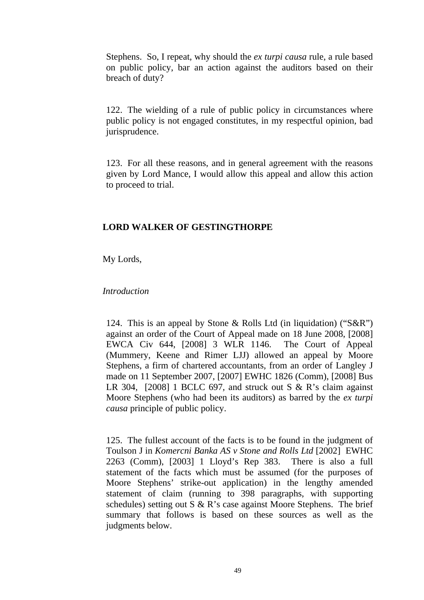Stephens. So, I repeat, why should the *ex turpi causa* rule, a rule based on public policy, bar an action against the auditors based on their breach of duty?

122. The wielding of a rule of public policy in circumstances where public policy is not engaged constitutes, in my respectful opinion, bad jurisprudence.

123. For all these reasons, and in general agreement with the reasons given by Lord Mance, I would allow this appeal and allow this action to proceed to trial.

## **LORD WALKER OF GESTINGTHORPE**

My Lords,

#### *Introduction*

124. This is an appeal by Stone & Rolls Ltd (in liquidation) ("S&R") against an order of the Court of Appeal made on 18 June 2008, [2008] EWCA Civ 644, [2008] 3 WLR 1146. The Court of Appeal (Mummery, Keene and Rimer LJJ) allowed an appeal by Moore Stephens, a firm of chartered accountants, from an order of Langley J made on 11 September 2007, [2007] EWHC 1826 (Comm), [2008] Bus LR 304,  $[2008]$  1 BCLC 697, and struck out S & R's claim against Moore Stephens (who had been its auditors) as barred by the *ex turpi causa* principle of public policy.

125. The fullest account of the facts is to be found in the judgment of Toulson J in *Komercni Banka AS v Stone and Rolls Ltd* [2002] EWHC 2263 (Comm), [2003] 1 Lloyd's Rep 383. There is also a full statement of the facts which must be assumed (for the purposes of Moore Stephens' strike-out application) in the lengthy amended statement of claim (running to 398 paragraphs, with supporting schedules) setting out S & R's case against Moore Stephens. The brief summary that follows is based on these sources as well as the judgments below.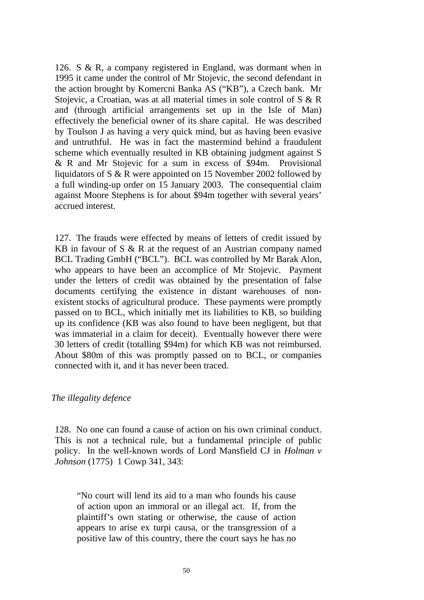126. S & R, a company registered in England, was dormant when in 1995 it came under the control of Mr Stojevic, the second defendant in the action brought by Komercni Banka AS ("KB"), a Czech bank. Mr Stojevic, a Croatian, was at all material times in sole control of S & R and (through artificial arrangements set up in the Isle of Man) effectively the beneficial owner of its share capital. He was described by Toulson J as having a very quick mind, but as having been evasive and untruthful. He was in fact the mastermind behind a fraudulent scheme which eventually resulted in KB obtaining judgment against S & R and Mr Stojevic for a sum in excess of \$94m. Provisional liquidators of S & R were appointed on 15 November 2002 followed by a full winding-up order on 15 January 2003. The consequential claim against Moore Stephens is for about \$94m together with several years' accrued interest.

127. The frauds were effected by means of letters of credit issued by KB in favour of S & R at the request of an Austrian company named BCL Trading GmbH ("BCL"). BCL was controlled by Mr Barak Alon, who appears to have been an accomplice of Mr Stojevic. Payment under the letters of credit was obtained by the presentation of false documents certifying the existence in distant warehouses of nonexistent stocks of agricultural produce. These payments were promptly passed on to BCL, which initially met its liabilities to KB, so building up its confidence (KB was also found to have been negligent, but that was immaterial in a claim for deceit). Eventually however there were 30 letters of credit (totalling \$94m) for which KB was not reimbursed. About \$80m of this was promptly passed on to BCL, or companies connected with it, and it has never been traced.

#### *The illegality defence*

128. No one can found a cause of action on his own criminal conduct. This is not a technical rule, but a fundamental principle of public policy. In the well-known words of Lord Mansfield CJ in *Holman v Johnson* (1775) 1 Cowp 341, 343:

"No court will lend its aid to a man who founds his cause of action upon an immoral or an illegal act. If, from the plaintiff's own stating or otherwise, the cause of action appears to arise ex turpi causa, or the transgression of a positive law of this country, there the court says he has no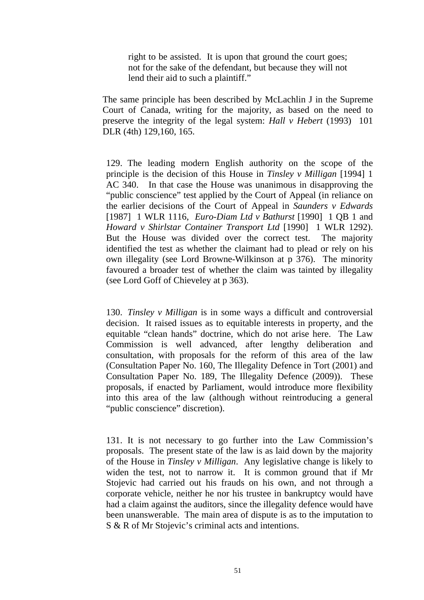right to be assisted. It is upon that ground the court goes; not for the sake of the defendant, but because they will not lend their aid to such a plaintiff."

The same principle has been described by McLachlin J in the Supreme Court of Canada, writing for the majority, as based on the need to preserve the integrity of the legal system: *Hall v Hebert* (1993) 101 DLR (4th) 129,160, 165.

129. The leading modern English authority on the scope of the principle is the decision of this House in *Tinsley v Milligan* [1994] 1 AC 340. In that case the House was unanimous in disapproving the "public conscience" test applied by the Court of Appeal (in reliance on the earlier decisions of the Court of Appeal in *Saunders v Edwards* [1987] 1 WLR 1116, *Euro-Diam Ltd v Bathurst* [1990] 1 QB 1 and *Howard v Shirlstar Container Transport Ltd* [1990] 1 WLR 1292). But the House was divided over the correct test. The majority identified the test as whether the claimant had to plead or rely on his own illegality (see Lord Browne-Wilkinson at p 376). The minority favoured a broader test of whether the claim was tainted by illegality (see Lord Goff of Chieveley at p 363).

130. *Tinsley v Milligan* is in some ways a difficult and controversial decision. It raised issues as to equitable interests in property, and the equitable "clean hands" doctrine, which do not arise here. The Law Commission is well advanced, after lengthy deliberation and consultation, with proposals for the reform of this area of the law (Consultation Paper No. 160, The Illegality Defence in Tort (2001) and Consultation Paper No. 189, The Illegality Defence (2009)). These proposals, if enacted by Parliament, would introduce more flexibility into this area of the law (although without reintroducing a general "public conscience" discretion).

131. It is not necessary to go further into the Law Commission's proposals. The present state of the law is as laid down by the majority of the House in *Tinsley v Milligan*. Any legislative change is likely to widen the test, not to narrow it. It is common ground that if Mr Stojevic had carried out his frauds on his own, and not through a corporate vehicle, neither he nor his trustee in bankruptcy would have had a claim against the auditors, since the illegality defence would have been unanswerable. The main area of dispute is as to the imputation to S & R of Mr Stojevic's criminal acts and intentions.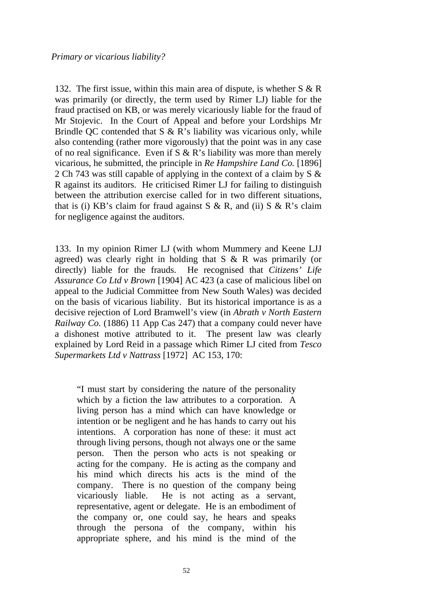132. The first issue, within this main area of dispute, is whether  $S \& R$ was primarily (or directly, the term used by Rimer LJ) liable for the fraud practised on KB, or was merely vicariously liable for the fraud of Mr Stojevic. In the Court of Appeal and before your Lordships Mr Brindle QC contended that S & R's liability was vicarious only, while also contending (rather more vigorously) that the point was in any case of no real significance. Even if  $S \& R$ 's liability was more than merely vicarious, he submitted, the principle in *Re Hampshire Land Co.* [1896] 2 Ch 743 was still capable of applying in the context of a claim by S & R against its auditors. He criticised Rimer LJ for failing to distinguish between the attribution exercise called for in two different situations, that is (i) KB's claim for fraud against  $S \& R$ , and (ii)  $S \& R$ 's claim for negligence against the auditors.

133. In my opinion Rimer LJ (with whom Mummery and Keene LJJ agreed) was clearly right in holding that S & R was primarily (or directly) liable for the frauds. He recognised that *Citizens' Life Assurance Co Ltd v Brown* [1904] AC 423 (a case of malicious libel on appeal to the Judicial Committee from New South Wales) was decided on the basis of vicarious liability. But its historical importance is as a decisive rejection of Lord Bramwell's view (in *Abrath v North Eastern Railway Co.* (1886) 11 App Cas 247) that a company could never have a dishonest motive attributed to it. The present law was clearly explained by Lord Reid in a passage which Rimer LJ cited from *Tesco Supermarkets Ltd v Nattrass* [1972] AC 153, 170:

"I must start by considering the nature of the personality which by a fiction the law attributes to a corporation. A living person has a mind which can have knowledge or intention or be negligent and he has hands to carry out his intentions. A corporation has none of these: it must act through living persons, though not always one or the same person. Then the person who acts is not speaking or acting for the company. He is acting as the company and his mind which directs his acts is the mind of the company. There is no question of the company being vicariously liable. He is not acting as a servant, representative, agent or delegate. He is an embodiment of the company or, one could say, he hears and speaks through the persona of the company, within his appropriate sphere, and his mind is the mind of the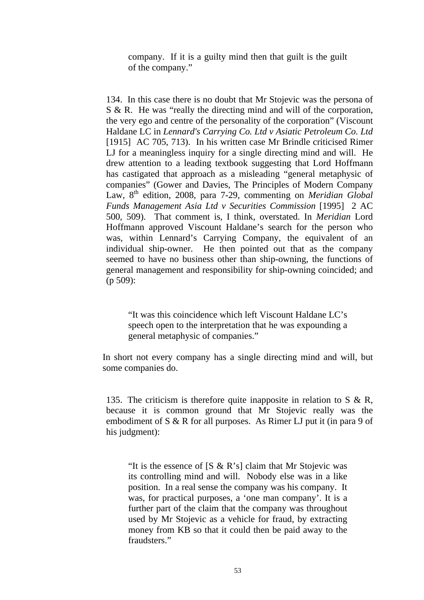company. If it is a guilty mind then that guilt is the guilt of the company."

134. In this case there is no doubt that Mr Stojevic was the persona of S & R. He was "really the directing mind and will of the corporation, the very ego and centre of the personality of the corporation" (Viscount Haldane LC in *Lennard's Carrying Co. Ltd v Asiatic Petroleum Co. Ltd* [1915] AC 705, 713). In his written case Mr Brindle criticised Rimer LJ for a meaningless inquiry for a single directing mind and will. He drew attention to a leading textbook suggesting that Lord Hoffmann has castigated that approach as a misleading "general metaphysic of companies" (Gower and Davies, The Principles of Modern Company Law, 8<sup>th</sup> edition, 2008, para 7-29, commenting on *Meridian Global Funds Management Asia Ltd v Securities Commission* [1995] 2 AC 500, 509). That comment is, I think, overstated. In *Meridian* Lord Hoffmann approved Viscount Haldane's search for the person who was, within Lennard's Carrying Company, the equivalent of an individual ship-owner. He then pointed out that as the company seemed to have no business other than ship-owning, the functions of general management and responsibility for ship-owning coincided; and (p 509):

"It was this coincidence which left Viscount Haldane LC's speech open to the interpretation that he was expounding a general metaphysic of companies."

In short not every company has a single directing mind and will, but some companies do.

135. The criticism is therefore quite inapposite in relation to S & R, because it is common ground that Mr Stojevic really was the embodiment of S & R for all purposes. As Rimer LJ put it (in para 9 of his judgment):

"It is the essence of  $[S \& R's]$  claim that Mr Stojevic was its controlling mind and will. Nobody else was in a like position. In a real sense the company was his company. It was, for practical purposes, a 'one man company'. It is a further part of the claim that the company was throughout used by Mr Stojevic as a vehicle for fraud, by extracting money from KB so that it could then be paid away to the fraudsters."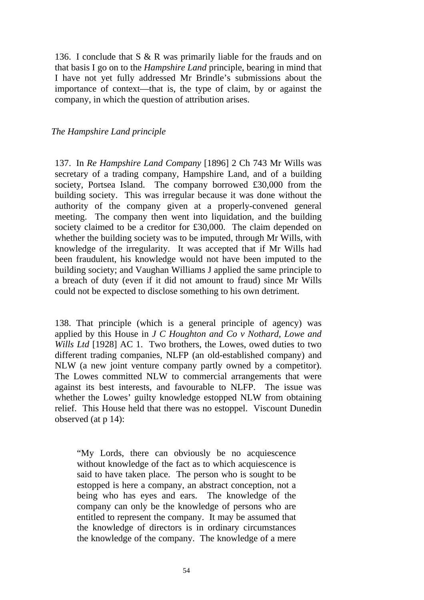136. I conclude that S & R was primarily liable for the frauds and on that basis I go on to the *Hampshire Land* principle, bearing in mind that I have not yet fully addressed Mr Brindle's submissions about the importance of context—that is, the type of claim, by or against the company, in which the question of attribution arises.

#### *The Hampshire Land principle*

137. In *Re Hampshire Land Company* [1896] 2 Ch 743 Mr Wills was secretary of a trading company, Hampshire Land, and of a building society, Portsea Island. The company borrowed £30,000 from the building society. This was irregular because it was done without the authority of the company given at a properly-convened general meeting. The company then went into liquidation, and the building society claimed to be a creditor for £30,000. The claim depended on whether the building society was to be imputed, through Mr Wills, with knowledge of the irregularity. It was accepted that if Mr Wills had been fraudulent, his knowledge would not have been imputed to the building society; and Vaughan Williams J applied the same principle to a breach of duty (even if it did not amount to fraud) since Mr Wills could not be expected to disclose something to his own detriment.

138. That principle (which is a general principle of agency) was applied by this House in *J C Houghton and Co v Nothard, Lowe and Wills Ltd* [1928] AC 1. Two brothers, the Lowes, owed duties to two different trading companies, NLFP (an old-established company) and NLW (a new joint venture company partly owned by a competitor). The Lowes committed NLW to commercial arrangements that were against its best interests, and favourable to NLFP. The issue was whether the Lowes' guilty knowledge estopped NLW from obtaining relief. This House held that there was no estoppel. Viscount Dunedin observed (at p 14):

"My Lords, there can obviously be no acquiescence without knowledge of the fact as to which acquiescence is said to have taken place. The person who is sought to be estopped is here a company, an abstract conception, not a being who has eyes and ears. The knowledge of the company can only be the knowledge of persons who are entitled to represent the company. It may be assumed that the knowledge of directors is in ordinary circumstances the knowledge of the company. The knowledge of a mere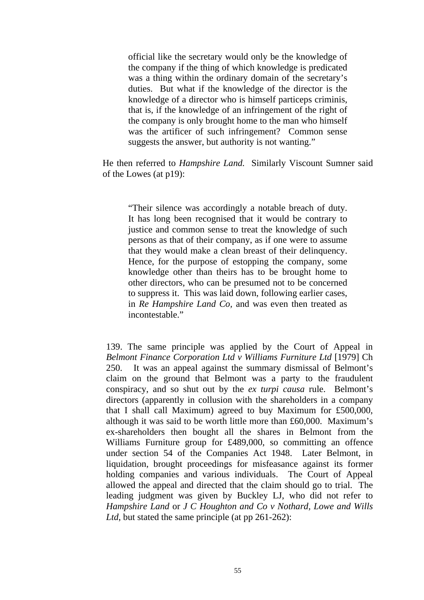official like the secretary would only be the knowledge of the company if the thing of which knowledge is predicated was a thing within the ordinary domain of the secretary's duties. But what if the knowledge of the director is the knowledge of a director who is himself particeps criminis, that is, if the knowledge of an infringement of the right of the company is only brought home to the man who himself was the artificer of such infringement? Common sense suggests the answer, but authority is not wanting."

He then referred to *Hampshire Land.* Similarly Viscount Sumner said of the Lowes (at p19):

"Their silence was accordingly a notable breach of duty. It has long been recognised that it would be contrary to justice and common sense to treat the knowledge of such persons as that of their company, as if one were to assume that they would make a clean breast of their delinquency. Hence, for the purpose of estopping the company, some knowledge other than theirs has to be brought home to other directors, who can be presumed not to be concerned to suppress it. This was laid down, following earlier cases, in *Re Hampshire Land Co,* and was even then treated as incontestable."

139. The same principle was applied by the Court of Appeal in *Belmont Finance Corporation Ltd v Williams Furniture Ltd* [1979] Ch 250. It was an appeal against the summary dismissal of Belmont's claim on the ground that Belmont was a party to the fraudulent conspiracy, and so shut out by the *ex turpi causa* rule. Belmont's directors (apparently in collusion with the shareholders in a company that I shall call Maximum) agreed to buy Maximum for £500,000, although it was said to be worth little more than £60,000. Maximum's ex-shareholders then bought all the shares in Belmont from the Williams Furniture group for £489,000, so committing an offence under section 54 of the Companies Act 1948. Later Belmont, in liquidation, brought proceedings for misfeasance against its former holding companies and various individuals. The Court of Appeal allowed the appeal and directed that the claim should go to trial. The leading judgment was given by Buckley LJ, who did not refer to *Hampshire Land* or *J C Houghton and Co v Nothard, Lowe and Wills Ltd*, but stated the same principle (at pp 261-262):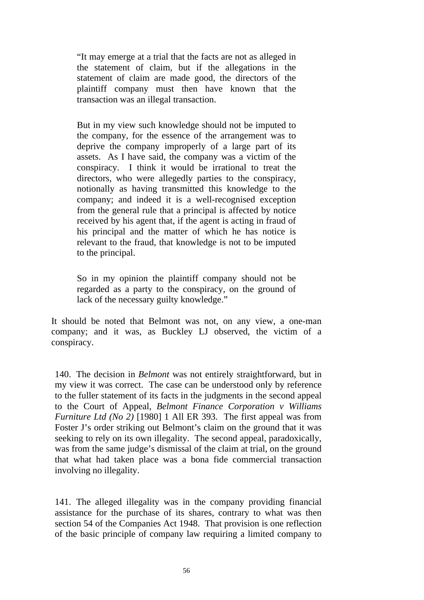"It may emerge at a trial that the facts are not as alleged in the statement of claim, but if the allegations in the statement of claim are made good, the directors of the plaintiff company must then have known that the transaction was an illegal transaction.

But in my view such knowledge should not be imputed to the company, for the essence of the arrangement was to deprive the company improperly of a large part of its assets. As I have said, the company was a victim of the conspiracy. I think it would be irrational to treat the directors, who were allegedly parties to the conspiracy, notionally as having transmitted this knowledge to the company; and indeed it is a well-recognised exception from the general rule that a principal is affected by notice received by his agent that, if the agent is acting in fraud of his principal and the matter of which he has notice is relevant to the fraud, that knowledge is not to be imputed to the principal.

So in my opinion the plaintiff company should not be regarded as a party to the conspiracy, on the ground of lack of the necessary guilty knowledge."

It should be noted that Belmont was not, on any view, a one-man company; and it was, as Buckley LJ observed, the victim of a conspiracy.

140. The decision in *Belmont* was not entirely straightforward, but in my view it was correct. The case can be understood only by reference to the fuller statement of its facts in the judgments in the second appeal to the Court of Appeal, *Belmont Finance Corporation v Williams Furniture Ltd (No 2)* [1980] 1 All ER 393. The first appeal was from Foster J's order striking out Belmont's claim on the ground that it was seeking to rely on its own illegality. The second appeal, paradoxically, was from the same judge's dismissal of the claim at trial, on the ground that what had taken place was a bona fide commercial transaction involving no illegality.

141. The alleged illegality was in the company providing financial assistance for the purchase of its shares, contrary to what was then section 54 of the Companies Act 1948. That provision is one reflection of the basic principle of company law requiring a limited company to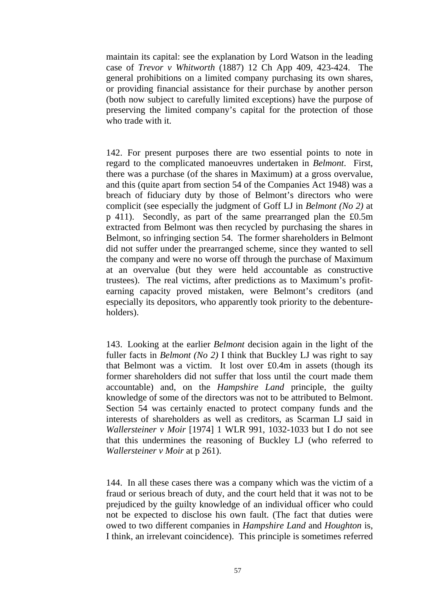maintain its capital: see the explanation by Lord Watson in the leading case of *Trevor v Whitworth* (1887) 12 Ch App 409, 423-424. The general prohibitions on a limited company purchasing its own shares, or providing financial assistance for their purchase by another person (both now subject to carefully limited exceptions) have the purpose of preserving the limited company's capital for the protection of those who trade with it.

142. For present purposes there are two essential points to note in regard to the complicated manoeuvres undertaken in *Belmont*. First, there was a purchase (of the shares in Maximum) at a gross overvalue, and this (quite apart from section 54 of the Companies Act 1948) was a breach of fiduciary duty by those of Belmont's directors who were complicit (see especially the judgment of Goff LJ in *Belmont (No 2)* at p 411). Secondly, as part of the same prearranged plan the £0.5m extracted from Belmont was then recycled by purchasing the shares in Belmont, so infringing section 54. The former shareholders in Belmont did not suffer under the prearranged scheme, since they wanted to sell the company and were no worse off through the purchase of Maximum at an overvalue (but they were held accountable as constructive trustees). The real victims, after predictions as to Maximum's profitearning capacity proved mistaken, were Belmont's creditors (and especially its depositors, who apparently took priority to the debentureholders).

143. Looking at the earlier *Belmont* decision again in the light of the fuller facts in *Belmont (No 2)* I think that Buckley LJ was right to say that Belmont was a victim. It lost over £0.4m in assets (though its former shareholders did not suffer that loss until the court made them accountable) and, on the *Hampshire Land* principle, the guilty knowledge of some of the directors was not to be attributed to Belmont. Section 54 was certainly enacted to protect company funds and the interests of shareholders as well as creditors, as Scarman LJ said in *Wallersteiner v Moir* [1974] 1 WLR 991, 1032-1033 but I do not see that this undermines the reasoning of Buckley LJ (who referred to *Wallersteiner v Moir* at p 261).

144. In all these cases there was a company which was the victim of a fraud or serious breach of duty, and the court held that it was not to be prejudiced by the guilty knowledge of an individual officer who could not be expected to disclose his own fault. (The fact that duties were owed to two different companies in *Hampshire Land* and *Houghton* is, I think, an irrelevant coincidence). This principle is sometimes referred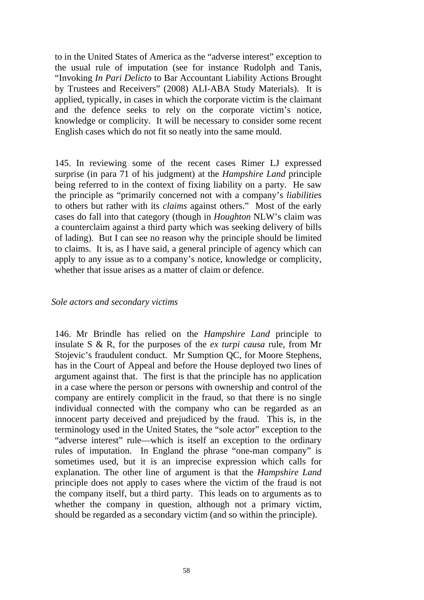to in the United States of America as the "adverse interest" exception to the usual rule of imputation (see for instance Rudolph and Tanis, "Invoking *In Pari Delicto* to Bar Accountant Liability Actions Brought by Trustees and Receivers" (2008) ALI-ABA Study Materials). It is applied, typically, in cases in which the corporate victim is the claimant and the defence seeks to rely on the corporate victim's notice, knowledge or complicity. It will be necessary to consider some recent English cases which do not fit so neatly into the same mould.

145. In reviewing some of the recent cases Rimer LJ expressed surprise (in para 71 of his judgment) at the *Hampshire Land* principle being referred to in the context of fixing liability on a party. He saw the principle as "primarily concerned not with a company's *liabilities*  to others but rather with its *claims* against others." Most of the early cases do fall into that category (though in *Houghton* NLW's claim was a counterclaim against a third party which was seeking delivery of bills of lading). But I can see no reason why the principle should be limited to claims. It is, as I have said, a general principle of agency which can apply to any issue as to a company's notice, knowledge or complicity, whether that issue arises as a matter of claim or defence.

#### *Sole actors and secondary victims*

146. Mr Brindle has relied on the *Hampshire Land* principle to insulate S & R, for the purposes of the *ex turpi causa* rule, from Mr Stojevic's fraudulent conduct. Mr Sumption QC, for Moore Stephens, has in the Court of Appeal and before the House deployed two lines of argument against that. The first is that the principle has no application in a case where the person or persons with ownership and control of the company are entirely complicit in the fraud, so that there is no single individual connected with the company who can be regarded as an innocent party deceived and prejudiced by the fraud. This is, in the terminology used in the United States, the "sole actor" exception to the "adverse interest" rule—which is itself an exception to the ordinary rules of imputation. In England the phrase "one-man company" is sometimes used, but it is an imprecise expression which calls for explanation. The other line of argument is that the *Hampshire Land*  principle does not apply to cases where the victim of the fraud is not the company itself, but a third party. This leads on to arguments as to whether the company in question, although not a primary victim, should be regarded as a secondary victim (and so within the principle).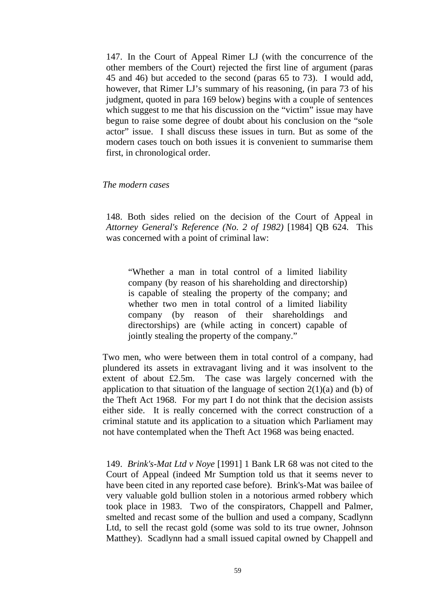147. In the Court of Appeal Rimer LJ (with the concurrence of the other members of the Court) rejected the first line of argument (paras 45 and 46) but acceded to the second (paras 65 to 73). I would add, however, that Rimer LJ's summary of his reasoning, (in para 73 of his judgment, quoted in para 169 below) begins with a couple of sentences which suggest to me that his discussion on the "victim" issue may have begun to raise some degree of doubt about his conclusion on the "sole actor" issue. I shall discuss these issues in turn. But as some of the modern cases touch on both issues it is convenient to summarise them first, in chronological order.

### *The modern cases*

148. Both sides relied on the decision of the Court of Appeal in *Attorney General's Reference (No. 2 of 1982)* [1984] QB 624. This was concerned with a point of criminal law:

"Whether a man in total control of a limited liability company (by reason of his shareholding and directorship) is capable of stealing the property of the company; and whether two men in total control of a limited liability company (by reason of their shareholdings and directorships) are (while acting in concert) capable of jointly stealing the property of the company."

Two men, who were between them in total control of a company, had plundered its assets in extravagant living and it was insolvent to the extent of about £2.5m. The case was largely concerned with the application to that situation of the language of section  $2(1)(a)$  and (b) of the Theft Act 1968. For my part I do not think that the decision assists either side. It is really concerned with the correct construction of a criminal statute and its application to a situation which Parliament may not have contemplated when the Theft Act 1968 was being enacted.

149. *Brink's-Mat Ltd v Noye* [1991] 1 Bank LR 68 was not cited to the Court of Appeal (indeed Mr Sumption told us that it seems never to have been cited in any reported case before). Brink's-Mat was bailee of very valuable gold bullion stolen in a notorious armed robbery which took place in 1983. Two of the conspirators, Chappell and Palmer, smelted and recast some of the bullion and used a company, Scadlynn Ltd, to sell the recast gold (some was sold to its true owner, Johnson Matthey). Scadlynn had a small issued capital owned by Chappell and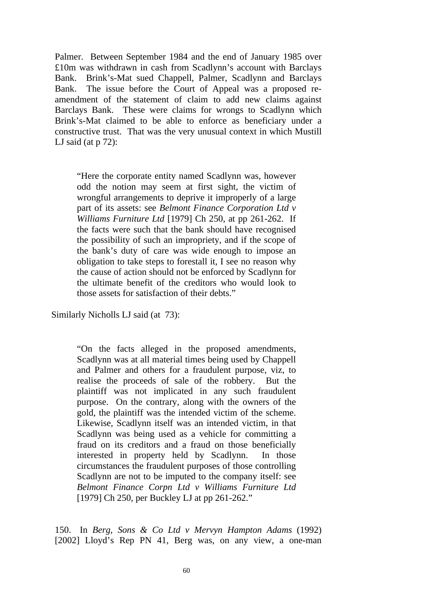Palmer. Between September 1984 and the end of January 1985 over £10m was withdrawn in cash from Scadlynn's account with Barclays Bank. Brink's-Mat sued Chappell, Palmer, Scadlynn and Barclays Bank. The issue before the Court of Appeal was a proposed reamendment of the statement of claim to add new claims against Barclays Bank. These were claims for wrongs to Scadlynn which Brink's-Mat claimed to be able to enforce as beneficiary under a constructive trust. That was the very unusual context in which Mustill LJ said (at  $p\ 72$ ):

"Here the corporate entity named Scadlynn was, however odd the notion may seem at first sight, the victim of wrongful arrangements to deprive it improperly of a large part of its assets: see *Belmont Finance Corporation Ltd v Williams Furniture Ltd* [1979] Ch 250, at pp 261-262. If the facts were such that the bank should have recognised the possibility of such an impropriety, and if the scope of the bank's duty of care was wide enough to impose an obligation to take steps to forestall it, I see no reason why the cause of action should not be enforced by Scadlynn for the ultimate benefit of the creditors who would look to those assets for satisfaction of their debts."

Similarly Nicholls LJ said (at 73):

"On the facts alleged in the proposed amendments, Scadlynn was at all material times being used by Chappell and Palmer and others for a fraudulent purpose, viz, to realise the proceeds of sale of the robbery. But the plaintiff was not implicated in any such fraudulent purpose. On the contrary, along with the owners of the gold, the plaintiff was the intended victim of the scheme. Likewise, Scadlynn itself was an intended victim, in that Scadlynn was being used as a vehicle for committing a fraud on its creditors and a fraud on those beneficially interested in property held by Scadlynn. In those circumstances the fraudulent purposes of those controlling Scadlynn are not to be imputed to the company itself: see *Belmont Finance Corpn Ltd v Williams Furniture Ltd* [1979] Ch 250, per Buckley LJ at pp 261-262."

150. In *Berg, Sons & Co Ltd v Mervyn Hampton Adams* (1992) [2002] Lloyd's Rep PN 41, Berg was, on any view, a one-man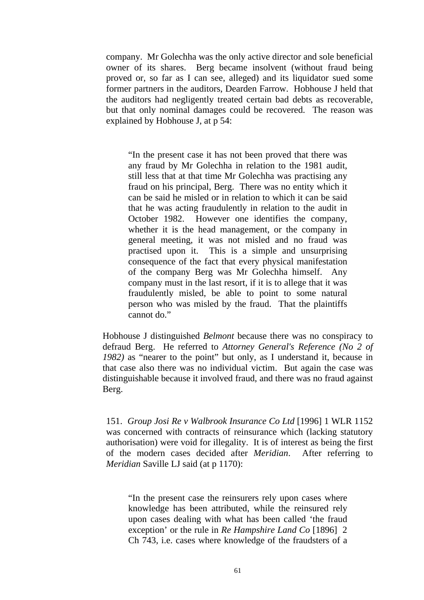company. Mr Golechha was the only active director and sole beneficial owner of its shares. Berg became insolvent (without fraud being proved or, so far as I can see, alleged) and its liquidator sued some former partners in the auditors, Dearden Farrow. Hobhouse J held that the auditors had negligently treated certain bad debts as recoverable, but that only nominal damages could be recovered. The reason was explained by Hobhouse J, at p 54:

"In the present case it has not been proved that there was any fraud by Mr Golechha in relation to the 1981 audit, still less that at that time Mr Golechha was practising any fraud on his principal, Berg. There was no entity which it can be said he misled or in relation to which it can be said that he was acting fraudulently in relation to the audit in October 1982. However one identifies the company, whether it is the head management, or the company in general meeting, it was not misled and no fraud was practised upon it. This is a simple and unsurprising consequence of the fact that every physical manifestation of the company Berg was Mr Golechha himself. Any company must in the last resort, if it is to allege that it was fraudulently misled, be able to point to some natural person who was misled by the fraud. That the plaintiffs cannot do."

Hobhouse J distinguished *Belmont* because there was no conspiracy to defraud Berg. He referred to *Attorney General's Reference (No 2 of 1982)* as "nearer to the point" but only, as I understand it, because in that case also there was no individual victim. But again the case was distinguishable because it involved fraud, and there was no fraud against Berg.

151. *Group Josi Re v Walbrook Insurance Co Ltd* [1996] 1 WLR 1152 was concerned with contracts of reinsurance which (lacking statutory authorisation) were void for illegality. It is of interest as being the first of the modern cases decided after *Meridian*. After referring to *Meridian* Saville LJ said (at p 1170):

"In the present case the reinsurers rely upon cases where knowledge has been attributed, while the reinsured rely upon cases dealing with what has been called 'the fraud exception' or the rule in *Re Hampshire Land Co* [1896] 2 Ch 743, i.e. cases where knowledge of the fraudsters of a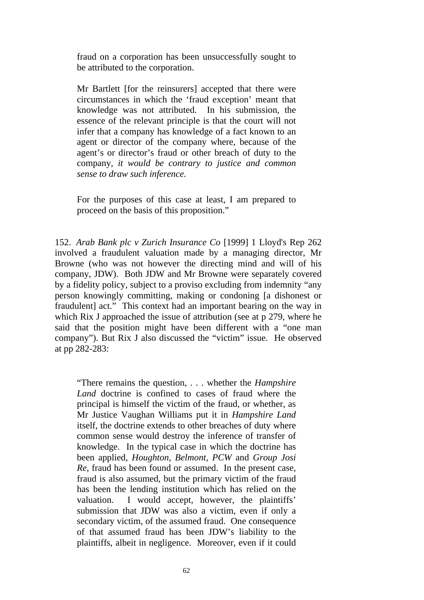fraud on a corporation has been unsuccessfully sought to be attributed to the corporation.

Mr Bartlett [for the reinsurers] accepted that there were circumstances in which the 'fraud exception' meant that knowledge was not attributed. In his submission, the essence of the relevant principle is that the court will not infer that a company has knowledge of a fact known to an agent or director of the company where, because of the agent's or director's fraud or other breach of duty to the company, *it would be contrary to justice and common sense to draw such inference.* 

For the purposes of this case at least, I am prepared to proceed on the basis of this proposition."

152. *Arab Bank plc v Zurich Insurance Co* [1999] 1 Lloyd's Rep 262 involved a fraudulent valuation made by a managing director, Mr Browne (who was not however the directing mind and will of his company, JDW). Both JDW and Mr Browne were separately covered by a fidelity policy, subject to a proviso excluding from indemnity "any person knowingly committing, making or condoning [a dishonest or fraudulent] act." This context had an important bearing on the way in which Rix J approached the issue of attribution (see at p 279, where he said that the position might have been different with a "one man company"). But Rix J also discussed the "victim" issue. He observed at pp 282-283:

"There remains the question, . . . whether the *Hampshire Land* doctrine is confined to cases of fraud where the principal is himself the victim of the fraud, or whether, as Mr Justice Vaughan Williams put it in *Hampshire Land* itself, the doctrine extends to other breaches of duty where common sense would destroy the inference of transfer of knowledge. In the typical case in which the doctrine has been applied, *Houghton, Belmont, PCW* and *Group Josi Re*, fraud has been found or assumed. In the present case, fraud is also assumed, but the primary victim of the fraud has been the lending institution which has relied on the valuation. I would accept, however, the plaintiffs' submission that JDW was also a victim, even if only a secondary victim, of the assumed fraud. One consequence of that assumed fraud has been JDW's liability to the plaintiffs, albeit in negligence. Moreover, even if it could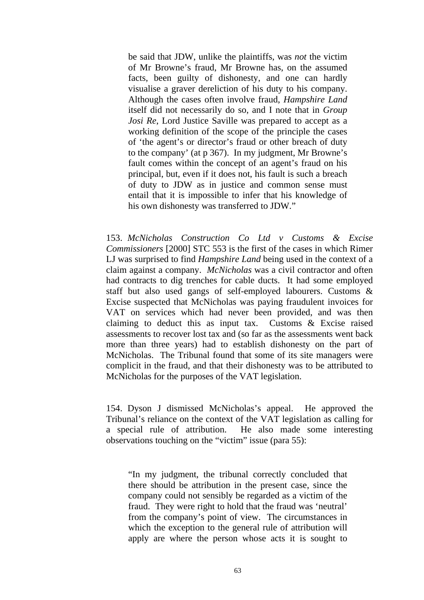be said that JDW, unlike the plaintiffs, was *not* the victim of Mr Browne's fraud, Mr Browne has, on the assumed facts, been guilty of dishonesty, and one can hardly visualise a graver dereliction of his duty to his company. Although the cases often involve fraud, *Hampshire Land* itself did not necessarily do so, and I note that in *Group Josi Re*, Lord Justice Saville was prepared to accept as a working definition of the scope of the principle the cases of 'the agent's or director's fraud or other breach of duty to the company' (at p 367). In my judgment, Mr Browne's fault comes within the concept of an agent's fraud on his principal, but, even if it does not, his fault is such a breach of duty to JDW as in justice and common sense must entail that it is impossible to infer that his knowledge of his own dishonesty was transferred to JDW."

153. *McNicholas Construction Co Ltd v Customs & Excise Commissioners* [2000] STC 553 is the first of the cases in which Rimer LJ was surprised to find *Hampshire Land* being used in the context of a claim against a company. *McNicholas* was a civil contractor and often had contracts to dig trenches for cable ducts. It had some employed staff but also used gangs of self-employed labourers. Customs & Excise suspected that McNicholas was paying fraudulent invoices for VAT on services which had never been provided, and was then claiming to deduct this as input tax. Customs & Excise raised assessments to recover lost tax and (so far as the assessments went back more than three years) had to establish dishonesty on the part of McNicholas. The Tribunal found that some of its site managers were complicit in the fraud, and that their dishonesty was to be attributed to McNicholas for the purposes of the VAT legislation.

154. Dyson J dismissed McNicholas's appeal. He approved the Tribunal's reliance on the context of the VAT legislation as calling for a special rule of attribution. He also made some interesting observations touching on the "victim" issue (para 55):

"In my judgment, the tribunal correctly concluded that there should be attribution in the present case, since the company could not sensibly be regarded as a victim of the fraud. They were right to hold that the fraud was 'neutral' from the company's point of view. The circumstances in which the exception to the general rule of attribution will apply are where the person whose acts it is sought to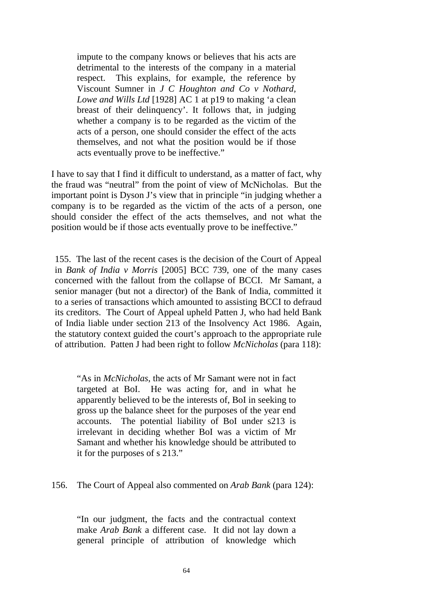impute to the company knows or believes that his acts are detrimental to the interests of the company in a material respect. This explains, for example, the reference by Viscount Sumner in *J C Houghton and Co v Nothard, Lowe and Wills Ltd* [1928] AC 1 at p19 to making 'a clean breast of their delinquency'. It follows that, in judging whether a company is to be regarded as the victim of the acts of a person, one should consider the effect of the acts themselves, and not what the position would be if those acts eventually prove to be ineffective."

I have to say that I find it difficult to understand, as a matter of fact, why the fraud was "neutral" from the point of view of McNicholas. But the important point is Dyson J's view that in principle "in judging whether a company is to be regarded as the victim of the acts of a person, one should consider the effect of the acts themselves, and not what the position would be if those acts eventually prove to be ineffective."

155. The last of the recent cases is the decision of the Court of Appeal in *Bank of India v Morris* [2005] BCC 739, one of the many cases concerned with the fallout from the collapse of BCCI. Mr Samant, a senior manager (but not a director) of the Bank of India, committed it to a series of transactions which amounted to assisting BCCI to defraud its creditors. The Court of Appeal upheld Patten J, who had held Bank of India liable under section 213 of the Insolvency Act 1986. Again, the statutory context guided the court's approach to the appropriate rule of attribution. Patten J had been right to follow *McNicholas* (para 118):

"As in *McNicholas*, the acts of Mr Samant were not in fact targeted at BoI. He was acting for, and in what he apparently believed to be the interests of, BoI in seeking to gross up the balance sheet for the purposes of the year end accounts. The potential liability of BoI under s213 is irrelevant in deciding whether BoI was a victim of Mr Samant and whether his knowledge should be attributed to it for the purposes of s 213."

#### 156. The Court of Appeal also commented on *Arab Bank* (para 124):

"In our judgment, the facts and the contractual context make *Arab Bank* a different case. It did not lay down a general principle of attribution of knowledge which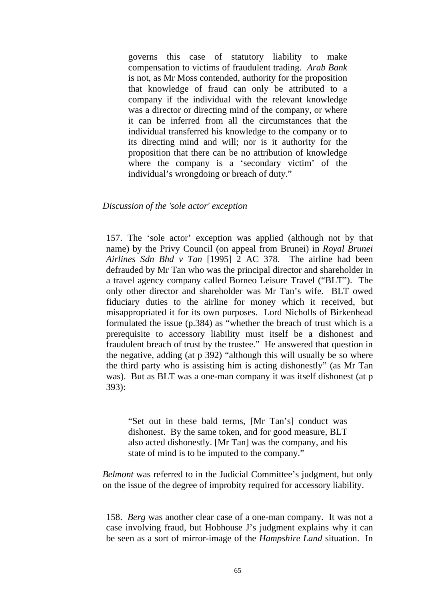governs this case of statutory liability to make compensation to victims of fraudulent trading. *Arab Bank* is not, as Mr Moss contended, authority for the proposition that knowledge of fraud can only be attributed to a company if the individual with the relevant knowledge was a director or directing mind of the company, or where it can be inferred from all the circumstances that the individual transferred his knowledge to the company or to its directing mind and will; nor is it authority for the proposition that there can be no attribution of knowledge where the company is a 'secondary victim' of the individual's wrongdoing or breach of duty."

#### *Discussion of the 'sole actor' exception*

157. The 'sole actor' exception was applied (although not by that name) by the Privy Council (on appeal from Brunei) in *Royal Brunei Airlines Sdn Bhd v Tan* [1995] 2 AC 378. The airline had been defrauded by Mr Tan who was the principal director and shareholder in a travel agency company called Borneo Leisure Travel ("BLT"). The only other director and shareholder was Mr Tan's wife. BLT owed fiduciary duties to the airline for money which it received, but misappropriated it for its own purposes. Lord Nicholls of Birkenhead formulated the issue (p.384) as "whether the breach of trust which is a prerequisite to accessory liability must itself be a dishonest and fraudulent breach of trust by the trustee." He answered that question in the negative, adding (at p 392) "although this will usually be so where the third party who is assisting him is acting dishonestly" (as Mr Tan was). But as BLT was a one-man company it was itself dishonest (at p 393):

"Set out in these bald terms, [Mr Tan's] conduct was dishonest. By the same token, and for good measure, BLT also acted dishonestly. [Mr Tan] was the company, and his state of mind is to be imputed to the company."

*Belmont* was referred to in the Judicial Committee's judgment, but only on the issue of the degree of improbity required for accessory liability.

158. *Berg* was another clear case of a one-man company. It was not a case involving fraud, but Hobhouse J's judgment explains why it can be seen as a sort of mirror-image of the *Hampshire Land* situation. In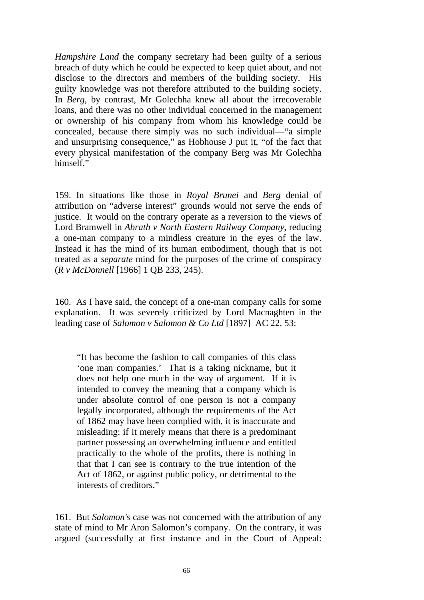*Hampshire Land* the company secretary had been guilty of a serious breach of duty which he could be expected to keep quiet about, and not disclose to the directors and members of the building society. His guilty knowledge was not therefore attributed to the building society. In *Berg*, by contrast, Mr Golechha knew all about the irrecoverable loans, and there was no other individual concerned in the management or ownership of his company from whom his knowledge could be concealed, because there simply was no such individual—"a simple and unsurprising consequence," as Hobhouse J put it, "of the fact that every physical manifestation of the company Berg was Mr Golechha himself."

159. In situations like those in *Royal Brunei* and *Berg* denial of attribution on "adverse interest" grounds would not serve the ends of justice. It would on the contrary operate as a reversion to the views of Lord Bramwell in *Abrath v North Eastern Railway Company*, reducing a one-man company to a mindless creature in the eyes of the law. Instead it has the mind of its human embodiment, though that is not treated as a *separate* mind for the purposes of the crime of conspiracy (*R v McDonnell* [1966] 1 QB 233, 245).

160. As I have said, the concept of a one-man company calls for some explanation. It was severely criticized by Lord Macnaghten in the leading case of *Salomon v Salomon & Co Ltd* [1897] AC 22, 53:

"It has become the fashion to call companies of this class 'one man companies.' That is a taking nickname, but it does not help one much in the way of argument. If it is intended to convey the meaning that a company which is under absolute control of one person is not a company legally incorporated, although the requirements of the Act of 1862 may have been complied with, it is inaccurate and misleading: if it merely means that there is a predominant partner possessing an overwhelming influence and entitled practically to the whole of the profits, there is nothing in that that I can see is contrary to the true intention of the Act of 1862, or against public policy, or detrimental to the interests of creditors."

161. But *Salomon's* case was not concerned with the attribution of any state of mind to Mr Aron Salomon's company. On the contrary, it was argued (successfully at first instance and in the Court of Appeal: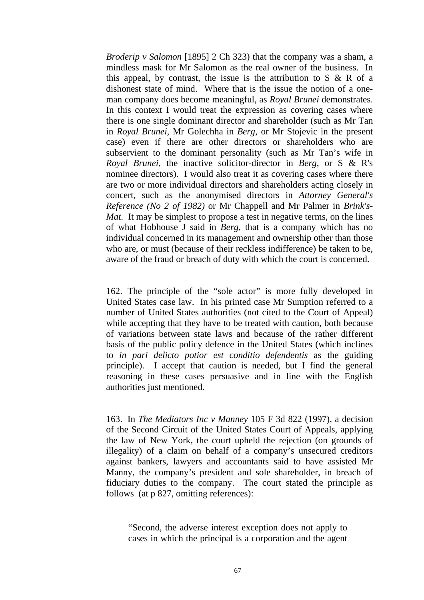*Broderip v Salomon* [1895] 2 Ch 323) that the company was a sham, a mindless mask for Mr Salomon as the real owner of the business. In this appeal, by contrast, the issue is the attribution to  $S \& R$  of a dishonest state of mind. Where that is the issue the notion of a oneman company does become meaningful, as *Royal Brunei* demonstrates. In this context I would treat the expression as covering cases where there is one single dominant director and shareholder (such as Mr Tan in *Royal Brunei*, Mr Golechha in *Berg*, or Mr Stojevic in the present case) even if there are other directors or shareholders who are subservient to the dominant personality (such as Mr Tan's wife in *Royal Brunei*, the inactive solicitor-director in *Berg*, or S & R's nominee directors). I would also treat it as covering cases where there are two or more individual directors and shareholders acting closely in concert, such as the anonymised directors in *Attorney General's Reference (No 2 of 1982)* or Mr Chappell and Mr Palmer in *Brink's-Mat.* It may be simplest to propose a test in negative terms, on the lines of what Hobhouse J said in *Berg,* that is a company which has no individual concerned in its management and ownership other than those who are, or must (because of their reckless indifference) be taken to be, aware of the fraud or breach of duty with which the court is concerned.

162. The principle of the "sole actor" is more fully developed in United States case law. In his printed case Mr Sumption referred to a number of United States authorities (not cited to the Court of Appeal) while accepting that they have to be treated with caution, both because of variations between state laws and because of the rather different basis of the public policy defence in the United States (which inclines to *in pari delicto potior est conditio defendentis* as the guiding principle). I accept that caution is needed, but I find the general reasoning in these cases persuasive and in line with the English authorities just mentioned.

163. In *The Mediators Inc v Manney* 105 F 3d 822 (1997), a decision of the Second Circuit of the United States Court of Appeals, applying the law of New York, the court upheld the rejection (on grounds of illegality) of a claim on behalf of a company's unsecured creditors against bankers, lawyers and accountants said to have assisted Mr Manny, the company's president and sole shareholder, in breach of fiduciary duties to the company. The court stated the principle as follows (at p 827, omitting references):

"Second, the adverse interest exception does not apply to cases in which the principal is a corporation and the agent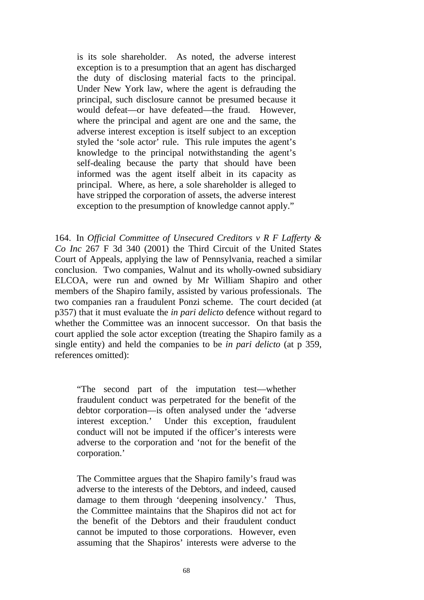is its sole shareholder. As noted, the adverse interest exception is to a presumption that an agent has discharged the duty of disclosing material facts to the principal. Under New York law, where the agent is defrauding the principal, such disclosure cannot be presumed because it would defeat—or have defeated—the fraud. However, where the principal and agent are one and the same, the adverse interest exception is itself subject to an exception styled the 'sole actor' rule. This rule imputes the agent's knowledge to the principal notwithstanding the agent's self-dealing because the party that should have been informed was the agent itself albeit in its capacity as principal. Where, as here, a sole shareholder is alleged to have stripped the corporation of assets, the adverse interest exception to the presumption of knowledge cannot apply."

164. In *Official Committee of Unsecured Creditors v R F Lafferty & Co Inc* 267 F 3d 340 (2001) the Third Circuit of the United States Court of Appeals, applying the law of Pennsylvania, reached a similar conclusion. Two companies, Walnut and its wholly-owned subsidiary ELCOA, were run and owned by Mr William Shapiro and other members of the Shapiro family, assisted by various professionals. The two companies ran a fraudulent Ponzi scheme. The court decided (at p357) that it must evaluate the *in pari delicto* defence without regard to whether the Committee was an innocent successor. On that basis the court applied the sole actor exception (treating the Shapiro family as a single entity) and held the companies to be *in pari delicto* (at p 359, references omitted):

"The second part of the imputation test—whether fraudulent conduct was perpetrated for the benefit of the debtor corporation—is often analysed under the 'adverse interest exception.' Under this exception, fraudulent conduct will not be imputed if the officer's interests were adverse to the corporation and 'not for the benefit of the corporation.'

The Committee argues that the Shapiro family's fraud was adverse to the interests of the Debtors, and indeed, caused damage to them through 'deepening insolvency.' Thus, the Committee maintains that the Shapiros did not act for the benefit of the Debtors and their fraudulent conduct cannot be imputed to those corporations. However, even assuming that the Shapiros' interests were adverse to the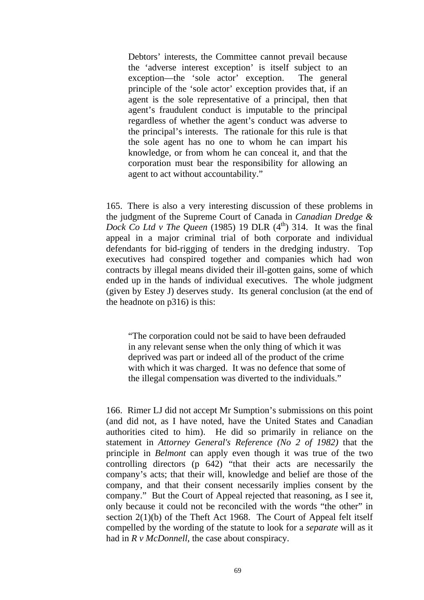Debtors' interests, the Committee cannot prevail because the 'adverse interest exception' is itself subject to an exception—the 'sole actor' exception. The general principle of the 'sole actor' exception provides that, if an agent is the sole representative of a principal, then that agent's fraudulent conduct is imputable to the principal regardless of whether the agent's conduct was adverse to the principal's interests. The rationale for this rule is that the sole agent has no one to whom he can impart his knowledge, or from whom he can conceal it, and that the corporation must bear the responsibility for allowing an agent to act without accountability."

165. There is also a very interesting discussion of these problems in the judgment of the Supreme Court of Canada in *Canadian Dredge & Dock Co Ltd v The Queen* (1985) 19 DLR  $(4<sup>th</sup>)$  314. It was the final appeal in a major criminal trial of both corporate and individual defendants for bid-rigging of tenders in the dredging industry. Top executives had conspired together and companies which had won contracts by illegal means divided their ill-gotten gains, some of which ended up in the hands of individual executives. The whole judgment (given by Estey J) deserves study. Its general conclusion (at the end of the headnote on p316) is this:

"The corporation could not be said to have been defrauded in any relevant sense when the only thing of which it was deprived was part or indeed all of the product of the crime with which it was charged. It was no defence that some of the illegal compensation was diverted to the individuals."

166. Rimer LJ did not accept Mr Sumption's submissions on this point (and did not, as I have noted, have the United States and Canadian authorities cited to him). He did so primarily in reliance on the statement in *Attorney General's Reference (No 2 of 1982)* that the principle in *Belmont* can apply even though it was true of the two controlling directors (p 642) "that their acts are necessarily the company's acts; that their will, knowledge and belief are those of the company, and that their consent necessarily implies consent by the company." But the Court of Appeal rejected that reasoning, as I see it, only because it could not be reconciled with the words "the other" in section 2(1)(b) of the Theft Act 1968. The Court of Appeal felt itself compelled by the wording of the statute to look for a *separate* will as it had in *R v McDonnell*, the case about conspiracy.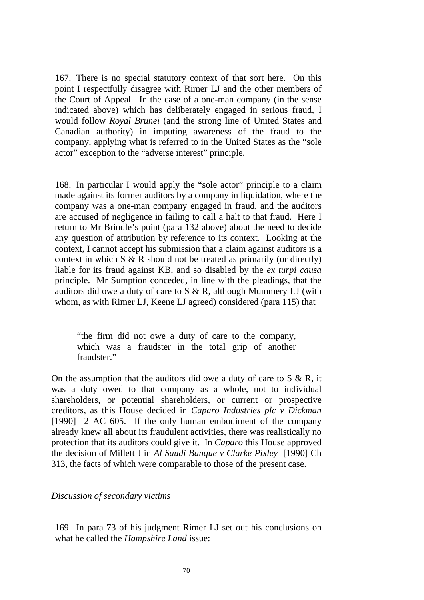167. There is no special statutory context of that sort here. On this point I respectfully disagree with Rimer LJ and the other members of the Court of Appeal. In the case of a one-man company (in the sense indicated above) which has deliberately engaged in serious fraud, I would follow *Royal Brunei* (and the strong line of United States and Canadian authority) in imputing awareness of the fraud to the company, applying what is referred to in the United States as the "sole actor" exception to the "adverse interest" principle.

168. In particular I would apply the "sole actor" principle to a claim made against its former auditors by a company in liquidation, where the company was a one-man company engaged in fraud, and the auditors are accused of negligence in failing to call a halt to that fraud. Here I return to Mr Brindle's point (para 132 above) about the need to decide any question of attribution by reference to its context. Looking at the context, I cannot accept his submission that a claim against auditors is a context in which S & R should not be treated as primarily (or directly) liable for its fraud against KB, and so disabled by the *ex turpi causa* principle. Mr Sumption conceded, in line with the pleadings, that the auditors did owe a duty of care to S & R, although Mummery LJ (with whom, as with Rimer LJ, Keene LJ agreed) considered (para 115) that

"the firm did not owe a duty of care to the company, which was a fraudster in the total grip of another fraudster."

On the assumption that the auditors did owe a duty of care to  $S \& R$ , it was a duty owed to that company as a whole, not to individual shareholders, or potential shareholders, or current or prospective creditors, as this House decided in *Caparo Industries plc v Dickman* [1990] 2 AC 605. If the only human embodiment of the company already knew all about its fraudulent activities, there was realistically no protection that its auditors could give it. In *Caparo* this House approved the decision of Millett J in *Al Saudi Banque v Clarke Pixley* [1990] Ch 313, the facts of which were comparable to those of the present case.

#### *Discussion of secondary victims*

169. In para 73 of his judgment Rimer LJ set out his conclusions on what he called the *Hampshire Land* issue: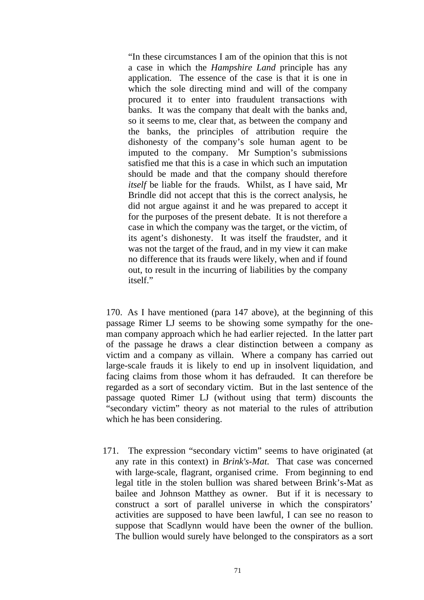"In these circumstances I am of the opinion that this is not a case in which the *Hampshire Land* principle has any application. The essence of the case is that it is one in which the sole directing mind and will of the company procured it to enter into fraudulent transactions with banks. It was the company that dealt with the banks and, so it seems to me, clear that, as between the company and the banks, the principles of attribution require the dishonesty of the company's sole human agent to be imputed to the company. Mr Sumption's submissions satisfied me that this is a case in which such an imputation should be made and that the company should therefore *itself* be liable for the frauds. Whilst, as I have said, Mr Brindle did not accept that this is the correct analysis, he did not argue against it and he was prepared to accept it for the purposes of the present debate. It is not therefore a case in which the company was the target, or the victim, of its agent's dishonesty. It was itself the fraudster, and it was not the target of the fraud, and in my view it can make no difference that its frauds were likely, when and if found out, to result in the incurring of liabilities by the company itself."

170. As I have mentioned (para 147 above), at the beginning of this passage Rimer LJ seems to be showing some sympathy for the oneman company approach which he had earlier rejected. In the latter part of the passage he draws a clear distinction between a company as victim and a company as villain. Where a company has carried out large-scale frauds it is likely to end up in insolvent liquidation, and facing claims from those whom it has defrauded. It can therefore be regarded as a sort of secondary victim. But in the last sentence of the passage quoted Rimer LJ (without using that term) discounts the "secondary victim" theory as not material to the rules of attribution which he has been considering.

171. The expression "secondary victim" seems to have originated (at any rate in this context) in *Brink's-Mat*. That case was concerned with large-scale, flagrant, organised crime. From beginning to end legal title in the stolen bullion was shared between Brink's-Mat as bailee and Johnson Matthey as owner. But if it is necessary to construct a sort of parallel universe in which the conspirators' activities are supposed to have been lawful, I can see no reason to suppose that Scadlynn would have been the owner of the bullion. The bullion would surely have belonged to the conspirators as a sort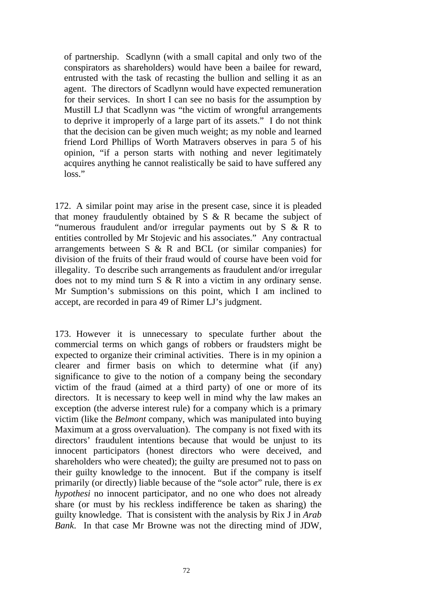of partnership. Scadlynn (with a small capital and only two of the conspirators as shareholders) would have been a bailee for reward, entrusted with the task of recasting the bullion and selling it as an agent. The directors of Scadlynn would have expected remuneration for their services. In short I can see no basis for the assumption by Mustill LJ that Scadlynn was "the victim of wrongful arrangements to deprive it improperly of a large part of its assets." I do not think that the decision can be given much weight; as my noble and learned friend Lord Phillips of Worth Matravers observes in para 5 of his opinion, "if a person starts with nothing and never legitimately acquires anything he cannot realistically be said to have suffered any loss."

172. A similar point may arise in the present case, since it is pleaded that money fraudulently obtained by  $S \& R$  became the subject of "numerous fraudulent and/or irregular payments out by  $S \& R$  to entities controlled by Mr Stojevic and his associates." Any contractual arrangements between S & R and BCL (or similar companies) for division of the fruits of their fraud would of course have been void for illegality. To describe such arrangements as fraudulent and/or irregular does not to my mind turn S & R into a victim in any ordinary sense. Mr Sumption's submissions on this point, which I am inclined to accept, are recorded in para 49 of Rimer LJ's judgment.

173. However it is unnecessary to speculate further about the commercial terms on which gangs of robbers or fraudsters might be expected to organize their criminal activities. There is in my opinion a clearer and firmer basis on which to determine what (if any) significance to give to the notion of a company being the secondary victim of the fraud (aimed at a third party) of one or more of its directors. It is necessary to keep well in mind why the law makes an exception (the adverse interest rule) for a company which is a primary victim (like the *Belmont* company, which was manipulated into buying Maximum at a gross overvaluation). The company is not fixed with its directors' fraudulent intentions because that would be unjust to its innocent participators (honest directors who were deceived, and shareholders who were cheated); the guilty are presumed not to pass on their guilty knowledge to the innocent. But if the company is itself primarily (or directly) liable because of the "sole actor" rule, there is *ex hypothesi* no innocent participator, and no one who does not already share (or must by his reckless indifference be taken as sharing) the guilty knowledge. That is consistent with the analysis by Rix J in *Arab Bank*. In that case Mr Browne was not the directing mind of JDW,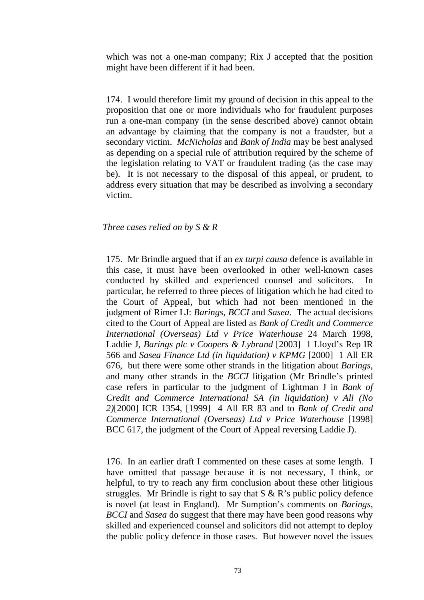which was not a one-man company; Rix J accepted that the position might have been different if it had been.

174. I would therefore limit my ground of decision in this appeal to the proposition that one or more individuals who for fraudulent purposes run a one-man company (in the sense described above) cannot obtain an advantage by claiming that the company is not a fraudster, but a secondary victim. *McNicholas* and *Bank of India* may be best analysed as depending on a special rule of attribution required by the scheme of the legislation relating to VAT or fraudulent trading (as the case may be). It is not necessary to the disposal of this appeal, or prudent, to address every situation that may be described as involving a secondary victim.

#### *Three cases relied on by S & R*

175. Mr Brindle argued that if an *ex turpi causa* defence is available in this case, it must have been overlooked in other well-known cases conducted by skilled and experienced counsel and solicitors. In particular, he referred to three pieces of litigation which he had cited to the Court of Appeal, but which had not been mentioned in the judgment of Rimer LJ: *Barings, BCCI* and *Sasea*. The actual decisions cited to the Court of Appeal are listed as *Bank of Credit and Commerce International (Overseas) Ltd v Price Waterhouse* 24 March 1998, Laddie J, *Barings plc v Coopers & Lybrand* [2003] 1 Lloyd's Rep IR 566 and *Sasea Finance Ltd (in liquidation) v KPMG* [2000] 1 All ER 676, but there were some other strands in the litigation about *Barings*, and many other strands in the *BCCI* litigation (Mr Brindle's printed case refers in particular to the judgment of Lightman J in *Bank of Credit and Commerce International SA (in liquidation) v Ali (No 2)*[2000] ICR 1354, [1999] 4 All ER 83 and to *Bank of Credit and Commerce International (Overseas) Ltd v Price Waterhouse* [1998] BCC 617, the judgment of the Court of Appeal reversing Laddie J).

176. In an earlier draft I commented on these cases at some length. I have omitted that passage because it is not necessary, I think, or helpful, to try to reach any firm conclusion about these other litigious struggles. Mr Brindle is right to say that  $S \& R$ 's public policy defence is novel (at least in England). Mr Sumption's comments on *Barings, BCCI* and *Sasea* do suggest that there may have been good reasons why skilled and experienced counsel and solicitors did not attempt to deploy the public policy defence in those cases. But however novel the issues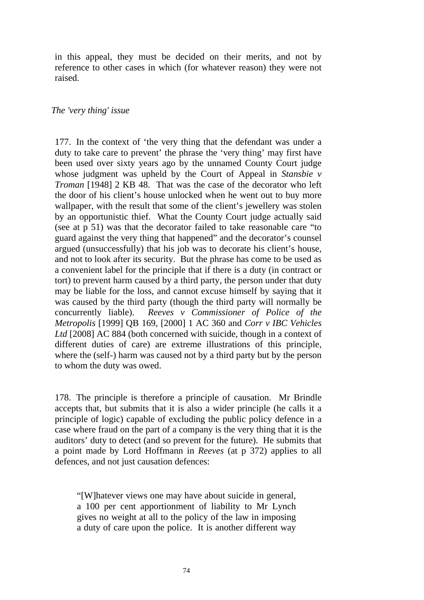in this appeal, they must be decided on their merits, and not by reference to other cases in which (for whatever reason) they were not raised.

#### *The 'very thing' issue*

177. In the context of 'the very thing that the defendant was under a duty to take care to prevent' the phrase the 'very thing' may first have been used over sixty years ago by the unnamed County Court judge whose judgment was upheld by the Court of Appeal in *Stansbie v Troman* [1948] 2 KB 48. That was the case of the decorator who left the door of his client's house unlocked when he went out to buy more wallpaper, with the result that some of the client's jewellery was stolen by an opportunistic thief. What the County Court judge actually said (see at p 51) was that the decorator failed to take reasonable care "to guard against the very thing that happened" and the decorator's counsel argued (unsuccessfully) that his job was to decorate his client's house, and not to look after its security. But the phrase has come to be used as a convenient label for the principle that if there is a duty (in contract or tort) to prevent harm caused by a third party, the person under that duty may be liable for the loss, and cannot excuse himself by saying that it was caused by the third party (though the third party will normally be concurrently liable). *Reeves v Commissioner of Police of the Metropolis* [1999] QB 169, [2000] 1 AC 360 and *Corr v IBC Vehicles Ltd* [2008] AC 884 (both concerned with suicide, though in a context of different duties of care) are extreme illustrations of this principle, where the (self-) harm was caused not by a third party but by the person to whom the duty was owed.

178. The principle is therefore a principle of causation. Mr Brindle accepts that, but submits that it is also a wider principle (he calls it a principle of logic) capable of excluding the public policy defence in a case where fraud on the part of a company is the very thing that it is the auditors' duty to detect (and so prevent for the future). He submits that a point made by Lord Hoffmann in *Reeves* (at p 372) applies to all defences, and not just causation defences:

"[W]hatever views one may have about suicide in general, a 100 per cent apportionment of liability to Mr Lynch gives no weight at all to the policy of the law in imposing a duty of care upon the police. It is another different way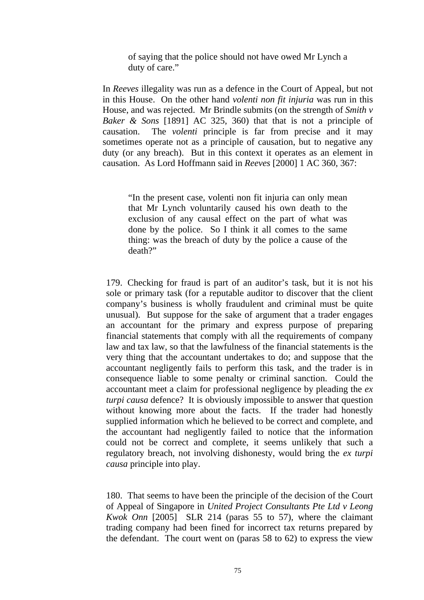of saying that the police should not have owed Mr Lynch a duty of care."

In *Reeves* illegality was run as a defence in the Court of Appeal, but not in this House. On the other hand *volenti non fit injuria* was run in this House, and was rejected. Mr Brindle submits (on the strength of *Smith v Baker & Sons* [1891] AC 325, 360) that that is not a principle of causation. The *volenti* principle is far from precise and it may sometimes operate not as a principle of causation, but to negative any duty (or any breach). But in this context it operates as an element in causation. As Lord Hoffmann said in *Reeves* [2000] 1 AC 360, 367:

"In the present case, volenti non fit injuria can only mean that Mr Lynch voluntarily caused his own death to the exclusion of any causal effect on the part of what was done by the police. So I think it all comes to the same thing: was the breach of duty by the police a cause of the death?"

179. Checking for fraud is part of an auditor's task, but it is not his sole or primary task (for a reputable auditor to discover that the client company's business is wholly fraudulent and criminal must be quite unusual). But suppose for the sake of argument that a trader engages an accountant for the primary and express purpose of preparing financial statements that comply with all the requirements of company law and tax law, so that the lawfulness of the financial statements is the very thing that the accountant undertakes to do; and suppose that the accountant negligently fails to perform this task, and the trader is in consequence liable to some penalty or criminal sanction. Could the accountant meet a claim for professional negligence by pleading the *ex turpi causa* defence? It is obviously impossible to answer that question without knowing more about the facts. If the trader had honestly supplied information which he believed to be correct and complete, and the accountant had negligently failed to notice that the information could not be correct and complete, it seems unlikely that such a regulatory breach, not involving dishonesty, would bring the *ex turpi causa* principle into play.

180. That seems to have been the principle of the decision of the Court of Appeal of Singapore in *United Project Consultants Pte Ltd v Leong Kwok Onn* [2005] SLR 214 (paras 55 to 57), where the claimant trading company had been fined for incorrect tax returns prepared by the defendant. The court went on (paras 58 to 62) to express the view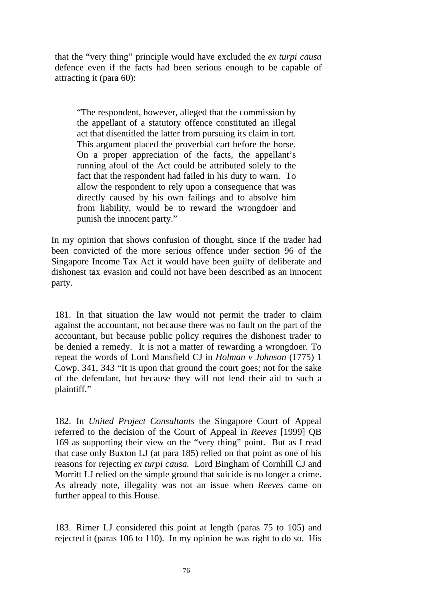that the "very thing" principle would have excluded the *ex turpi causa*  defence even if the facts had been serious enough to be capable of attracting it (para 60):

"The respondent, however, alleged that the commission by the appellant of a statutory offence constituted an illegal act that disentitled the latter from pursuing its claim in tort. This argument placed the proverbial cart before the horse. On a proper appreciation of the facts, the appellant's running afoul of the Act could be attributed solely to the fact that the respondent had failed in his duty to warn. To allow the respondent to rely upon a consequence that was directly caused by his own failings and to absolve him from liability, would be to reward the wrongdoer and punish the innocent party."

In my opinion that shows confusion of thought, since if the trader had been convicted of the more serious offence under section 96 of the Singapore Income Tax Act it would have been guilty of deliberate and dishonest tax evasion and could not have been described as an innocent party.

181. In that situation the law would not permit the trader to claim against the accountant, not because there was no fault on the part of the accountant, but because public policy requires the dishonest trader to be denied a remedy. It is not a matter of rewarding a wrongdoer. To repeat the words of Lord Mansfield CJ in *Holman v Johnson* (1775) 1 Cowp. 341, 343 "It is upon that ground the court goes; not for the sake of the defendant, but because they will not lend their aid to such a plaintiff."

182. In *United Project Consultants* the Singapore Court of Appeal referred to the decision of the Court of Appeal in *Reeves* [1999] QB 169 as supporting their view on the "very thing" point. But as I read that case only Buxton LJ (at para 185) relied on that point as one of his reasons for rejecting *ex turpi causa.* Lord Bingham of Cornhill CJ and Morritt LJ relied on the simple ground that suicide is no longer a crime. As already note, illegality was not an issue when *Reeves* came on further appeal to this House.

183. Rimer LJ considered this point at length (paras 75 to 105) and rejected it (paras 106 to 110). In my opinion he was right to do so. His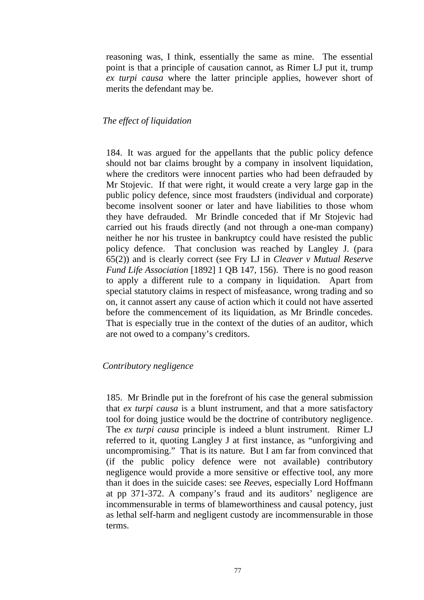reasoning was, I think, essentially the same as mine. The essential point is that a principle of causation cannot, as Rimer LJ put it, trump *ex turpi causa* where the latter principle applies, however short of merits the defendant may be.

## *The effect of liquidation*

184. It was argued for the appellants that the public policy defence should not bar claims brought by a company in insolvent liquidation, where the creditors were innocent parties who had been defrauded by Mr Stojevic. If that were right, it would create a very large gap in the public policy defence, since most fraudsters (individual and corporate) become insolvent sooner or later and have liabilities to those whom they have defrauded. Mr Brindle conceded that if Mr Stojevic had carried out his frauds directly (and not through a one-man company) neither he nor his trustee in bankruptcy could have resisted the public policy defence. That conclusion was reached by Langley J. (para 65(2)) and is clearly correct (see Fry LJ in *Cleaver v Mutual Reserve Fund Life Association* [1892] 1 QB 147, 156). There is no good reason to apply a different rule to a company in liquidation. Apart from special statutory claims in respect of misfeasance, wrong trading and so on, it cannot assert any cause of action which it could not have asserted before the commencement of its liquidation, as Mr Brindle concedes. That is especially true in the context of the duties of an auditor, which are not owed to a company's creditors.

#### *Contributory negligence*

185. Mr Brindle put in the forefront of his case the general submission that *ex turpi causa* is a blunt instrument, and that a more satisfactory tool for doing justice would be the doctrine of contributory negligence. The *ex turpi causa* principle is indeed a blunt instrument. Rimer LJ referred to it, quoting Langley J at first instance, as "unforgiving and uncompromising." That is its nature. But I am far from convinced that (if the public policy defence were not available) contributory negligence would provide a more sensitive or effective tool, any more than it does in the suicide cases: see *Reeves*, especially Lord Hoffmann at pp 371-372. A company's fraud and its auditors' negligence are incommensurable in terms of blameworthiness and causal potency, just as lethal self-harm and negligent custody are incommensurable in those terms.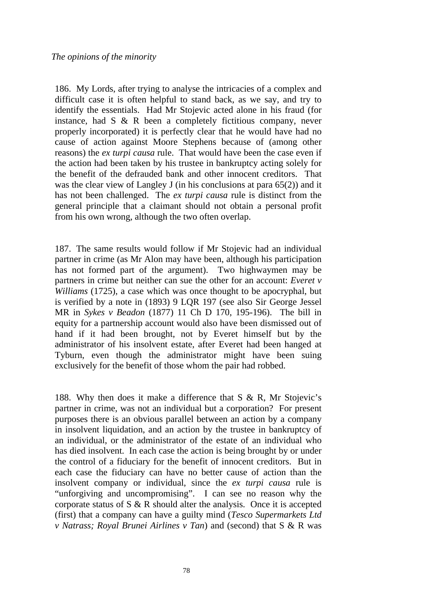186. My Lords, after trying to analyse the intricacies of a complex and difficult case it is often helpful to stand back, as we say, and try to identify the essentials. Had Mr Stojevic acted alone in his fraud (for instance, had S & R been a completely fictitious company, never properly incorporated) it is perfectly clear that he would have had no cause of action against Moore Stephens because of (among other reasons) the *ex turpi causa* rule. That would have been the case even if the action had been taken by his trustee in bankruptcy acting solely for the benefit of the defrauded bank and other innocent creditors. That was the clear view of Langley J (in his conclusions at para 65(2)) and it has not been challenged. The *ex turpi causa* rule is distinct from the general principle that a claimant should not obtain a personal profit from his own wrong, although the two often overlap.

187. The same results would follow if Mr Stojevic had an individual partner in crime (as Mr Alon may have been, although his participation has not formed part of the argument). Two highwaymen may be partners in crime but neither can sue the other for an account: *Everet v Williams* (1725), a case which was once thought to be apocryphal, but is verified by a note in (1893) 9 LQR 197 (see also Sir George Jessel MR in *Sykes v Beadon* (1877) 11 Ch D 170, 195-196). The bill in equity for a partnership account would also have been dismissed out of hand if it had been brought, not by Everet himself but by the administrator of his insolvent estate, after Everet had been hanged at Tyburn, even though the administrator might have been suing exclusively for the benefit of those whom the pair had robbed.

188. Why then does it make a difference that S & R, Mr Stojevic's partner in crime, was not an individual but a corporation? For present purposes there is an obvious parallel between an action by a company in insolvent liquidation, and an action by the trustee in bankruptcy of an individual, or the administrator of the estate of an individual who has died insolvent. In each case the action is being brought by or under the control of a fiduciary for the benefit of innocent creditors. But in each case the fiduciary can have no better cause of action than the insolvent company or individual, since the *ex turpi causa* rule is "unforgiving and uncompromising". I can see no reason why the corporate status of S & R should alter the analysis. Once it is accepted (first) that a company can have a guilty mind (*Tesco Supermarkets Ltd v Natrass; Royal Brunei Airlines v Tan*) and (second) that S & R was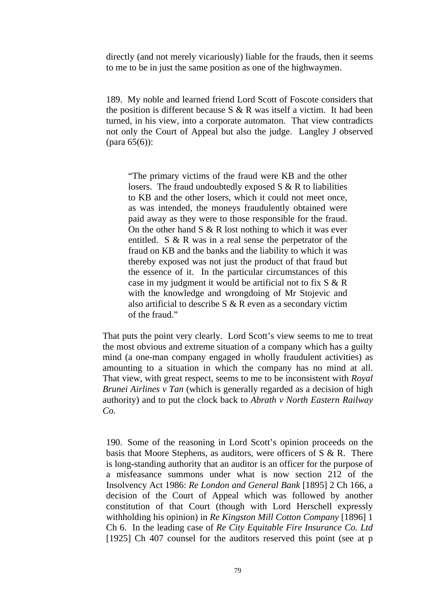directly (and not merely vicariously) liable for the frauds, then it seems to me to be in just the same position as one of the highwaymen.

189. My noble and learned friend Lord Scott of Foscote considers that the position is different because  $S \& R$  was itself a victim. It had been turned, in his view, into a corporate automaton. That view contradicts not only the Court of Appeal but also the judge. Langley J observed (para 65(6)):

"The primary victims of the fraud were KB and the other losers. The fraud undoubtedly exposed S & R to liabilities to KB and the other losers, which it could not meet once, as was intended, the moneys fraudulently obtained were paid away as they were to those responsible for the fraud. On the other hand  $S \& R$  lost nothing to which it was ever entitled. S & R was in a real sense the perpetrator of the fraud on KB and the banks and the liability to which it was thereby exposed was not just the product of that fraud but the essence of it. In the particular circumstances of this case in my judgment it would be artificial not to fix S & R with the knowledge and wrongdoing of Mr Stojevic and also artificial to describe  $S \& R$  even as a secondary victim of the fraud."

That puts the point very clearly. Lord Scott's view seems to me to treat the most obvious and extreme situation of a company which has a guilty mind (a one-man company engaged in wholly fraudulent activities) as amounting to a situation in which the company has no mind at all. That view, with great respect, seems to me to be inconsistent with *Royal Brunei Airlines v Tan* (which is generally regarded as a decision of high authority) and to put the clock back to *Abrath v North Eastern Railway Co.* 

190. Some of the reasoning in Lord Scott's opinion proceeds on the basis that Moore Stephens, as auditors, were officers of  $S \& R$ . There is long-standing authority that an auditor is an officer for the purpose of a misfeasance summons under what is now section 212 of the Insolvency Act 1986: *Re London and General Bank* [1895] 2 Ch 166, a decision of the Court of Appeal which was followed by another constitution of that Court (though with Lord Herschell expressly withholding his opinion) in *Re Kingston Mill Cotton Company* [1896] 1 Ch 6. In the leading case of *Re City Equitable Fire Insurance Co. Ltd* [1925] Ch 407 counsel for the auditors reserved this point (see at p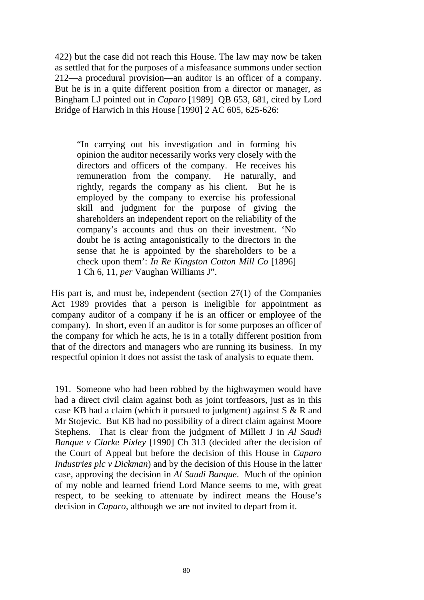422) but the case did not reach this House. The law may now be taken as settled that for the purposes of a misfeasance summons under section 212—a procedural provision—an auditor is an officer of a company. But he is in a quite different position from a director or manager, as Bingham LJ pointed out in *Caparo* [1989] QB 653, 681, cited by Lord Bridge of Harwich in this House [1990] 2 AC 605, 625-626:

"In carrying out his investigation and in forming his opinion the auditor necessarily works very closely with the directors and officers of the company. He receives his remuneration from the company. He naturally, and rightly, regards the company as his client. But he is employed by the company to exercise his professional skill and judgment for the purpose of giving the shareholders an independent report on the reliability of the company's accounts and thus on their investment. 'No doubt he is acting antagonistically to the directors in the sense that he is appointed by the shareholders to be a check upon them': *In Re Kingston Cotton Mill Co* [1896] 1 Ch 6, 11, *per* Vaughan Williams J".

His part is, and must be, independent (section 27(1) of the Companies Act 1989 provides that a person is ineligible for appointment as company auditor of a company if he is an officer or employee of the company). In short, even if an auditor is for some purposes an officer of the company for which he acts, he is in a totally different position from that of the directors and managers who are running its business. In my respectful opinion it does not assist the task of analysis to equate them.

191. Someone who had been robbed by the highwaymen would have had a direct civil claim against both as joint tortfeasors, just as in this case KB had a claim (which it pursued to judgment) against S & R and Mr Stojevic. But KB had no possibility of a direct claim against Moore Stephens. That is clear from the judgment of Millett J in *Al Saudi Banque v Clarke Pixley* [1990] Ch 313 (decided after the decision of the Court of Appeal but before the decision of this House in *Caparo Industries plc v Dickman*) and by the decision of this House in the latter case, approving the decision in *Al Saudi Banque*. Much of the opinion of my noble and learned friend Lord Mance seems to me, with great respect, to be seeking to attenuate by indirect means the House's decision in *Caparo,* although we are not invited to depart from it.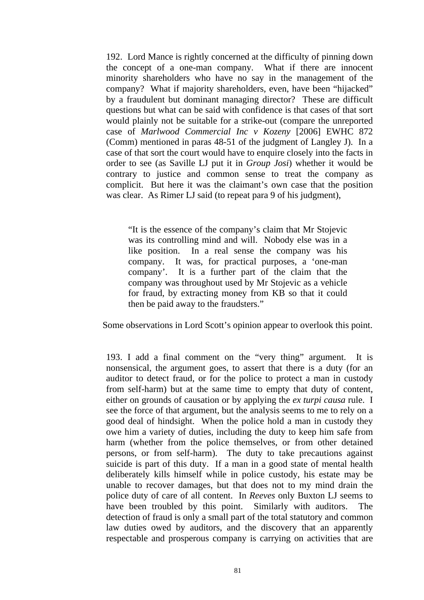192. Lord Mance is rightly concerned at the difficulty of pinning down the concept of a one-man company. What if there are innocent minority shareholders who have no say in the management of the company? What if majority shareholders, even, have been "hijacked" by a fraudulent but dominant managing director? These are difficult questions but what can be said with confidence is that cases of that sort would plainly not be suitable for a strike-out (compare the unreported case of *Marlwood Commercial Inc v Kozeny* [2006] EWHC 872 (Comm) mentioned in paras 48-51 of the judgment of Langley J). In a case of that sort the court would have to enquire closely into the facts in order to see (as Saville LJ put it in *Group Josi*) whether it would be contrary to justice and common sense to treat the company as complicit. But here it was the claimant's own case that the position was clear. As Rimer LJ said (to repeat para 9 of his judgment),

"It is the essence of the company's claim that Mr Stojevic was its controlling mind and will. Nobody else was in a like position. In a real sense the company was his company. It was, for practical purposes, a 'one-man company'. It is a further part of the claim that the company was throughout used by Mr Stojevic as a vehicle for fraud, by extracting money from KB so that it could then be paid away to the fraudsters."

Some observations in Lord Scott's opinion appear to overlook this point.

193. I add a final comment on the "very thing" argument. It is nonsensical, the argument goes, to assert that there is a duty (for an auditor to detect fraud, or for the police to protect a man in custody from self-harm) but at the same time to empty that duty of content, either on grounds of causation or by applying the *ex turpi causa* rule. I see the force of that argument, but the analysis seems to me to rely on a good deal of hindsight. When the police hold a man in custody they owe him a variety of duties, including the duty to keep him safe from harm (whether from the police themselves, or from other detained persons, or from self-harm). The duty to take precautions against suicide is part of this duty. If a man in a good state of mental health deliberately kills himself while in police custody, his estate may be unable to recover damages, but that does not to my mind drain the police duty of care of all content. In *Reeves* only Buxton LJ seems to have been troubled by this point. Similarly with auditors. The detection of fraud is only a small part of the total statutory and common law duties owed by auditors, and the discovery that an apparently respectable and prosperous company is carrying on activities that are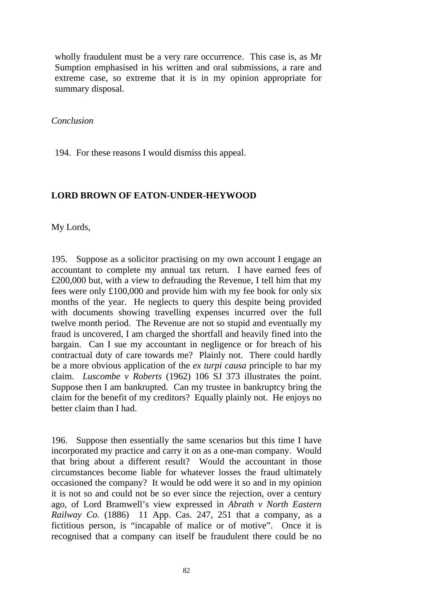wholly fraudulent must be a very rare occurrence. This case is, as Mr Sumption emphasised in his written and oral submissions, a rare and extreme case, so extreme that it is in my opinion appropriate for summary disposal.

*Conclusion* 

194. For these reasons I would dismiss this appeal.

# **LORD BROWN OF EATON-UNDER-HEYWOOD**

My Lords,

195. Suppose as a solicitor practising on my own account I engage an accountant to complete my annual tax return. I have earned fees of £200,000 but, with a view to defrauding the Revenue, I tell him that my fees were only £100,000 and provide him with my fee book for only six months of the year. He neglects to query this despite being provided with documents showing travelling expenses incurred over the full twelve month period. The Revenue are not so stupid and eventually my fraud is uncovered, I am charged the shortfall and heavily fined into the bargain. Can I sue my accountant in negligence or for breach of his contractual duty of care towards me? Plainly not. There could hardly be a more obvious application of the *ex turpi causa* principle to bar my claim. *Luscombe v Roberts* (1962) 106 SJ 373 illustrates the point. Suppose then I am bankrupted. Can my trustee in bankruptcy bring the claim for the benefit of my creditors? Equally plainly not. He enjoys no better claim than I had.

196. Suppose then essentially the same scenarios but this time I have incorporated my practice and carry it on as a one-man company. Would that bring about a different result? Would the accountant in those circumstances become liable for whatever losses the fraud ultimately occasioned the company? It would be odd were it so and in my opinion it is not so and could not be so ever since the rejection, over a century ago, of Lord Bramwell's view expressed in *Abrath v North Eastern Railway Co.* (1886) 11 App. Cas. 247, 251 that a company, as a fictitious person, is "incapable of malice or of motive". Once it is recognised that a company can itself be fraudulent there could be no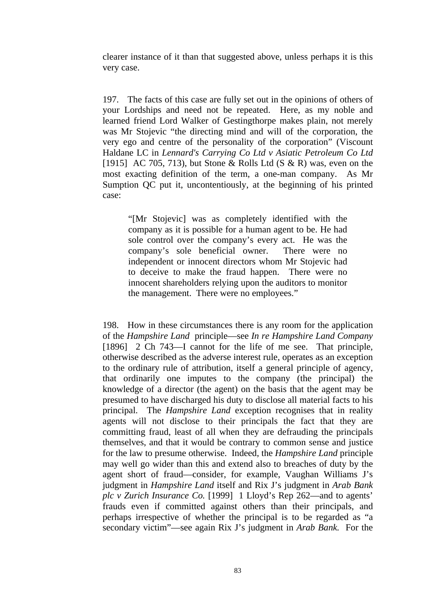clearer instance of it than that suggested above, unless perhaps it is this very case.

197. The facts of this case are fully set out in the opinions of others of your Lordships and need not be repeated. Here, as my noble and learned friend Lord Walker of Gestingthorpe makes plain, not merely was Mr Stojevic "the directing mind and will of the corporation, the very ego and centre of the personality of the corporation" (Viscount Haldane LC in *Lennard's Carrying Co Ltd v Asiatic Petroleum Co Ltd* [1915] AC 705, 713), but Stone & Rolls Ltd  $(S \& R)$  was, even on the most exacting definition of the term, a one-man company. As Mr Sumption QC put it, uncontentiously, at the beginning of his printed case:

"[Mr Stojevic] was as completely identified with the company as it is possible for a human agent to be. He had sole control over the company's every act. He was the company's sole beneficial owner. There were no independent or innocent directors whom Mr Stojevic had to deceive to make the fraud happen. There were no innocent shareholders relying upon the auditors to monitor the management. There were no employees."

198. How in these circumstances there is any room for the application of the *Hampshire Land* principle—see *In re Hampshire Land Company* [1896] 2 Ch 743—I cannot for the life of me see. That principle, otherwise described as the adverse interest rule, operates as an exception to the ordinary rule of attribution, itself a general principle of agency, that ordinarily one imputes to the company (the principal) the knowledge of a director (the agent) on the basis that the agent may be presumed to have discharged his duty to disclose all material facts to his principal. The *Hampshire Land* exception recognises that in reality agents will not disclose to their principals the fact that they are committing fraud, least of all when they are defrauding the principals themselves, and that it would be contrary to common sense and justice for the law to presume otherwise. Indeed, the *Hampshire Land* principle may well go wider than this and extend also to breaches of duty by the agent short of fraud—consider, for example, Vaughan Williams J's judgment in *Hampshire Land* itself and Rix J's judgment in *Arab Bank plc v Zurich Insurance Co.* [1999] 1 Lloyd's Rep 262—and to agents' frauds even if committed against others than their principals, and perhaps irrespective of whether the principal is to be regarded as "a secondary victim"—see again Rix J's judgment in *Arab Bank.* For the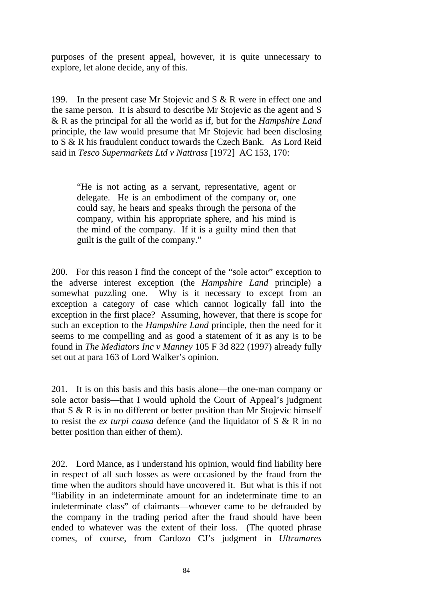purposes of the present appeal, however, it is quite unnecessary to explore, let alone decide, any of this.

199. In the present case Mr Stojevic and S & R were in effect one and the same person. It is absurd to describe Mr Stojevic as the agent and S & R as the principal for all the world as if, but for the *Hampshire Land* principle, the law would presume that Mr Stojevic had been disclosing to S & R his fraudulent conduct towards the Czech Bank. As Lord Reid said in *Tesco Supermarkets Ltd v Nattrass* [1972] AC 153, 170:

"He is not acting as a servant, representative, agent or delegate. He is an embodiment of the company or, one could say, he hears and speaks through the persona of the company, within his appropriate sphere, and his mind is the mind of the company. If it is a guilty mind then that guilt is the guilt of the company."

200. For this reason I find the concept of the "sole actor" exception to the adverse interest exception (the *Hampshire Land* principle) a somewhat puzzling one. Why is it necessary to except from an exception a category of case which cannot logically fall into the exception in the first place? Assuming, however, that there is scope for such an exception to the *Hampshire Land* principle, then the need for it seems to me compelling and as good a statement of it as any is to be found in *The Mediators Inc v Manney* 105 F 3d 822 (1997) already fully set out at para 163 of Lord Walker's opinion.

201. It is on this basis and this basis alone—the one-man company or sole actor basis—that I would uphold the Court of Appeal's judgment that S & R is in no different or better position than Mr Stojevic himself to resist the *ex turpi causa* defence (and the liquidator of S & R in no better position than either of them).

202. Lord Mance, as I understand his opinion, would find liability here in respect of all such losses as were occasioned by the fraud from the time when the auditors should have uncovered it. But what is this if not "liability in an indeterminate amount for an indeterminate time to an indeterminate class" of claimants—whoever came to be defrauded by the company in the trading period after the fraud should have been ended to whatever was the extent of their loss. (The quoted phrase comes, of course, from Cardozo CJ's judgment in *Ultramares*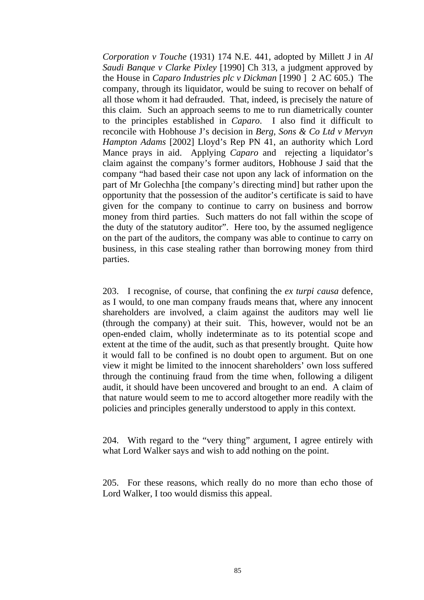*Corporation v Touche* (1931) 174 N.E. 441, adopted by Millett J in *Al Saudi Banque v Clarke Pixley* [1990] Ch 313, a judgment approved by the House in *Caparo Industries plc v Dickman* [1990 ] 2 AC 605.) The company, through its liquidator, would be suing to recover on behalf of all those whom it had defrauded. That, indeed, is precisely the nature of this claim. Such an approach seems to me to run diametrically counter to the principles established in *Caparo*. I also find it difficult to reconcile with Hobhouse J's decision in *Berg, Sons & Co Ltd v Mervyn Hampton Adams* [2002] Lloyd's Rep PN 41, an authority which Lord Mance prays in aid. Applying *Caparo* and rejecting a liquidator's claim against the company's former auditors, Hobhouse J said that the company "had based their case not upon any lack of information on the part of Mr Golechha [the company's directing mind] but rather upon the opportunity that the possession of the auditor's certificate is said to have given for the company to continue to carry on business and borrow money from third parties. Such matters do not fall within the scope of the duty of the statutory auditor". Here too, by the assumed negligence on the part of the auditors, the company was able to continue to carry on business, in this case stealing rather than borrowing money from third parties.

203. I recognise, of course, that confining the *ex turpi causa* defence, as I would, to one man company frauds means that, where any innocent shareholders are involved, a claim against the auditors may well lie (through the company) at their suit. This, however, would not be an open-ended claim, wholly indeterminate as to its potential scope and extent at the time of the audit, such as that presently brought. Quite how it would fall to be confined is no doubt open to argument. But on one view it might be limited to the innocent shareholders' own loss suffered through the continuing fraud from the time when, following a diligent audit, it should have been uncovered and brought to an end. A claim of that nature would seem to me to accord altogether more readily with the policies and principles generally understood to apply in this context.

204. With regard to the "very thing" argument, I agree entirely with what Lord Walker says and wish to add nothing on the point.

205. For these reasons, which really do no more than echo those of Lord Walker, I too would dismiss this appeal.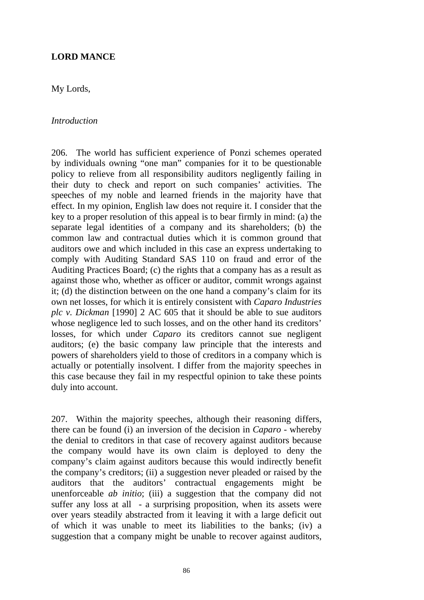# **LORD MANCE**

# My Lords,

## *Introduction*

206. The world has sufficient experience of Ponzi schemes operated by individuals owning "one man" companies for it to be questionable policy to relieve from all responsibility auditors negligently failing in their duty to check and report on such companies' activities. The speeches of my noble and learned friends in the majority have that effect. In my opinion, English law does not require it. I consider that the key to a proper resolution of this appeal is to bear firmly in mind: (a) the separate legal identities of a company and its shareholders; (b) the common law and contractual duties which it is common ground that auditors owe and which included in this case an express undertaking to comply with Auditing Standard SAS 110 on fraud and error of the Auditing Practices Board; (c) the rights that a company has as a result as against those who, whether as officer or auditor, commit wrongs against it; (d) the distinction between on the one hand a company's claim for its own net losses, for which it is entirely consistent with *Caparo Industries plc v. Dickman* [1990] 2 AC 605 that it should be able to sue auditors whose negligence led to such losses, and on the other hand its creditors' losses, for which under *Caparo* its creditors cannot sue negligent auditors; (e) the basic company law principle that the interests and powers of shareholders yield to those of creditors in a company which is actually or potentially insolvent. I differ from the majority speeches in this case because they fail in my respectful opinion to take these points duly into account.

207. Within the majority speeches, although their reasoning differs, there can be found (i) an inversion of the decision in *Caparo* - whereby the denial to creditors in that case of recovery against auditors because the company would have its own claim is deployed to deny the company's claim against auditors because this would indirectly benefit the company's creditors; (ii) a suggestion never pleaded or raised by the auditors that the auditors' contractual engagements might be unenforceable *ab initio*; (iii) a suggestion that the company did not suffer any loss at all - a surprising proposition, when its assets were over years steadily abstracted from it leaving it with a large deficit out of which it was unable to meet its liabilities to the banks; (iv) a suggestion that a company might be unable to recover against auditors,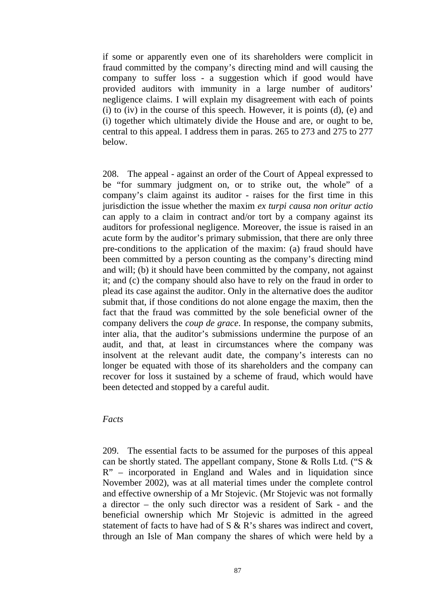if some or apparently even one of its shareholders were complicit in fraud committed by the company's directing mind and will causing the company to suffer loss - a suggestion which if good would have provided auditors with immunity in a large number of auditors' negligence claims. I will explain my disagreement with each of points (i) to (iv) in the course of this speech. However, it is points (d), (e) and (i) together which ultimately divide the House and are, or ought to be, central to this appeal. I address them in paras. 265 to 273 and 275 to 277 below.

208. The appeal - against an order of the Court of Appeal expressed to be "for summary judgment on, or to strike out, the whole" of a company's claim against its auditor - raises for the first time in this jurisdiction the issue whether the maxim *ex turpi causa non oritur actio*  can apply to a claim in contract and/or tort by a company against its auditors for professional negligence. Moreover, the issue is raised in an acute form by the auditor's primary submission, that there are only three pre-conditions to the application of the maxim: (a) fraud should have been committed by a person counting as the company's directing mind and will; (b) it should have been committed by the company, not against it; and (c) the company should also have to rely on the fraud in order to plead its case against the auditor. Only in the alternative does the auditor submit that, if those conditions do not alone engage the maxim, then the fact that the fraud was committed by the sole beneficial owner of the company delivers the *coup de grace*. In response, the company submits, inter alia, that the auditor's submissions undermine the purpose of an audit, and that, at least in circumstances where the company was insolvent at the relevant audit date, the company's interests can no longer be equated with those of its shareholders and the company can recover for loss it sustained by a scheme of fraud, which would have been detected and stopped by a careful audit.

#### *Facts*

209. The essential facts to be assumed for the purposes of this appeal can be shortly stated. The appellant company, Stone & Rolls Ltd. ("S & R" – incorporated in England and Wales and in liquidation since November 2002), was at all material times under the complete control and effective ownership of a Mr Stojevic. (Mr Stojevic was not formally a director – the only such director was a resident of Sark - and the beneficial ownership which Mr Stojevic is admitted in the agreed statement of facts to have had of S & R's shares was indirect and covert, through an Isle of Man company the shares of which were held by a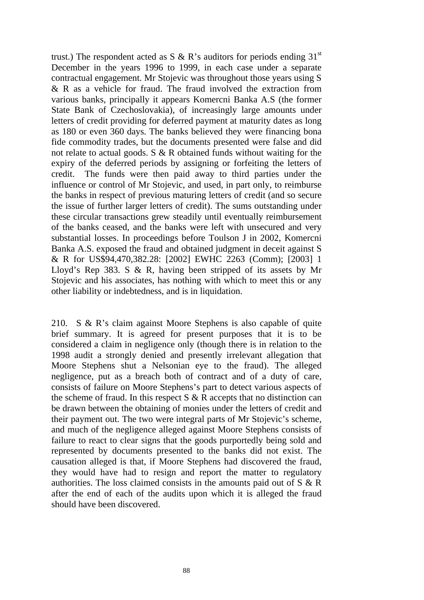trust.) The respondent acted as S & R's auditors for periods ending  $31<sup>st</sup>$ December in the years 1996 to 1999, in each case under a separate contractual engagement. Mr Stojevic was throughout those years using S & R as a vehicle for fraud. The fraud involved the extraction from various banks, principally it appears Komercni Banka A.S (the former State Bank of Czechoslovakia), of increasingly large amounts under letters of credit providing for deferred payment at maturity dates as long as 180 or even 360 days. The banks believed they were financing bona fide commodity trades, but the documents presented were false and did not relate to actual goods. S & R obtained funds without waiting for the expiry of the deferred periods by assigning or forfeiting the letters of credit. The funds were then paid away to third parties under the influence or control of Mr Stojevic, and used, in part only, to reimburse the banks in respect of previous maturing letters of credit (and so secure the issue of further larger letters of credit). The sums outstanding under these circular transactions grew steadily until eventually reimbursement of the banks ceased, and the banks were left with unsecured and very substantial losses. In proceedings before Toulson J in 2002, Komercni Banka A.S. exposed the fraud and obtained judgment in deceit against S & R for US\$94,470,382.28: [2002] EWHC 2263 (Comm); [2003] 1 Lloyd's Rep 383. S & R, having been stripped of its assets by Mr Stojevic and his associates, has nothing with which to meet this or any other liability or indebtedness, and is in liquidation.

210. S & R's claim against Moore Stephens is also capable of quite brief summary. It is agreed for present purposes that it is to be considered a claim in negligence only (though there is in relation to the 1998 audit a strongly denied and presently irrelevant allegation that Moore Stephens shut a Nelsonian eye to the fraud). The alleged negligence, put as a breach both of contract and of a duty of care, consists of failure on Moore Stephens's part to detect various aspects of the scheme of fraud. In this respect  $S \& R$  accepts that no distinction can be drawn between the obtaining of monies under the letters of credit and their payment out. The two were integral parts of Mr Stojevic's scheme, and much of the negligence alleged against Moore Stephens consists of failure to react to clear signs that the goods purportedly being sold and represented by documents presented to the banks did not exist. The causation alleged is that, if Moore Stephens had discovered the fraud, they would have had to resign and report the matter to regulatory authorities. The loss claimed consists in the amounts paid out of S & R after the end of each of the audits upon which it is alleged the fraud should have been discovered.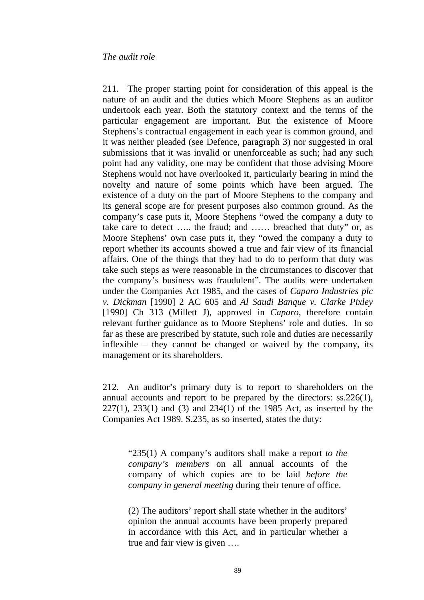## *The audit role*

211. The proper starting point for consideration of this appeal is the nature of an audit and the duties which Moore Stephens as an auditor undertook each year. Both the statutory context and the terms of the particular engagement are important. But the existence of Moore Stephens's contractual engagement in each year is common ground, and it was neither pleaded (see Defence, paragraph 3) nor suggested in oral submissions that it was invalid or unenforceable as such; had any such point had any validity, one may be confident that those advising Moore Stephens would not have overlooked it, particularly bearing in mind the novelty and nature of some points which have been argued. The existence of a duty on the part of Moore Stephens to the company and its general scope are for present purposes also common ground. As the company's case puts it, Moore Stephens "owed the company a duty to take care to detect ….. the fraud; and …… breached that duty" or, as Moore Stephens' own case puts it, they "owed the company a duty to report whether its accounts showed a true and fair view of its financial affairs. One of the things that they had to do to perform that duty was take such steps as were reasonable in the circumstances to discover that the company's business was fraudulent". The audits were undertaken under the Companies Act 1985, and the cases of *Caparo Industries plc v. Dickman* [1990] 2 AC 605 and *Al Saudi Banque v. Clarke Pixley*  [1990] Ch 313 (Millett J), approved in *Caparo*, therefore contain relevant further guidance as to Moore Stephens' role and duties. In so far as these are prescribed by statute, such role and duties are necessarily inflexible – they cannot be changed or waived by the company, its management or its shareholders.

212. An auditor's primary duty is to report to shareholders on the annual accounts and report to be prepared by the directors: ss.226(1), 227(1), 233(1) and (3) and 234(1) of the 1985 Act, as inserted by the Companies Act 1989. S.235, as so inserted, states the duty:

"235(1) A company's auditors shall make a report *to the company's members* on all annual accounts of the company of which copies are to be laid *before the company in general meeting* during their tenure of office.

(2) The auditors' report shall state whether in the auditors' opinion the annual accounts have been properly prepared in accordance with this Act, and in particular whether a true and fair view is given ….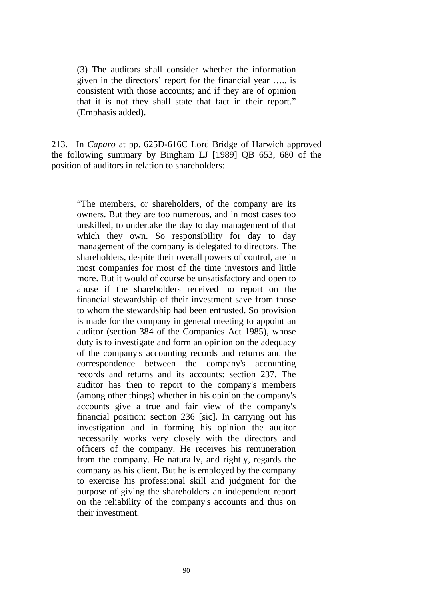(3) The auditors shall consider whether the information given in the directors' report for the financial year ….. is consistent with those accounts; and if they are of opinion that it is not they shall state that fact in their report." (Emphasis added).

213. In *Caparo* at pp. 625D-616C Lord Bridge of Harwich approved the following summary by Bingham LJ [1989] QB 653, 680 of the position of auditors in relation to shareholders:

"The members, or shareholders, of the company are its owners. But they are too numerous, and in most cases too unskilled, to undertake the day to day management of that which they own. So responsibility for day to day management of the company is delegated to directors. The shareholders, despite their overall powers of control, are in most companies for most of the time investors and little more. But it would of course be unsatisfactory and open to abuse if the shareholders received no report on the financial stewardship of their investment save from those to whom the stewardship had been entrusted. So provision is made for the company in general meeting to appoint an auditor (section 384 of the Companies Act 1985), whose duty is to investigate and form an opinion on the adequacy of the company's accounting records and returns and the correspondence between the company's accounting records and returns and its accounts: section 237. The auditor has then to report to the company's members (among other things) whether in his opinion the company's accounts give a true and fair view of the company's financial position: section 236 [sic]. In carrying out his investigation and in forming his opinion the auditor necessarily works very closely with the directors and officers of the company. He receives his remuneration from the company. He naturally, and rightly, regards the company as his client. But he is employed by the company to exercise his professional skill and judgment for the purpose of giving the shareholders an independent report on the reliability of the company's accounts and thus on their investment.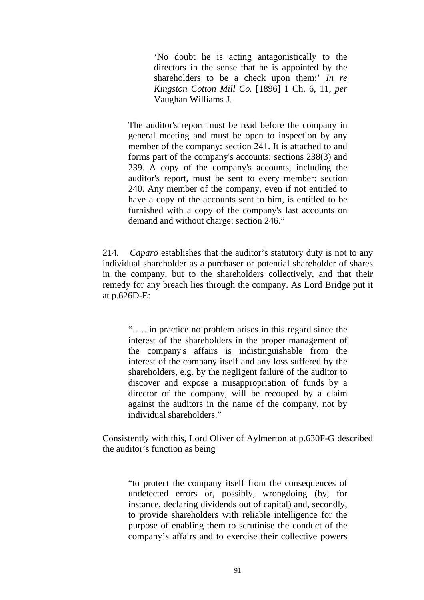'No doubt he is acting antagonistically to the directors in the sense that he is appointed by the shareholders to be a check upon them:' *In re Kingston Cotton Mill Co.* [1896] 1 Ch. 6, 11, *per*  Vaughan Williams J.

The auditor's report must be read before the company in general meeting and must be open to inspection by any member of the company: section 241. It is attached to and forms part of the company's accounts: sections 238(3) and 239. A copy of the company's accounts, including the auditor's report, must be sent to every member: section 240. Any member of the company, even if not entitled to have a copy of the accounts sent to him, is entitled to be furnished with a copy of the company's last accounts on demand and without charge: section 246."

214. *Caparo* establishes that the auditor's statutory duty is not to any individual shareholder as a purchaser or potential shareholder of shares in the company, but to the shareholders collectively, and that their remedy for any breach lies through the company. As Lord Bridge put it at p.626D-E:

"….. in practice no problem arises in this regard since the interest of the shareholders in the proper management of the company's affairs is indistinguishable from the interest of the company itself and any loss suffered by the shareholders, e.g. by the negligent failure of the auditor to discover and expose a misappropriation of funds by a director of the company, will be recouped by a claim against the auditors in the name of the company, not by individual shareholders."

Consistently with this, Lord Oliver of Aylmerton at p.630F-G described the auditor's function as being

"to protect the company itself from the consequences of undetected errors or, possibly, wrongdoing (by, for instance, declaring dividends out of capital) and, secondly, to provide shareholders with reliable intelligence for the purpose of enabling them to scrutinise the conduct of the company's affairs and to exercise their collective powers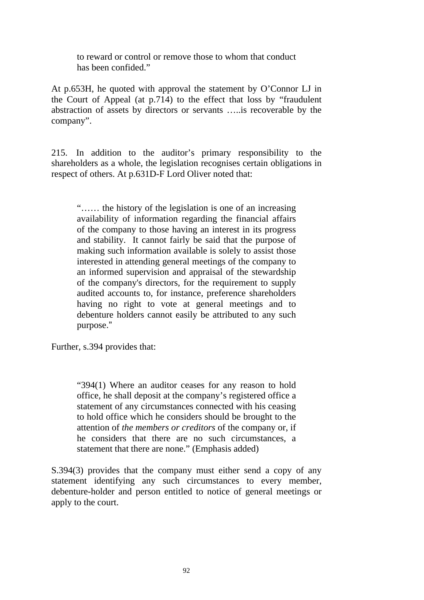to reward or control or remove those to whom that conduct has been confided."

At p.653H, he quoted with approval the statement by O'Connor LJ in the Court of Appeal (at p.714) to the effect that loss by "fraudulent abstraction of assets by directors or servants …..is recoverable by the company".

215. In addition to the auditor's primary responsibility to the shareholders as a whole, the legislation recognises certain obligations in respect of others. At p.631D-F Lord Oliver noted that:

"…… the history of the legislation is one of an increasing availability of information regarding the financial affairs of the company to those having an interest in its progress and stability. It cannot fairly be said that the purpose of making such information available is solely to assist those interested in attending general meetings of the company to an informed supervision and appraisal of the stewardship of the company's directors, for the requirement to supply audited accounts to, for instance, preference shareholders having no right to vote at general meetings and to debenture holders cannot easily be attributed to any such purpose."

Further, s.394 provides that:

"394(1) Where an auditor ceases for any reason to hold office, he shall deposit at the company's registered office a statement of any circumstances connected with his ceasing to hold office which he considers should be brought to the attention of *the members or creditors* of the company or, if he considers that there are no such circumstances, a statement that there are none." (Emphasis added)

S.394(3) provides that the company must either send a copy of any statement identifying any such circumstances to every member, debenture-holder and person entitled to notice of general meetings or apply to the court.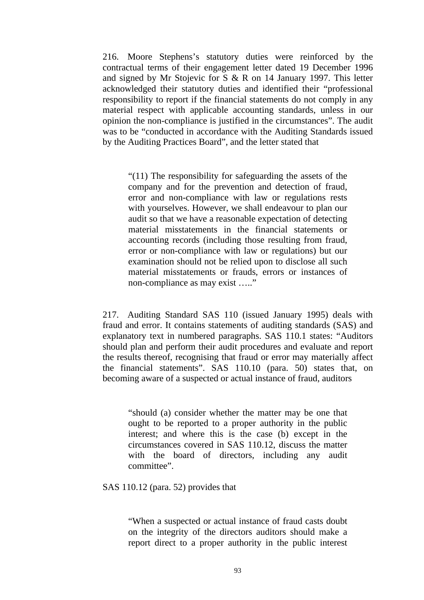216. Moore Stephens's statutory duties were reinforced by the contractual terms of their engagement letter dated 19 December 1996 and signed by Mr Stojevic for S & R on 14 January 1997. This letter acknowledged their statutory duties and identified their "professional responsibility to report if the financial statements do not comply in any material respect with applicable accounting standards, unless in our opinion the non-compliance is justified in the circumstances". The audit was to be "conducted in accordance with the Auditing Standards issued by the Auditing Practices Board", and the letter stated that

"(11) The responsibility for safeguarding the assets of the company and for the prevention and detection of fraud, error and non-compliance with law or regulations rests with yourselves. However, we shall endeavour to plan our audit so that we have a reasonable expectation of detecting material misstatements in the financial statements or accounting records (including those resulting from fraud, error or non-compliance with law or regulations) but our examination should not be relied upon to disclose all such material misstatements or frauds, errors or instances of non-compliance as may exist ….."

217. Auditing Standard SAS 110 (issued January 1995) deals with fraud and error. It contains statements of auditing standards (SAS) and explanatory text in numbered paragraphs. SAS 110.1 states: "Auditors should plan and perform their audit procedures and evaluate and report the results thereof, recognising that fraud or error may materially affect the financial statements". SAS 110.10 (para. 50) states that, on becoming aware of a suspected or actual instance of fraud, auditors

"should (a) consider whether the matter may be one that ought to be reported to a proper authority in the public interest; and where this is the case (b) except in the circumstances covered in SAS 110.12, discuss the matter with the board of directors, including any audit committee".

SAS 110.12 (para. 52) provides that

"When a suspected or actual instance of fraud casts doubt on the integrity of the directors auditors should make a report direct to a proper authority in the public interest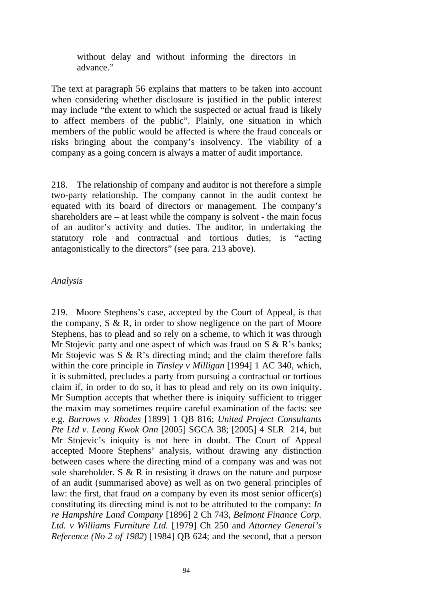without delay and without informing the directors in advance."

The text at paragraph 56 explains that matters to be taken into account when considering whether disclosure is justified in the public interest may include "the extent to which the suspected or actual fraud is likely to affect members of the public". Plainly, one situation in which members of the public would be affected is where the fraud conceals or risks bringing about the company's insolvency. The viability of a company as a going concern is always a matter of audit importance.

218. The relationship of company and auditor is not therefore a simple two-party relationship. The company cannot in the audit context be equated with its board of directors or management. The company's shareholders are – at least while the company is solvent - the main focus of an auditor's activity and duties. The auditor, in undertaking the statutory role and contractual and tortious duties, is "acting antagonistically to the directors" (see para. 213 above).

## *Analysis*

219. Moore Stephens's case, accepted by the Court of Appeal, is that the company,  $S \& R$ , in order to show negligence on the part of Moore Stephens, has to plead and so rely on a scheme, to which it was through Mr Stojevic party and one aspect of which was fraud on  $S \& R$ 's banks; Mr Stojevic was  $S \& R$ 's directing mind; and the claim therefore falls within the core principle in *Tinsley v Milligan* [1994] 1 AC 340, which, it is submitted, precludes a party from pursuing a contractual or tortious claim if, in order to do so, it has to plead and rely on its own iniquity. Mr Sumption accepts that whether there is iniquity sufficient to trigger the maxim may sometimes require careful examination of the facts: see e.g. *Burrows v. Rhodes* [1899] 1 QB 816; *United Project Consultants Pte Ltd v. Leong Kwok Onn* [2005] SGCA 38; [2005] 4 SLR 214, but Mr Stojevic's iniquity is not here in doubt. The Court of Appeal accepted Moore Stephens' analysis, without drawing any distinction between cases where the directing mind of a company was and was not sole shareholder. S & R in resisting it draws on the nature and purpose of an audit (summarised above) as well as on two general principles of law: the first, that fraud *on* a company by even its most senior officer(s) constituting its directing mind is not to be attributed to the company: *In re Hampshire Land Company* [1896] 2 Ch 743, *Belmont Finance Corp. Ltd. v Williams Furniture Ltd.* [1979] Ch 250 and *Attorney General's Reference (No 2 of 1982*) [1984] QB 624; and the second, that a person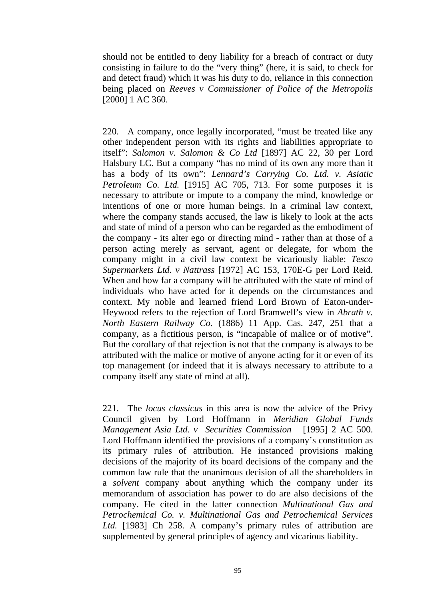should not be entitled to deny liability for a breach of contract or duty consisting in failure to do the "very thing" (here, it is said, to check for and detect fraud) which it was his duty to do, reliance in this connection being placed on *Reeves v Commissioner of Police of the Metropolis*  [2000] 1 AC 360.

220. A company, once legally incorporated, "must be treated like any other independent person with its rights and liabilities appropriate to itself": *Salomon v. Salomon & Co Ltd* [1897] AC 22, 30 per Lord Halsbury LC. But a company "has no mind of its own any more than it has a body of its own": *Lennard's Carrying Co. Ltd. v. Asiatic Petroleum Co. Ltd.* [1915] AC 705, 713. For some purposes it is necessary to attribute or impute to a company the mind, knowledge or intentions of one or more human beings. In a criminal law context, where the company stands accused, the law is likely to look at the acts and state of mind of a person who can be regarded as the embodiment of the company - its alter ego or directing mind - rather than at those of a person acting merely as servant, agent or delegate, for whom the company might in a civil law context be vicariously liable: *Tesco Supermarkets Ltd. v Nattrass* [1972] AC 153, 170E-G per Lord Reid. When and how far a company will be attributed with the state of mind of individuals who have acted for it depends on the circumstances and context. My noble and learned friend Lord Brown of Eaton-under-Heywood refers to the rejection of Lord Bramwell's view in *Abrath v. North Eastern Railway Co.* (1886) 11 App. Cas. 247, 251 that a company, as a fictitious person, is "incapable of malice or of motive". But the corollary of that rejection is not that the company is always to be attributed with the malice or motive of anyone acting for it or even of its top management (or indeed that it is always necessary to attribute to a company itself any state of mind at all).

221. The *locus classicus* in this area is now the advice of the Privy Council given by Lord Hoffmann in *Meridian Global Funds Management Asia Ltd. v Securities Commission* [1995] 2 AC 500. Lord Hoffmann identified the provisions of a company's constitution as its primary rules of attribution. He instanced provisions making decisions of the majority of its board decisions of the company and the common law rule that the unanimous decision of all the shareholders in a *solvent* company about anything which the company under its memorandum of association has power to do are also decisions of the company. He cited in the latter connection *Multinational Gas and Petrochemical Co. v. Multinational Gas and Petrochemical Services*  Ltd. [1983] Ch 258. A company's primary rules of attribution are supplemented by general principles of agency and vicarious liability.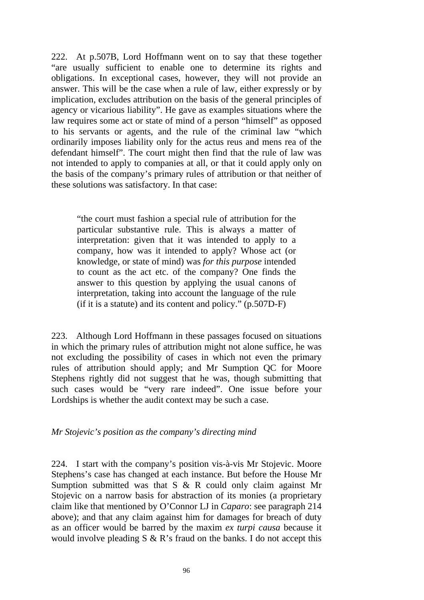222. At p.507B, Lord Hoffmann went on to say that these together "are usually sufficient to enable one to determine its rights and obligations. In exceptional cases, however, they will not provide an answer. This will be the case when a rule of law, either expressly or by implication, excludes attribution on the basis of the general principles of agency or vicarious liability". He gave as examples situations where the law requires some act or state of mind of a person "himself" as opposed to his servants or agents, and the rule of the criminal law "which ordinarily imposes liability only for the actus reus and mens rea of the defendant himself". The court might then find that the rule of law was not intended to apply to companies at all, or that it could apply only on the basis of the company's primary rules of attribution or that neither of these solutions was satisfactory. In that case:

"the court must fashion a special rule of attribution for the particular substantive rule. This is always a matter of interpretation: given that it was intended to apply to a company, how was it intended to apply? Whose act (or knowledge, or state of mind) was *for this purpose* intended to count as the act etc. of the company? One finds the answer to this question by applying the usual canons of interpretation, taking into account the language of the rule (if it is a statute) and its content and policy." (p.507D-F)

223. Although Lord Hoffmann in these passages focused on situations in which the primary rules of attribution might not alone suffice, he was not excluding the possibility of cases in which not even the primary rules of attribution should apply; and Mr Sumption QC for Moore Stephens rightly did not suggest that he was, though submitting that such cases would be "very rare indeed". One issue before your Lordships is whether the audit context may be such a case.

#### *Mr Stojevic's position as the company's directing mind*

224. I start with the company's position vis-à-vis Mr Stojevic. Moore Stephens's case has changed at each instance. But before the House Mr Sumption submitted was that S & R could only claim against Mr Stojevic on a narrow basis for abstraction of its monies (a proprietary claim like that mentioned by O'Connor LJ in *Caparo*: see paragraph 214 above); and that any claim against him for damages for breach of duty as an officer would be barred by the maxim *ex turpi causa* because it would involve pleading  $S \& R$ 's fraud on the banks. I do not accept this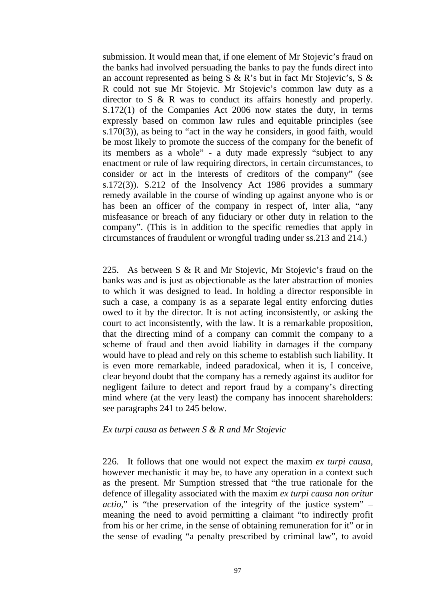submission. It would mean that, if one element of Mr Stojevic's fraud on the banks had involved persuading the banks to pay the funds direct into an account represented as being S & R's but in fact Mr Stojevic's, S & R could not sue Mr Stojevic. Mr Stojevic's common law duty as a director to S & R was to conduct its affairs honestly and properly. S.172(1) of the Companies Act 2006 now states the duty, in terms expressly based on common law rules and equitable principles (see s.170(3)), as being to "act in the way he considers, in good faith, would be most likely to promote the success of the company for the benefit of its members as a whole" - a duty made expressly "subject to any enactment or rule of law requiring directors, in certain circumstances, to consider or act in the interests of creditors of the company" (see s.172(3)). S.212 of the Insolvency Act 1986 provides a summary remedy available in the course of winding up against anyone who is or has been an officer of the company in respect of, inter alia, "any misfeasance or breach of any fiduciary or other duty in relation to the company". (This is in addition to the specific remedies that apply in circumstances of fraudulent or wrongful trading under ss.213 and 214.)

225. As between S & R and Mr Stojevic, Mr Stojevic's fraud on the banks was and is just as objectionable as the later abstraction of monies to which it was designed to lead. In holding a director responsible in such a case, a company is as a separate legal entity enforcing duties owed to it by the director. It is not acting inconsistently, or asking the court to act inconsistently, with the law. It is a remarkable proposition, that the directing mind of a company can commit the company to a scheme of fraud and then avoid liability in damages if the company would have to plead and rely on this scheme to establish such liability. It is even more remarkable, indeed paradoxical, when it is, I conceive, clear beyond doubt that the company has a remedy against its auditor for negligent failure to detect and report fraud by a company's directing mind where (at the very least) the company has innocent shareholders: see paragraphs 241 to 245 below.

#### *Ex turpi causa as between S & R and Mr Stojevic*

226. It follows that one would not expect the maxim *ex turpi causa*, however mechanistic it may be, to have any operation in a context such as the present. Mr Sumption stressed that "the true rationale for the defence of illegality associated with the maxim *ex turpi causa non oritur actio*," is "the preservation of the integrity of the justice system" – meaning the need to avoid permitting a claimant "to indirectly profit from his or her crime, in the sense of obtaining remuneration for it" or in the sense of evading "a penalty prescribed by criminal law", to avoid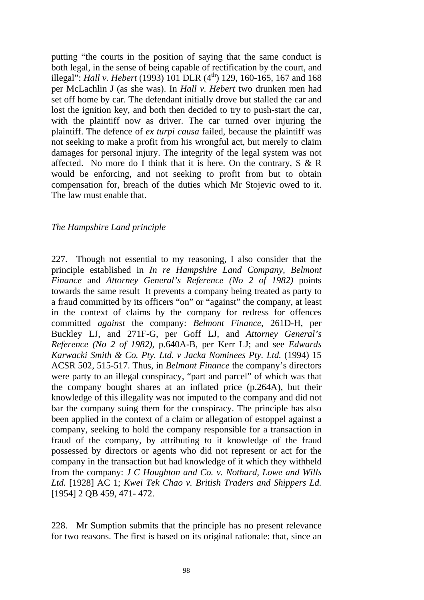putting "the courts in the position of saying that the same conduct is both legal, in the sense of being capable of rectification by the court, and illegal": *Hall v. Hebert* (1993) 101 DLR (4<sup>th</sup>) 129, 160-165, 167 and 168 per McLachlin J (as she was). In *Hall v. Hebert* two drunken men had set off home by car. The defendant initially drove but stalled the car and lost the ignition key, and both then decided to try to push-start the car, with the plaintiff now as driver. The car turned over injuring the plaintiff. The defence of *ex turpi causa* failed, because the plaintiff was not seeking to make a profit from his wrongful act, but merely to claim damages for personal injury. The integrity of the legal system was not affected. No more do I think that it is here. On the contrary,  $S \& R$ would be enforcing, and not seeking to profit from but to obtain compensation for, breach of the duties which Mr Stojevic owed to it. The law must enable that.

#### *The Hampshire Land principle*

227. Though not essential to my reasoning, I also consider that the principle established in *In re Hampshire Land Company, Belmont Finance* and *Attorney General's Reference (No 2 of 1982)* points towards the same result It prevents a company being treated as party to a fraud committed by its officers "on" or "against" the company, at least in the context of claims by the company for redress for offences committed *against* the company: *Belmont Finance*, 261D-H, per Buckley LJ, and 271F-G, per Goff LJ, and *Attorney General's Reference (No 2 of 1982)*, p.640A-B, per Kerr LJ; and see *Edwards Karwacki Smith & Co. Pty. Ltd. v Jacka Nominees Pty. Ltd.* (1994) 15 ACSR 502, 515-517. Thus, in *Belmont Finance* the company's directors were party to an illegal conspiracy, "part and parcel" of which was that the company bought shares at an inflated price (p.264A), but their knowledge of this illegality was not imputed to the company and did not bar the company suing them for the conspiracy. The principle has also been applied in the context of a claim or allegation of estoppel against a company, seeking to hold the company responsible for a transaction in fraud of the company, by attributing to it knowledge of the fraud possessed by directors or agents who did not represent or act for the company in the transaction but had knowledge of it which they withheld from the company: *J C Houghton and Co. v. Nothard, Lowe and Wills Ltd.* [1928] AC 1; *Kwei Tek Chao v. British Traders and Shippers Ld.*  [1954] 2 QB 459, 471- 472.

228. Mr Sumption submits that the principle has no present relevance for two reasons. The first is based on its original rationale: that, since an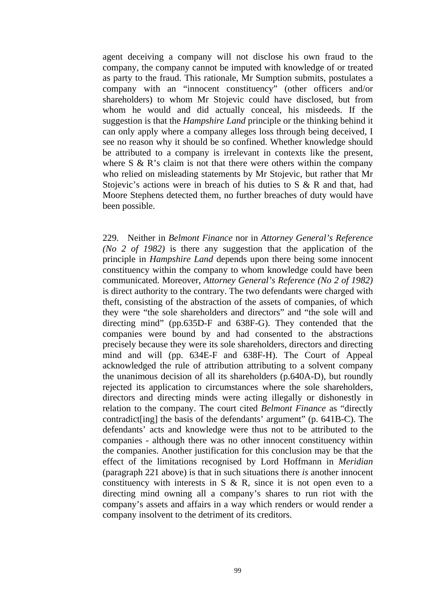agent deceiving a company will not disclose his own fraud to the company, the company cannot be imputed with knowledge of or treated as party to the fraud. This rationale, Mr Sumption submits, postulates a company with an "innocent constituency" (other officers and/or shareholders) to whom Mr Stojevic could have disclosed, but from whom he would and did actually conceal, his misdeeds. If the suggestion is that the *Hampshire Land* principle or the thinking behind it can only apply where a company alleges loss through being deceived, I see no reason why it should be so confined. Whether knowledge should be attributed to a company is irrelevant in contexts like the present, where  $S \& R$ 's claim is not that there were others within the company who relied on misleading statements by Mr Stojevic, but rather that Mr Stojevic's actions were in breach of his duties to S & R and that, had Moore Stephens detected them, no further breaches of duty would have been possible.

229. Neither in *Belmont Finance* nor in *Attorney General's Reference (No 2 of 1982)* is there any suggestion that the application of the principle in *Hampshire Land* depends upon there being some innocent constituency within the company to whom knowledge could have been communicated. Moreover, *Attorney General's Reference (No 2 of 1982)* is direct authority to the contrary. The two defendants were charged with theft, consisting of the abstraction of the assets of companies, of which they were "the sole shareholders and directors" and "the sole will and directing mind" (pp.635D-F and 638F-G). They contended that the companies were bound by and had consented to the abstractions precisely because they were its sole shareholders, directors and directing mind and will (pp. 634E-F and 638F-H). The Court of Appeal acknowledged the rule of attribution attributing to a solvent company the unanimous decision of all its shareholders (p.640A-D), but roundly rejected its application to circumstances where the sole shareholders, directors and directing minds were acting illegally or dishonestly in relation to the company. The court cited *Belmont Finance* as "directly contradict[ing] the basis of the defendants' argument" (p. 641B-C). The defendants' acts and knowledge were thus not to be attributed to the companies - although there was no other innocent constituency within the companies. Another justification for this conclusion may be that the effect of the limitations recognised by Lord Hoffmann in *Meridian* (paragraph 221 above) is that in such situations there *is* another innocent constituency with interests in  $S \& R$ , since it is not open even to a directing mind owning all a company's shares to run riot with the company's assets and affairs in a way which renders or would render a company insolvent to the detriment of its creditors.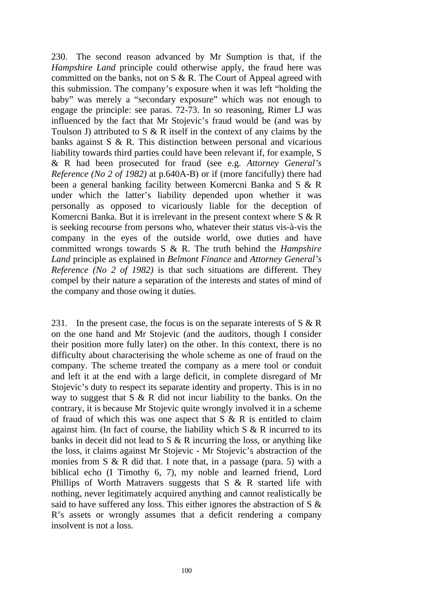230. The second reason advanced by Mr Sumption is that, if the *Hampshire Land* principle could otherwise apply, the fraud here was committed on the banks, not on S & R. The Court of Appeal agreed with this submission. The company's exposure when it was left "holding the baby" was merely a "secondary exposure" which was not enough to engage the principle: see paras. 72-73. In so reasoning, Rimer LJ was influenced by the fact that Mr Stojevic's fraud would be (and was by Toulson J) attributed to S & R itself in the context of any claims by the banks against S & R. This distinction between personal and vicarious liability towards third parties could have been relevant if, for example, S & R had been prosecuted for fraud (see e.g. *Attorney General's Reference (No 2 of 1982)* at p.640A-B) or if (more fancifully) there had been a general banking facility between Komercni Banka and S & R under which the latter's liability depended upon whether it was personally as opposed to vicariously liable for the deception of Komercni Banka. But it is irrelevant in the present context where S & R is seeking recourse from persons who, whatever their status vis-à-vis the company in the eyes of the outside world, owe duties and have committed wrongs towards S & R. The truth behind the *Hampshire Land* principle as explained in *Belmont Finance* and *Attorney General's Reference (No 2 of 1982)* is that such situations are different. They compel by their nature a separation of the interests and states of mind of the company and those owing it duties.

231. In the present case, the focus is on the separate interests of  $S \& R$ on the one hand and Mr Stojevic (and the auditors, though I consider their position more fully later) on the other. In this context, there is no difficulty about characterising the whole scheme as one of fraud on the company. The scheme treated the company as a mere tool or conduit and left it at the end with a large deficit, in complete disregard of Mr Stojevic's duty to respect its separate identity and property. This is in no way to suggest that S & R did not incur liability to the banks. On the contrary, it is because Mr Stojevic quite wrongly involved it in a scheme of fraud of which this was one aspect that  $S \& R$  is entitled to claim against him. (In fact of course, the liability which  $S \& R$  incurred to its banks in deceit did not lead to S & R incurring the loss, or anything like the loss, it claims against Mr Stojevic - Mr Stojevic's abstraction of the monies from S & R did that. I note that, in a passage (para. 5) with a biblical echo (I Timothy 6, 7), my noble and learned friend, Lord Phillips of Worth Matravers suggests that S & R started life with nothing, never legitimately acquired anything and cannot realistically be said to have suffered any loss. This either ignores the abstraction of  $S \&$ R's assets or wrongly assumes that a deficit rendering a company insolvent is not a loss.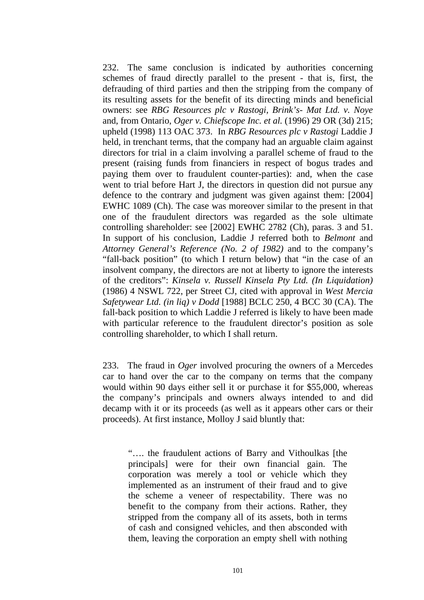232. The same conclusion is indicated by authorities concerning schemes of fraud directly parallel to the present - that is, first, the defrauding of third parties and then the stripping from the company of its resulting assets for the benefit of its directing minds and beneficial owners: see *RBG Resources plc v Rastogi*, *Brink's- Mat Ltd. v. Noye* and, from Ontario, *Oger v. Chiefscope Inc. et al.* (1996) 29 OR (3d) 215; upheld (1998) 113 OAC 373. In *RBG Resources plc v Rastogi* Laddie J held, in trenchant terms, that the company had an arguable claim against directors for trial in a claim involving a parallel scheme of fraud to the present (raising funds from financiers in respect of bogus trades and paying them over to fraudulent counter-parties): and, when the case went to trial before Hart J, the directors in question did not pursue any defence to the contrary and judgment was given against them: [2004] EWHC 1089 (Ch). The case was moreover similar to the present in that one of the fraudulent directors was regarded as the sole ultimate controlling shareholder: see [2002] EWHC 2782 (Ch), paras. 3 and 51. In support of his conclusion, Laddie J referred both to *Belmont* and *Attorney General's Reference (No. 2 of 1982)* and to the company's "fall-back position" (to which I return below) that "in the case of an insolvent company, the directors are not at liberty to ignore the interests of the creditors": *Kinsela v. Russell Kinsela Pty Ltd. (In Liquidation)*  (1986) 4 NSWL 722, per Street CJ, cited with approval in *West Mercia Safetywear Ltd. (in liq) v Dodd* [1988] BCLC 250, 4 BCC 30 (CA). The fall-back position to which Laddie J referred is likely to have been made with particular reference to the fraudulent director's position as sole controlling shareholder, to which I shall return.

233. The fraud in *Oger* involved procuring the owners of a Mercedes car to hand over the car to the company on terms that the company would within 90 days either sell it or purchase it for \$55,000, whereas the company's principals and owners always intended to and did decamp with it or its proceeds (as well as it appears other cars or their proceeds). At first instance, Molloy J said bluntly that:

"…. the fraudulent actions of Barry and Vithoulkas [the principals] were for their own financial gain. The corporation was merely a tool or vehicle which they implemented as an instrument of their fraud and to give the scheme a veneer of respectability. There was no benefit to the company from their actions. Rather, they stripped from the company all of its assets, both in terms of cash and consigned vehicles, and then absconded with them, leaving the corporation an empty shell with nothing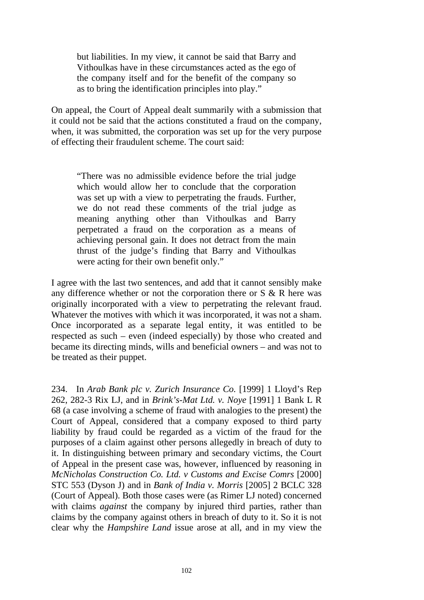but liabilities. In my view, it cannot be said that Barry and Vithoulkas have in these circumstances acted as the ego of the company itself and for the benefit of the company so as to bring the identification principles into play."

On appeal, the Court of Appeal dealt summarily with a submission that it could not be said that the actions constituted a fraud on the company, when, it was submitted, the corporation was set up for the very purpose of effecting their fraudulent scheme. The court said:

"There was no admissible evidence before the trial judge which would allow her to conclude that the corporation was set up with a view to perpetrating the frauds. Further, we do not read these comments of the trial judge as meaning anything other than Vithoulkas and Barry perpetrated a fraud on the corporation as a means of achieving personal gain. It does not detract from the main thrust of the judge's finding that Barry and Vithoulkas were acting for their own benefit only."

I agree with the last two sentences, and add that it cannot sensibly make any difference whether or not the corporation there or S & R here was originally incorporated with a view to perpetrating the relevant fraud. Whatever the motives with which it was incorporated, it was not a sham. Once incorporated as a separate legal entity, it was entitled to be respected as such – even (indeed especially) by those who created and became its directing minds, wills and beneficial owners – and was not to be treated as their puppet.

234. In *Arab Bank plc v. Zurich Insurance Co.* [1999] 1 Lloyd's Rep 262, 282-3 Rix LJ, and in *Brink's-Mat Ltd. v. Noye* [1991] 1 Bank L R 68 (a case involving a scheme of fraud with analogies to the present) the Court of Appeal, considered that a company exposed to third party liability by fraud could be regarded as a victim of the fraud for the purposes of a claim against other persons allegedly in breach of duty to it. In distinguishing between primary and secondary victims, the Court of Appeal in the present case was, however, influenced by reasoning in *McNicholas Construction Co. Ltd. v Customs and Excise Comrs* [2000] STC 553 (Dyson J) and in *Bank of India v. Morris* [2005] 2 BCLC 328 (Court of Appeal). Both those cases were (as Rimer LJ noted) concerned with claims *against* the company by injured third parties, rather than claims by the company against others in breach of duty to it. So it is not clear why the *Hampshire Land* issue arose at all, and in my view the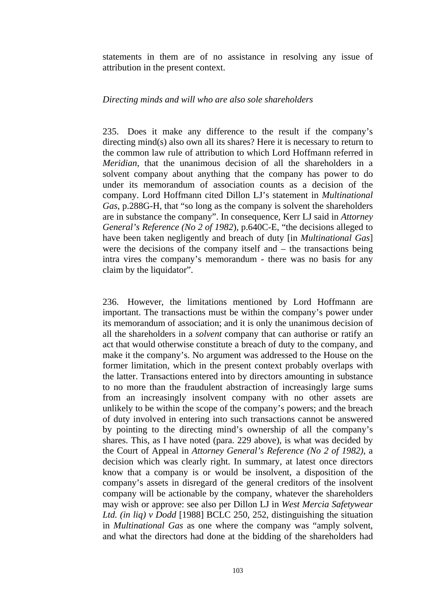statements in them are of no assistance in resolving any issue of attribution in the present context.

#### *Directing minds and will who are also sole shareholders*

235. Does it make any difference to the result if the company's directing mind(s) also own all its shares? Here it is necessary to return to the common law rule of attribution to which Lord Hoffmann referred in *Meridian*, that the unanimous decision of all the shareholders in a solvent company about anything that the company has power to do under its memorandum of association counts as a decision of the company. Lord Hoffmann cited Dillon LJ's statement in *Multinational Gas*, p.288G-H, that "so long as the company is solvent the shareholders are in substance the company". In consequence, Kerr LJ said in *Attorney General's Reference (No 2 of 1982*), p.640C-E, "the decisions alleged to have been taken negligently and breach of duty [in *Multinational Gas*] were the decisions of the company itself and – the transactions being intra vires the company's memorandum - there was no basis for any claim by the liquidator".

236. However, the limitations mentioned by Lord Hoffmann are important. The transactions must be within the company's power under its memorandum of association; and it is only the unanimous decision of all the shareholders in a *solvent* company that can authorise or ratify an act that would otherwise constitute a breach of duty to the company, and make it the company's. No argument was addressed to the House on the former limitation, which in the present context probably overlaps with the latter. Transactions entered into by directors amounting in substance to no more than the fraudulent abstraction of increasingly large sums from an increasingly insolvent company with no other assets are unlikely to be within the scope of the company's powers; and the breach of duty involved in entering into such transactions cannot be answered by pointing to the directing mind's ownership of all the company's shares. This, as I have noted (para. 229 above), is what was decided by the Court of Appeal in *Attorney General's Reference (No 2 of 1982)*, a decision which was clearly right. In summary, at latest once directors know that a company is or would be insolvent, a disposition of the company's assets in disregard of the general creditors of the insolvent company will be actionable by the company, whatever the shareholders may wish or approve: see also per Dillon LJ in *West Mercia Safetywear Ltd. (in liq) v Dodd* [1988] BCLC 250, 252, distinguishing the situation in *Multinational Gas* as one where the company was "amply solvent, and what the directors had done at the bidding of the shareholders had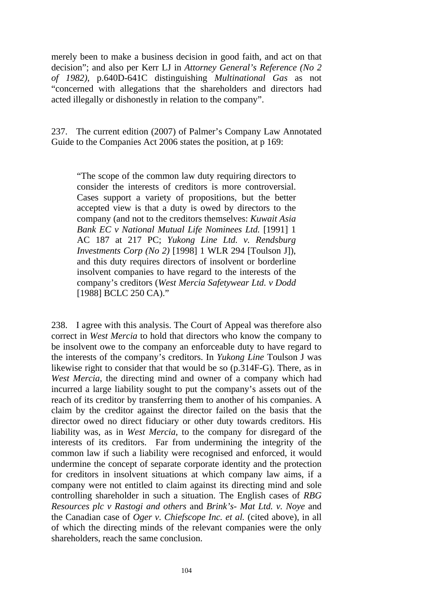merely been to make a business decision in good faith, and act on that decision"; and also per Kerr LJ in *Attorney General's Reference (No 2 of 1982)*, p.640D-641C distinguishing *Multinational Gas* as not "concerned with allegations that the shareholders and directors had acted illegally or dishonestly in relation to the company".

237. The current edition (2007) of Palmer's Company Law Annotated Guide to the Companies Act 2006 states the position, at p 169:

"The scope of the common law duty requiring directors to consider the interests of creditors is more controversial. Cases support a variety of propositions, but the better accepted view is that a duty is owed by directors to the company (and not to the creditors themselves: *Kuwait Asia Bank EC v National Mutual Life Nominees Ltd.* [1991] 1 AC 187 at 217 PC; *Yukong Line Ltd. v. Rendsburg Investments Corp (No 2)* [1998] 1 WLR 294 [Toulson J]), and this duty requires directors of insolvent or borderline insolvent companies to have regard to the interests of the company's creditors (*West Mercia Safetywear Ltd. v Dodd*  [1988] BCLC 250 CA)."

238. I agree with this analysis. The Court of Appeal was therefore also correct in *West Mercia* to hold that directors who know the company to be insolvent owe to the company an enforceable duty to have regard to the interests of the company's creditors. In *Yukong Line* Toulson J was likewise right to consider that that would be so (p.314F-G). There, as in *West Mercia*, the directing mind and owner of a company which had incurred a large liability sought to put the company's assets out of the reach of its creditor by transferring them to another of his companies. A claim by the creditor against the director failed on the basis that the director owed no direct fiduciary or other duty towards creditors. His liability was, as in *West Mercia*, to the company for disregard of the interests of its creditors. Far from undermining the integrity of the common law if such a liability were recognised and enforced, it would undermine the concept of separate corporate identity and the protection for creditors in insolvent situations at which company law aims, if a company were not entitled to claim against its directing mind and sole controlling shareholder in such a situation. The English cases of *RBG Resources plc v Rastogi and others* and *Brink's- Mat Ltd. v. Noye* and the Canadian case of *Oger v. Chiefscope Inc. et al.* (cited above), in all of which the directing minds of the relevant companies were the only shareholders, reach the same conclusion.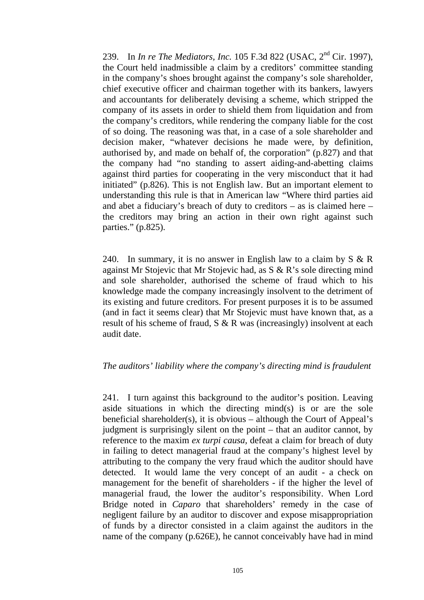239. In *In re The Mediators, Inc.* 105 F.3d 822 (USAC, 2nd Cir. 1997), the Court held inadmissible a claim by a creditors' committee standing in the company's shoes brought against the company's sole shareholder, chief executive officer and chairman together with its bankers, lawyers and accountants for deliberately devising a scheme, which stripped the company of its assets in order to shield them from liquidation and from the company's creditors, while rendering the company liable for the cost of so doing. The reasoning was that, in a case of a sole shareholder and decision maker, "whatever decisions he made were, by definition, authorised by, and made on behalf of, the corporation" (p.827) and that the company had "no standing to assert aiding-and-abetting claims against third parties for cooperating in the very misconduct that it had initiated" (p.826). This is not English law. But an important element to understanding this rule is that in American law "Where third parties aid and abet a fiduciary's breach of duty to creditors – as is claimed here – the creditors may bring an action in their own right against such parties." (p.825).

240. In summary, it is no answer in English law to a claim by  $S \& R$ against Mr Stojevic that Mr Stojevic had, as S & R's sole directing mind and sole shareholder, authorised the scheme of fraud which to his knowledge made the company increasingly insolvent to the detriment of its existing and future creditors. For present purposes it is to be assumed (and in fact it seems clear) that Mr Stojevic must have known that, as a result of his scheme of fraud, S & R was (increasingly) insolvent at each audit date.

## *The auditors' liability where the company's directing mind is fraudulent*

241. I turn against this background to the auditor's position. Leaving aside situations in which the directing mind(s) is or are the sole beneficial shareholder(s), it is obvious – although the Court of Appeal's judgment is surprisingly silent on the point – that an auditor cannot, by reference to the maxim *ex turpi causa,* defeat a claim for breach of duty in failing to detect managerial fraud at the company's highest level by attributing to the company the very fraud which the auditor should have detected. It would lame the very concept of an audit - a check on management for the benefit of shareholders - if the higher the level of managerial fraud, the lower the auditor's responsibility. When Lord Bridge noted in *Caparo* that shareholders' remedy in the case of negligent failure by an auditor to discover and expose misappropriation of funds by a director consisted in a claim against the auditors in the name of the company (p.626E), he cannot conceivably have had in mind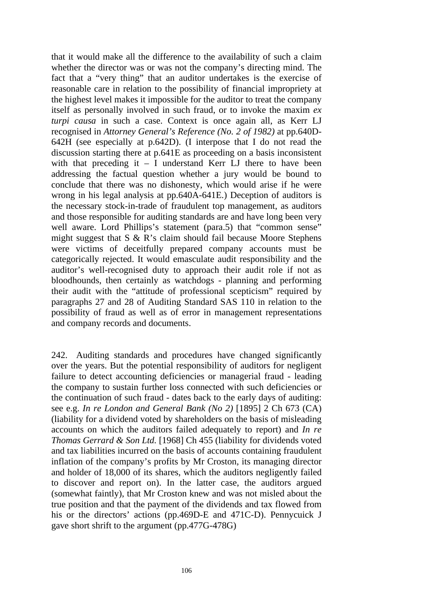that it would make all the difference to the availability of such a claim whether the director was or was not the company's directing mind. The fact that a "very thing" that an auditor undertakes is the exercise of reasonable care in relation to the possibility of financial impropriety at the highest level makes it impossible for the auditor to treat the company itself as personally involved in such fraud, or to invoke the maxim *ex turpi causa* in such a case. Context is once again all, as Kerr LJ recognised in *Attorney General's Reference (No. 2 of 1982)* at pp.640D-642H (see especially at p.642D). (I interpose that I do not read the discussion starting there at p.641E as proceeding on a basis inconsistent with that preceding it  $-$  I understand Kerr LJ there to have been addressing the factual question whether a jury would be bound to conclude that there was no dishonesty, which would arise if he were wrong in his legal analysis at pp.640A-641E.) Deception of auditors is the necessary stock-in-trade of fraudulent top management, as auditors and those responsible for auditing standards are and have long been very well aware. Lord Phillips's statement (para.5) that "common sense" might suggest that  $S \& R$ 's claim should fail because Moore Stephens were victims of deceitfully prepared company accounts must be categorically rejected. It would emasculate audit responsibility and the auditor's well-recognised duty to approach their audit role if not as bloodhounds, then certainly as watchdogs - planning and performing their audit with the "attitude of professional scepticism" required by paragraphs 27 and 28 of Auditing Standard SAS 110 in relation to the possibility of fraud as well as of error in management representations and company records and documents.

242. Auditing standards and procedures have changed significantly over the years. But the potential responsibility of auditors for negligent failure to detect accounting deficiencies or managerial fraud - leading the company to sustain further loss connected with such deficiencies or the continuation of such fraud - dates back to the early days of auditing: see e.g. *In re London and General Bank (No 2)* [1895] 2 Ch 673 (CA) (liability for a dividend voted by shareholders on the basis of misleading accounts on which the auditors failed adequately to report) and *In re Thomas Gerrard & Son Ltd.* [1968] Ch 455 (liability for dividends voted and tax liabilities incurred on the basis of accounts containing fraudulent inflation of the company's profits by Mr Croston, its managing director and holder of 18,000 of its shares, which the auditors negligently failed to discover and report on). In the latter case, the auditors argued (somewhat faintly), that Mr Croston knew and was not misled about the true position and that the payment of the dividends and tax flowed from his or the directors' actions (pp.469D-E and 471C-D). Pennycuick J gave short shrift to the argument (pp.477G-478G)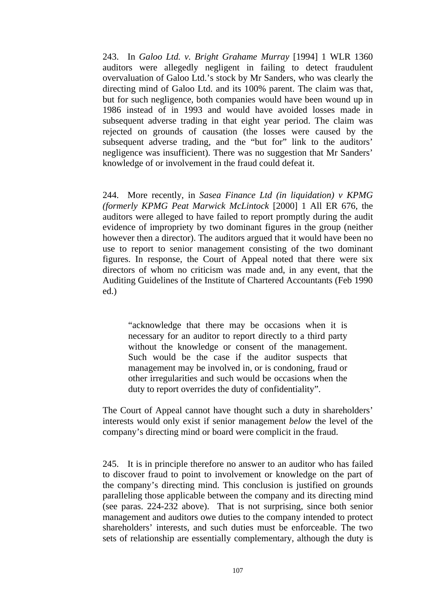243. In *Galoo Ltd. v. Bright Grahame Murray* [1994] 1 WLR 1360 auditors were allegedly negligent in failing to detect fraudulent overvaluation of Galoo Ltd.'s stock by Mr Sanders, who was clearly the directing mind of Galoo Ltd. and its 100% parent. The claim was that, but for such negligence, both companies would have been wound up in 1986 instead of in 1993 and would have avoided losses made in subsequent adverse trading in that eight year period. The claim was rejected on grounds of causation (the losses were caused by the subsequent adverse trading, and the "but for" link to the auditors' negligence was insufficient). There was no suggestion that Mr Sanders' knowledge of or involvement in the fraud could defeat it.

244. More recently, in *Sasea Finance Ltd (in liquidation) v KPMG (formerly KPMG Peat Marwick McLintock* [2000] 1 All ER 676, the auditors were alleged to have failed to report promptly during the audit evidence of impropriety by two dominant figures in the group (neither however then a director). The auditors argued that it would have been no use to report to senior management consisting of the two dominant figures. In response, the Court of Appeal noted that there were six directors of whom no criticism was made and, in any event, that the Auditing Guidelines of the Institute of Chartered Accountants (Feb 1990 ed.)

"acknowledge that there may be occasions when it is necessary for an auditor to report directly to a third party without the knowledge or consent of the management. Such would be the case if the auditor suspects that management may be involved in, or is condoning, fraud or other irregularities and such would be occasions when the duty to report overrides the duty of confidentiality".

The Court of Appeal cannot have thought such a duty in shareholders' interests would only exist if senior management *below* the level of the company's directing mind or board were complicit in the fraud.

245. It is in principle therefore no answer to an auditor who has failed to discover fraud to point to involvement or knowledge on the part of the company's directing mind. This conclusion is justified on grounds paralleling those applicable between the company and its directing mind (see paras. 224-232 above). That is not surprising, since both senior management and auditors owe duties to the company intended to protect shareholders' interests, and such duties must be enforceable. The two sets of relationship are essentially complementary, although the duty is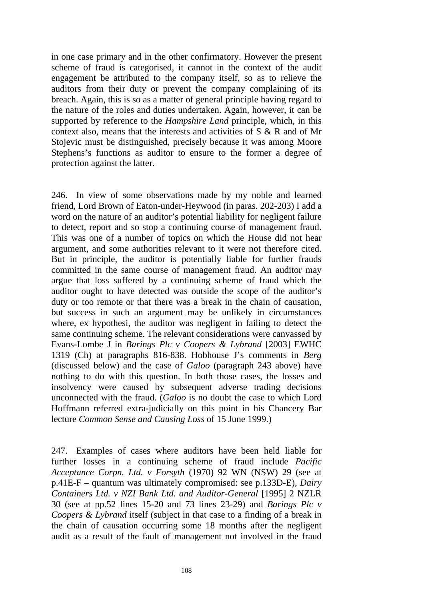in one case primary and in the other confirmatory. However the present scheme of fraud is categorised, it cannot in the context of the audit engagement be attributed to the company itself, so as to relieve the auditors from their duty or prevent the company complaining of its breach. Again, this is so as a matter of general principle having regard to the nature of the roles and duties undertaken. Again, however, it can be supported by reference to the *Hampshire Land* principle, which, in this context also, means that the interests and activities of S & R and of Mr Stojevic must be distinguished, precisely because it was among Moore Stephens's functions as auditor to ensure to the former a degree of protection against the latter.

246. In view of some observations made by my noble and learned friend, Lord Brown of Eaton-under-Heywood (in paras. 202-203) I add a word on the nature of an auditor's potential liability for negligent failure to detect, report and so stop a continuing course of management fraud. This was one of a number of topics on which the House did not hear argument, and some authorities relevant to it were not therefore cited. But in principle, the auditor is potentially liable for further frauds committed in the same course of management fraud. An auditor may argue that loss suffered by a continuing scheme of fraud which the auditor ought to have detected was outside the scope of the auditor's duty or too remote or that there was a break in the chain of causation, but success in such an argument may be unlikely in circumstances where, ex hypothesi, the auditor was negligent in failing to detect the same continuing scheme. The relevant considerations were canvassed by Evans-Lombe J in *Barings Plc v Coopers & Lybrand* [2003] EWHC 1319 (Ch) at paragraphs 816-838. Hobhouse J's comments in *Berg* (discussed below) and the case of *Galoo* (paragraph 243 above) have nothing to do with this question. In both those cases, the losses and insolvency were caused by subsequent adverse trading decisions unconnected with the fraud. (*Galoo* is no doubt the case to which Lord Hoffmann referred extra-judicially on this point in his Chancery Bar lecture *Common Sense and Causing Loss* of 15 June 1999.)

247. Examples of cases where auditors have been held liable for further losses in a continuing scheme of fraud include *Pacific Acceptance Corpn. Ltd. v Forsyth* (1970) 92 WN (NSW) 29 (see at p.41E-F – quantum was ultimately compromised: see p.133D-E), *Dairy Containers Ltd. v NZI Bank Ltd. and Auditor-General* [1995] 2 NZLR 30 (see at pp.52 lines 15-20 and 73 lines 23-29) and *Barings Plc v Coopers & Lybrand* itself (subject in that case to a finding of a break in the chain of causation occurring some 18 months after the negligent audit as a result of the fault of management not involved in the fraud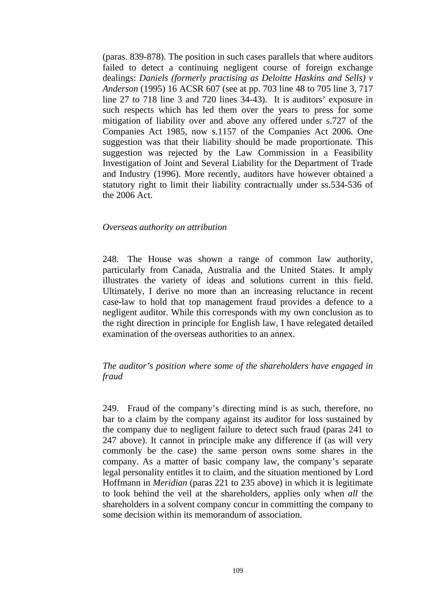(paras. 839-878). The position in such cases parallels that where auditors failed to detect a continuing negligent course of foreign exchange dealings: *Daniels (formerly practising as Deloitte Haskins and Sells) v Anderson* (1995) 16 ACSR 607 (see at pp. 703 line 48 to 705 line 3, 717 line 27 to 718 line 3 and 720 lines 34-43). It is auditors' exposure in such respects which has led them over the years to press for some mitigation of liability over and above any offered under s.727 of the Companies Act 1985, now s.1157 of the Companies Act 2006. One suggestion was that their liability should be made proportionate. This suggestion was rejected by the Law Commission in a Feasibility Investigation of Joint and Several Liability for the Department of Trade and Industry (1996). More recently, auditors have however obtained a statutory right to limit their liability contractually under ss.534-536 of the 2006 Act.

#### *Overseas authority on attribution*

248. The House was shown a range of common law authority, particularly from Canada, Australia and the United States. It amply illustrates the variety of ideas and solutions current in this field. Ultimately, I derive no more than an increasing reluctance in recent case-law to hold that top management fraud provides a defence to a negligent auditor. While this corresponds with my own conclusion as to the right direction in principle for English law, I have relegated detailed examination of the overseas authorities to an annex.

# *The auditor's position where some of the shareholders have engaged in fraud*

249. Fraud of the company's directing mind is as such, therefore, no bar to a claim by the company against its auditor for loss sustained by the company due to negligent failure to detect such fraud (paras 241 to 247 above). It cannot in principle make any difference if (as will very commonly be the case) the same person owns some shares in the company. As a matter of basic company law, the company's separate legal personality entitles it to claim, and the situation mentioned by Lord Hoffmann in *Meridian* (paras 221 to 235 above) in which it is legitimate to look behind the veil at the shareholders, applies only when *all* the shareholders in a solvent company concur in committing the company to some decision within its memorandum of association.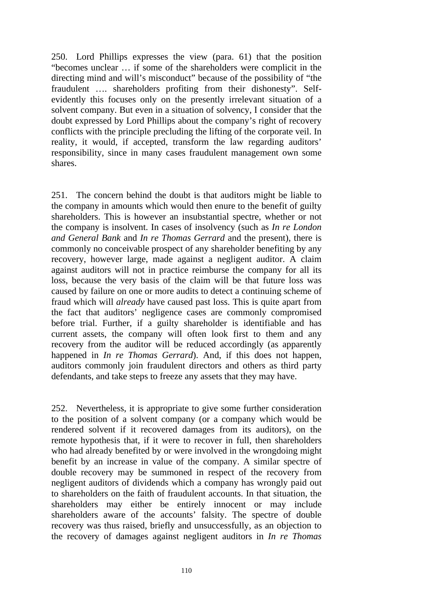250. Lord Phillips expresses the view (para. 61) that the position "becomes unclear … if some of the shareholders were complicit in the directing mind and will's misconduct" because of the possibility of "the fraudulent …. shareholders profiting from their dishonesty". Selfevidently this focuses only on the presently irrelevant situation of a solvent company. But even in a situation of solvency, I consider that the doubt expressed by Lord Phillips about the company's right of recovery conflicts with the principle precluding the lifting of the corporate veil. In reality, it would, if accepted, transform the law regarding auditors' responsibility, since in many cases fraudulent management own some shares.

251. The concern behind the doubt is that auditors might be liable to the company in amounts which would then enure to the benefit of guilty shareholders. This is however an insubstantial spectre, whether or not the company is insolvent. In cases of insolvency (such as *In re London and General Bank* and *In re Thomas Gerrard* and the present), there is commonly no conceivable prospect of any shareholder benefiting by any recovery, however large, made against a negligent auditor. A claim against auditors will not in practice reimburse the company for all its loss, because the very basis of the claim will be that future loss was caused by failure on one or more audits to detect a continuing scheme of fraud which will *already* have caused past loss. This is quite apart from the fact that auditors' negligence cases are commonly compromised before trial. Further, if a guilty shareholder is identifiable and has current assets, the company will often look first to them and any recovery from the auditor will be reduced accordingly (as apparently happened in *In re Thomas Gerrard*). And, if this does not happen, auditors commonly join fraudulent directors and others as third party defendants, and take steps to freeze any assets that they may have.

252. Nevertheless, it is appropriate to give some further consideration to the position of a solvent company (or a company which would be rendered solvent if it recovered damages from its auditors), on the remote hypothesis that, if it were to recover in full, then shareholders who had already benefited by or were involved in the wrongdoing might benefit by an increase in value of the company. A similar spectre of double recovery may be summoned in respect of the recovery from negligent auditors of dividends which a company has wrongly paid out to shareholders on the faith of fraudulent accounts. In that situation, the shareholders may either be entirely innocent or may include shareholders aware of the accounts' falsity. The spectre of double recovery was thus raised, briefly and unsuccessfully, as an objection to the recovery of damages against negligent auditors in *In re Thomas*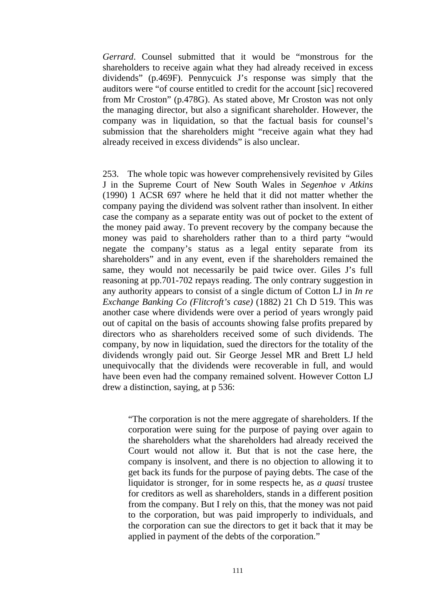*Gerrard*. Counsel submitted that it would be "monstrous for the shareholders to receive again what they had already received in excess dividends" (p.469F). Pennycuick J's response was simply that the auditors were "of course entitled to credit for the account [sic] recovered from Mr Croston" (p.478G). As stated above, Mr Croston was not only the managing director, but also a significant shareholder. However, the company was in liquidation, so that the factual basis for counsel's submission that the shareholders might "receive again what they had already received in excess dividends" is also unclear.

253. The whole topic was however comprehensively revisited by Giles J in the Supreme Court of New South Wales in *Segenhoe v Atkins*  (1990) 1 ACSR 697 where he held that it did not matter whether the company paying the dividend was solvent rather than insolvent. In either case the company as a separate entity was out of pocket to the extent of the money paid away. To prevent recovery by the company because the money was paid to shareholders rather than to a third party "would negate the company's status as a legal entity separate from its shareholders" and in any event, even if the shareholders remained the same, they would not necessarily be paid twice over. Giles J's full reasoning at pp.701-702 repays reading. The only contrary suggestion in any authority appears to consist of a single dictum of Cotton LJ in *In re Exchange Banking Co (Flitcroft's case)* (1882) 21 Ch D 519. This was another case where dividends were over a period of years wrongly paid out of capital on the basis of accounts showing false profits prepared by directors who as shareholders received some of such dividends. The company, by now in liquidation, sued the directors for the totality of the dividends wrongly paid out. Sir George Jessel MR and Brett LJ held unequivocally that the dividends were recoverable in full, and would have been even had the company remained solvent. However Cotton LJ drew a distinction, saying, at p 536:

"The corporation is not the mere aggregate of shareholders. If the corporation were suing for the purpose of paying over again to the shareholders what the shareholders had already received the Court would not allow it. But that is not the case here, the company is insolvent, and there is no objection to allowing it to get back its funds for the purpose of paying debts. The case of the liquidator is stronger, for in some respects he, as *a quasi* trustee for creditors as well as shareholders, stands in a different position from the company. But I rely on this, that the money was not paid to the corporation, but was paid improperly to individuals, and the corporation can sue the directors to get it back that it may be applied in payment of the debts of the corporation."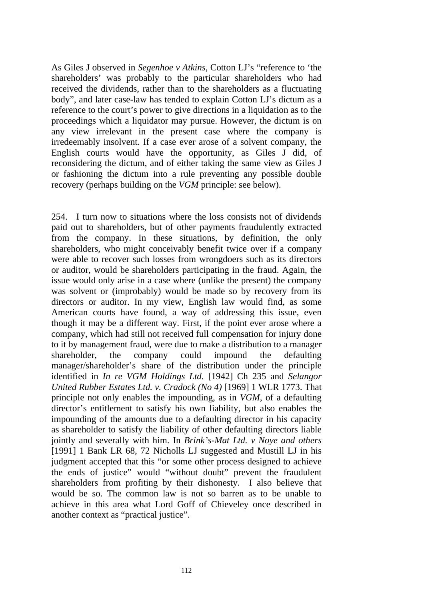As Giles J observed in *Segenhoe v Atkins*, Cotton LJ's "reference to 'the shareholders' was probably to the particular shareholders who had received the dividends, rather than to the shareholders as a fluctuating body", and later case-law has tended to explain Cotton LJ's dictum as a reference to the court's power to give directions in a liquidation as to the proceedings which a liquidator may pursue. However, the dictum is on any view irrelevant in the present case where the company is irredeemably insolvent. If a case ever arose of a solvent company, the English courts would have the opportunity, as Giles J did, of reconsidering the dictum, and of either taking the same view as Giles J or fashioning the dictum into a rule preventing any possible double recovery (perhaps building on the *VGM* principle: see below).

254. I turn now to situations where the loss consists not of dividends paid out to shareholders, but of other payments fraudulently extracted from the company. In these situations, by definition, the only shareholders, who might conceivably benefit twice over if a company were able to recover such losses from wrongdoers such as its directors or auditor, would be shareholders participating in the fraud. Again, the issue would only arise in a case where (unlike the present) the company was solvent or (improbably) would be made so by recovery from its directors or auditor. In my view, English law would find, as some American courts have found, a way of addressing this issue, even though it may be a different way. First, if the point ever arose where a company, which had still not received full compensation for injury done to it by management fraud, were due to make a distribution to a manager shareholder, the company could impound the defaulting manager/shareholder's share of the distribution under the principle identified in *In re VGM Holdings Ltd.* [1942] Ch 235 and *Selangor United Rubber Estates Ltd. v. Cradock (No 4)* [1969] 1 WLR 1773. That principle not only enables the impounding, as in *VGM*, of a defaulting director's entitlement to satisfy his own liability, but also enables the impounding of the amounts due to a defaulting director in his capacity as shareholder to satisfy the liability of other defaulting directors liable jointly and severally with him. In *Brink's-Mat Ltd. v Noye and others*  [1991] 1 Bank LR 68, 72 Nicholls LJ suggested and Mustill LJ in his judgment accepted that this "or some other process designed to achieve the ends of justice" would "without doubt" prevent the fraudulent shareholders from profiting by their dishonesty. I also believe that would be so. The common law is not so barren as to be unable to achieve in this area what Lord Goff of Chieveley once described in another context as "practical justice".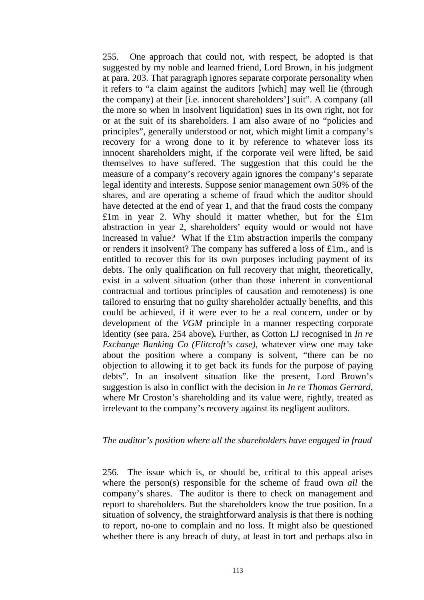255. One approach that could not, with respect, be adopted is that suggested by my noble and learned friend, Lord Brown, in his judgment at para. 203. That paragraph ignores separate corporate personality when it refers to "a claim against the auditors [which] may well lie (through the company) at their [i.e. innocent shareholders'] suit". A company (all the more so when in insolvent liquidation) sues in its own right, not for or at the suit of its shareholders. I am also aware of no "policies and principles", generally understood or not, which might limit a company's recovery for a wrong done to it by reference to whatever loss its innocent shareholders might, if the corporate veil were lifted, be said themselves to have suffered. The suggestion that this could be the measure of a company's recovery again ignores the company's separate legal identity and interests. Suppose senior management own 50% of the shares, and are operating a scheme of fraud which the auditor should have detected at the end of year 1, and that the fraud costs the company £1m in year 2. Why should it matter whether, but for the  $£1m$ abstraction in year 2, shareholders' equity would or would not have increased in value? What if the £1m abstraction imperils the company or renders it insolvent? The company has suffered a loss of £1m., and is entitled to recover this for its own purposes including payment of its debts. The only qualification on full recovery that might, theoretically, exist in a solvent situation (other than those inherent in conventional contractual and tortious principles of causation and remoteness) is one tailored to ensuring that no guilty shareholder actually benefits, and this could be achieved, if it were ever to be a real concern, under or by development of the *VGM* principle in a manner respecting corporate identity (see para. 254 above)*.* Further, as Cotton LJ recognised in *In re Exchange Banking Co (Flitcroft's case)*, whatever view one may take about the position where a company is solvent, "there can be no objection to allowing it to get back its funds for the purpose of paying debts". In an insolvent situation like the present, Lord Brown's suggestion is also in conflict with the decision in *In re Thomas Gerrard*, where Mr Croston's shareholding and its value were, rightly, treated as irrelevant to the company's recovery against its negligent auditors.

### *The auditor's position where all the shareholders have engaged in fraud*

256. The issue which is, or should be, critical to this appeal arises where the person(s) responsible for the scheme of fraud own *all* the company's shares. The auditor is there to check on management and report to shareholders. But the shareholders know the true position. In a situation of solvency, the straightforward analysis is that there is nothing to report, no-one to complain and no loss. It might also be questioned whether there is any breach of duty, at least in tort and perhaps also in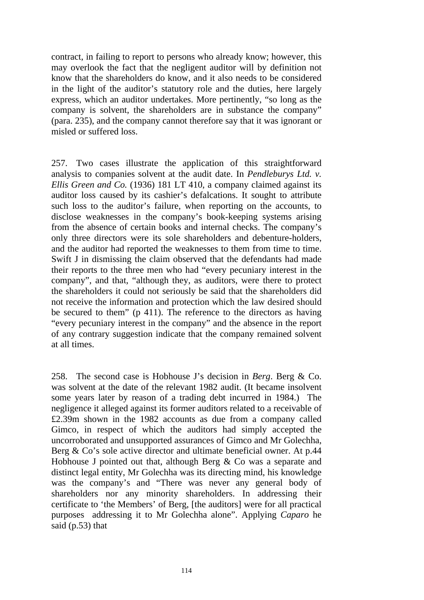contract, in failing to report to persons who already know; however, this may overlook the fact that the negligent auditor will by definition not know that the shareholders do know, and it also needs to be considered in the light of the auditor's statutory role and the duties, here largely express, which an auditor undertakes. More pertinently, "so long as the company is solvent, the shareholders are in substance the company" (para. 235), and the company cannot therefore say that it was ignorant or misled or suffered loss.

257. Two cases illustrate the application of this straightforward analysis to companies solvent at the audit date. In *Pendleburys Ltd. v. Ellis Green and Co.* (1936) 181 LT 410, a company claimed against its auditor loss caused by its cashier's defalcations. It sought to attribute such loss to the auditor's failure, when reporting on the accounts, to disclose weaknesses in the company's book-keeping systems arising from the absence of certain books and internal checks. The company's only three directors were its sole shareholders and debenture-holders, and the auditor had reported the weaknesses to them from time to time. Swift J in dismissing the claim observed that the defendants had made their reports to the three men who had "every pecuniary interest in the company", and that, "although they, as auditors, were there to protect the shareholders it could not seriously be said that the shareholders did not receive the information and protection which the law desired should be secured to them" (p 411). The reference to the directors as having "every pecuniary interest in the company" and the absence in the report of any contrary suggestion indicate that the company remained solvent at all times.

258. The second case is Hobhouse J's decision in *Berg*. Berg & Co. was solvent at the date of the relevant 1982 audit. (It became insolvent some years later by reason of a trading debt incurred in 1984.) The negligence it alleged against its former auditors related to a receivable of £2.39m shown in the 1982 accounts as due from a company called Gimco, in respect of which the auditors had simply accepted the uncorroborated and unsupported assurances of Gimco and Mr Golechha, Berg & Co's sole active director and ultimate beneficial owner. At p.44 Hobhouse J pointed out that, although Berg & Co was a separate and distinct legal entity, Mr Golechha was its directing mind, his knowledge was the company's and "There was never any general body of shareholders nor any minority shareholders. In addressing their certificate to 'the Members' of Berg, [the auditors] were for all practical purposes addressing it to Mr Golechha alone". Applying *Caparo* he said (p.53) that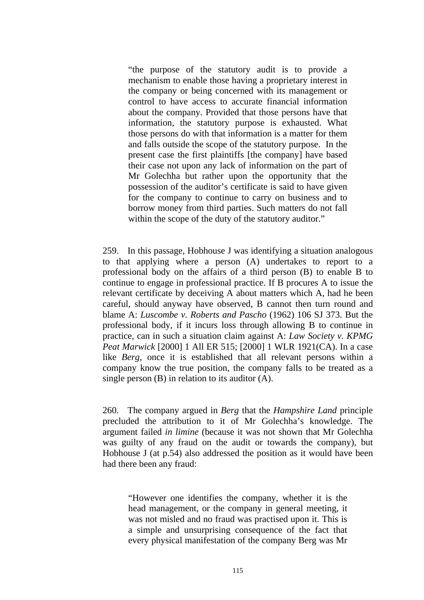"the purpose of the statutory audit is to provide a mechanism to enable those having a proprietary interest in the company or being concerned with its management or control to have access to accurate financial information about the company. Provided that those persons have that information, the statutory purpose is exhausted. What those persons do with that information is a matter for them and falls outside the scope of the statutory purpose. In the present case the first plaintiffs [the company] have based their case not upon any lack of information on the part of Mr Golechha but rather upon the opportunity that the possession of the auditor's certificate is said to have given for the company to continue to carry on business and to borrow money from third parties. Such matters do not fall within the scope of the duty of the statutory auditor."

259. In this passage, Hobhouse J was identifying a situation analogous to that applying where a person (A) undertakes to report to a professional body on the affairs of a third person (B) to enable B to continue to engage in professional practice. If B procures A to issue the relevant certificate by deceiving A about matters which A, had he been careful, should anyway have observed, B cannot then turn round and blame A: *Luscombe v. Roberts and Pascho* (1962) 106 SJ 373. But the professional body, if it incurs loss through allowing B to continue in practice, can in such a situation claim against A: *Law Society v. KPMG Peat Marwick* [2000] 1 All ER 515; [2000] 1 WLR 1921(CA). In a case like *Berg*, once it is established that all relevant persons within a company know the true position, the company falls to be treated as a single person (B) in relation to its auditor (A).

260. The company argued in *Berg* that the *Hampshire Land* principle precluded the attribution to it of Mr Golechha's knowledge. The argument failed *in limine* (because it was not shown that Mr Golechha was guilty of any fraud on the audit or towards the company), but Hobhouse J (at p.54) also addressed the position as it would have been had there been any fraud:

"However one identifies the company, whether it is the head management, or the company in general meeting, it was not misled and no fraud was practised upon it. This is a simple and unsurprising consequence of the fact that every physical manifestation of the company Berg was Mr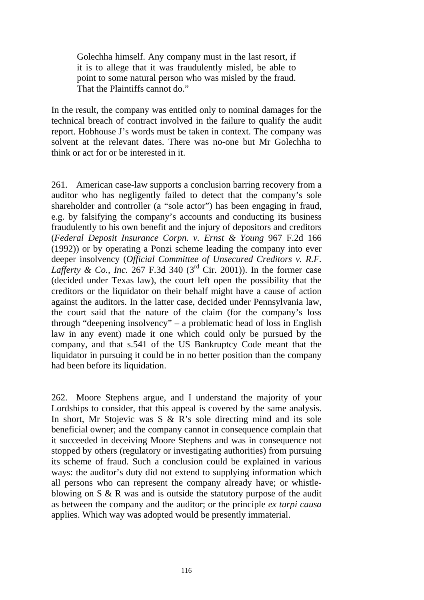Golechha himself. Any company must in the last resort, if it is to allege that it was fraudulently misled, be able to point to some natural person who was misled by the fraud. That the Plaintiffs cannot do."

In the result, the company was entitled only to nominal damages for the technical breach of contract involved in the failure to qualify the audit report. Hobhouse J's words must be taken in context. The company was solvent at the relevant dates. There was no-one but Mr Golechha to think or act for or be interested in it.

261. American case-law supports a conclusion barring recovery from a auditor who has negligently failed to detect that the company's sole shareholder and controller (a "sole actor") has been engaging in fraud, e.g. by falsifying the company's accounts and conducting its business fraudulently to his own benefit and the injury of depositors and creditors (*Federal Deposit Insurance Corpn. v. Ernst & Young* 967 F.2d 166 (1992)) or by operating a Ponzi scheme leading the company into ever deeper insolvency (*Official Committee of Unsecured Creditors v. R.F. Lafferty & Co., Inc.* 267 F.3d 340 (3rd Cir. 2001)). In the former case (decided under Texas law), the court left open the possibility that the creditors or the liquidator on their behalf might have a cause of action against the auditors. In the latter case, decided under Pennsylvania law, the court said that the nature of the claim (for the company's loss through "deepening insolvency" – a problematic head of loss in English law in any event) made it one which could only be pursued by the company, and that s.541 of the US Bankruptcy Code meant that the liquidator in pursuing it could be in no better position than the company had been before its liquidation.

262. Moore Stephens argue, and I understand the majority of your Lordships to consider, that this appeal is covered by the same analysis. In short, Mr Stojevic was S & R's sole directing mind and its sole beneficial owner; and the company cannot in consequence complain that it succeeded in deceiving Moore Stephens and was in consequence not stopped by others (regulatory or investigating authorities) from pursuing its scheme of fraud. Such a conclusion could be explained in various ways: the auditor's duty did not extend to supplying information which all persons who can represent the company already have; or whistleblowing on S & R was and is outside the statutory purpose of the audit as between the company and the auditor; or the principle *ex turpi causa*  applies. Which way was adopted would be presently immaterial.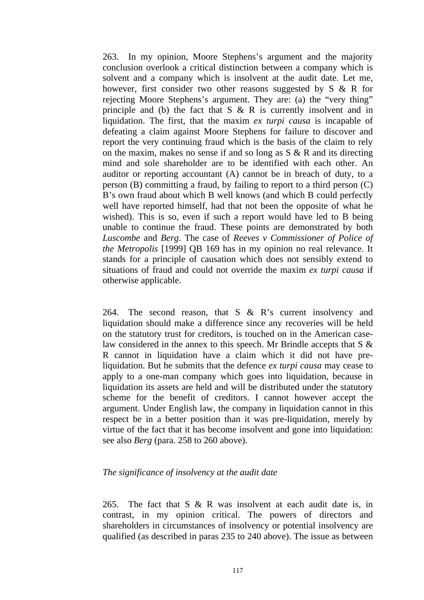263. In my opinion, Moore Stephens's argument and the majority conclusion overlook a critical distinction between a company which is solvent and a company which is insolvent at the audit date. Let me, however, first consider two other reasons suggested by S & R for rejecting Moore Stephens's argument. They are: (a) the "very thing" principle and (b) the fact that  $S \& R$  is currently insolvent and in liquidation. The first, that the maxim *ex turpi causa* is incapable of defeating a claim against Moore Stephens for failure to discover and report the very continuing fraud which is the basis of the claim to rely on the maxim, makes no sense if and so long as S & R and its directing mind and sole shareholder are to be identified with each other. An auditor or reporting accountant (A) cannot be in breach of duty, to a person (B) committing a fraud, by failing to report to a third person (C) B's own fraud about which B well knows (and which B could perfectly well have reported himself, had that not been the opposite of what he wished). This is so, even if such a report would have led to B being unable to continue the fraud. These points are demonstrated by both *Luscombe* and *Berg*. The case of *Reeves v Commissioner of Police of the Metropolis* [1999] QB 169 has in my opinion no real relevance. It stands for a principle of causation which does not sensibly extend to situations of fraud and could not override the maxim *ex turpi causa* if otherwise applicable.

264. The second reason, that S & R's current insolvency and liquidation should make a difference since any recoveries will be held on the statutory trust for creditors, is touched on in the American caselaw considered in the annex to this speech. Mr Brindle accepts that S & R cannot in liquidation have a claim which it did not have preliquidation. But he submits that the defence *ex turpi causa* may cease to apply to a one-man company which goes into liquidation, because in liquidation its assets are held and will be distributed under the statutory scheme for the benefit of creditors. I cannot however accept the argument. Under English law, the company in liquidation cannot in this respect be in a better position than it was pre-liquidation, merely by virtue of the fact that it has become insolvent and gone into liquidation: see also *Berg* (para. 258 to 260 above).

### *The significance of insolvency at the audit date*

265. The fact that S & R was insolvent at each audit date is, in contrast, in my opinion critical. The powers of directors and shareholders in circumstances of insolvency or potential insolvency are qualified (as described in paras 235 to 240 above). The issue as between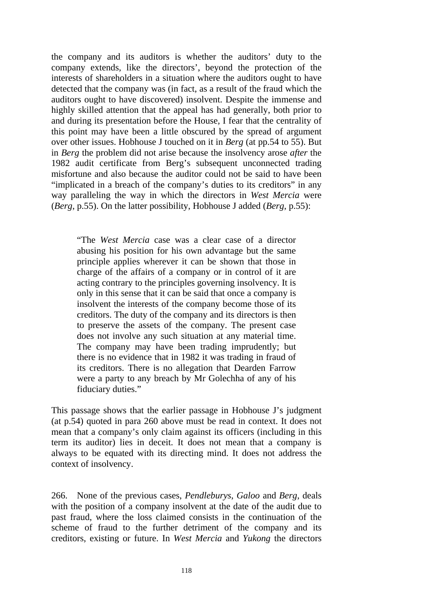the company and its auditors is whether the auditors' duty to the company extends, like the directors', beyond the protection of the interests of shareholders in a situation where the auditors ought to have detected that the company was (in fact, as a result of the fraud which the auditors ought to have discovered) insolvent. Despite the immense and highly skilled attention that the appeal has had generally, both prior to and during its presentation before the House, I fear that the centrality of this point may have been a little obscured by the spread of argument over other issues. Hobhouse J touched on it in *Berg* (at pp.54 to 55). But in *Berg* the problem did not arise because the insolvency arose *after* the 1982 audit certificate from Berg's subsequent unconnected trading misfortune and also because the auditor could not be said to have been "implicated in a breach of the company's duties to its creditors" in any way paralleling the way in which the directors in *West Mercia* were (*Berg*, p.55). On the latter possibility, Hobhouse J added (*Berg*, p.55):

"The *West Mercia* case was a clear case of a director abusing his position for his own advantage but the same principle applies wherever it can be shown that those in charge of the affairs of a company or in control of it are acting contrary to the principles governing insolvency. It is only in this sense that it can be said that once a company is insolvent the interests of the company become those of its creditors. The duty of the company and its directors is then to preserve the assets of the company. The present case does not involve any such situation at any material time. The company may have been trading imprudently; but there is no evidence that in 1982 it was trading in fraud of its creditors. There is no allegation that Dearden Farrow were a party to any breach by Mr Golechha of any of his fiduciary duties."

This passage shows that the earlier passage in Hobhouse J's judgment (at p.54) quoted in para 260 above must be read in context. It does not mean that a company's only claim against its officers (including in this term its auditor) lies in deceit. It does not mean that a company is always to be equated with its directing mind. It does not address the context of insolvency.

266. None of the previous cases, *Pendleburys*, *Galoo* and *Berg*, deals with the position of a company insolvent at the date of the audit due to past fraud, where the loss claimed consists in the continuation of the scheme of fraud to the further detriment of the company and its creditors, existing or future. In *West Mercia* and *Yukong* the directors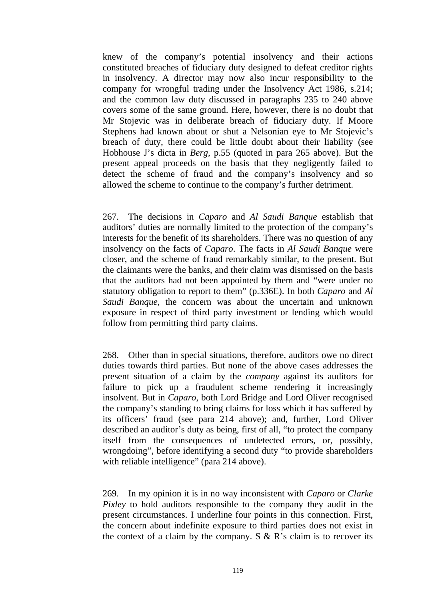knew of the company's potential insolvency and their actions constituted breaches of fiduciary duty designed to defeat creditor rights in insolvency. A director may now also incur responsibility to the company for wrongful trading under the Insolvency Act 1986, s.214; and the common law duty discussed in paragraphs 235 to 240 above covers some of the same ground. Here, however, there is no doubt that Mr Stojevic was in deliberate breach of fiduciary duty. If Moore Stephens had known about or shut a Nelsonian eye to Mr Stojevic's breach of duty, there could be little doubt about their liability (see Hobhouse J's dicta in *Berg*, p.55 (quoted in para 265 above). But the present appeal proceeds on the basis that they negligently failed to detect the scheme of fraud and the company's insolvency and so allowed the scheme to continue to the company's further detriment.

267. The decisions in *Caparo* and *Al Saudi Banque* establish that auditors' duties are normally limited to the protection of the company's interests for the benefit of its shareholders. There was no question of any insolvency on the facts of *Caparo*. The facts in *Al Saudi Banque* were closer, and the scheme of fraud remarkably similar, to the present. But the claimants were the banks, and their claim was dismissed on the basis that the auditors had not been appointed by them and "were under no statutory obligation to report to them" (p.336E). In both *Caparo* and *Al Saudi Banque*, the concern was about the uncertain and unknown exposure in respect of third party investment or lending which would follow from permitting third party claims.

268. Other than in special situations, therefore, auditors owe no direct duties towards third parties. But none of the above cases addresses the present situation of a claim by the *company* against its auditors for failure to pick up a fraudulent scheme rendering it increasingly insolvent. But in *Caparo*, both Lord Bridge and Lord Oliver recognised the company's standing to bring claims for loss which it has suffered by its officers' fraud (see para 214 above); and, further, Lord Oliver described an auditor's duty as being, first of all, "to protect the company itself from the consequences of undetected errors, or, possibly, wrongdoing", before identifying a second duty "to provide shareholders with reliable intelligence" (para 214 above).

269. In my opinion it is in no way inconsistent with *Caparo* or *Clarke Pixley* to hold auditors responsible to the company they audit in the present circumstances. I underline four points in this connection. First, the concern about indefinite exposure to third parties does not exist in the context of a claim by the company.  $S \& R$ 's claim is to recover its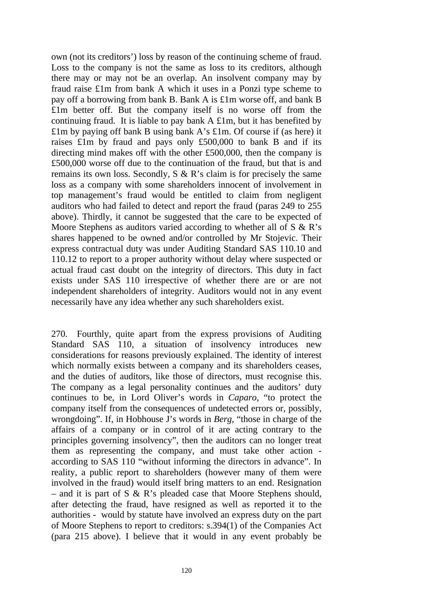own (not its creditors') loss by reason of the continuing scheme of fraud. Loss to the company is not the same as loss to its creditors, although there may or may not be an overlap. An insolvent company may by fraud raise £1m from bank A which it uses in a Ponzi type scheme to pay off a borrowing from bank B. Bank A is £1m worse off, and bank B £1m better off. But the company itself is no worse off from the continuing fraud. It is liable to pay bank  $A \text{ } £1m$ , but it has benefited by £1m by paying off bank B using bank A's  $£1m$ . Of course if (as here) it raises £1m by fraud and pays only £500,000 to bank B and if its directing mind makes off with the other £500,000, then the company is £500,000 worse off due to the continuation of the fraud, but that is and remains its own loss. Secondly,  $S \& R$ 's claim is for precisely the same loss as a company with some shareholders innocent of involvement in top management's fraud would be entitled to claim from negligent auditors who had failed to detect and report the fraud (paras 249 to 255 above). Thirdly, it cannot be suggested that the care to be expected of Moore Stephens as auditors varied according to whether all of S & R's shares happened to be owned and/or controlled by Mr Stojevic. Their express contractual duty was under Auditing Standard SAS 110.10 and 110.12 to report to a proper authority without delay where suspected or actual fraud cast doubt on the integrity of directors. This duty in fact exists under SAS 110 irrespective of whether there are or are not independent shareholders of integrity. Auditors would not in any event necessarily have any idea whether any such shareholders exist.

270. Fourthly, quite apart from the express provisions of Auditing Standard SAS 110, a situation of insolvency introduces new considerations for reasons previously explained. The identity of interest which normally exists between a company and its shareholders ceases, and the duties of auditors, like those of directors, must recognise this. The company as a legal personality continues and the auditors' duty continues to be, in Lord Oliver's words in *Caparo*, "to protect the company itself from the consequences of undetected errors or, possibly, wrongdoing". If, in Hobhouse J's words in *Berg*, "those in charge of the affairs of a company or in control of it are acting contrary to the principles governing insolvency", then the auditors can no longer treat them as representing the company, and must take other action according to SAS 110 "without informing the directors in advance". In reality, a public report to shareholders (however many of them were involved in the fraud) would itself bring matters to an end. Resignation – and it is part of S  $\&$  R's pleaded case that Moore Stephens should, after detecting the fraud, have resigned as well as reported it to the authorities - would by statute have involved an express duty on the part of Moore Stephens to report to creditors: s.394(1) of the Companies Act (para 215 above). I believe that it would in any event probably be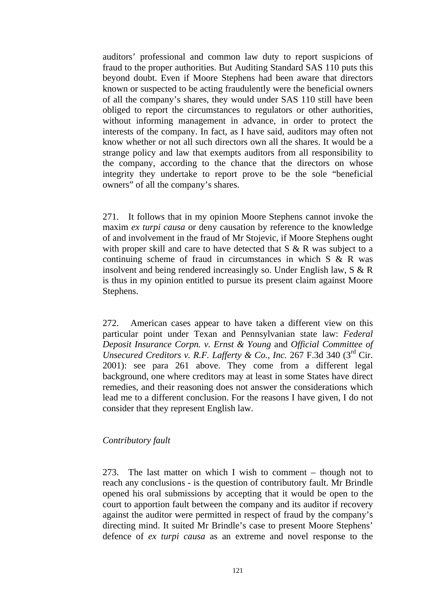auditors' professional and common law duty to report suspicions of fraud to the proper authorities. But Auditing Standard SAS 110 puts this beyond doubt. Even if Moore Stephens had been aware that directors known or suspected to be acting fraudulently were the beneficial owners of all the company's shares, they would under SAS 110 still have been obliged to report the circumstances to regulators or other authorities, without informing management in advance, in order to protect the interests of the company. In fact, as I have said, auditors may often not know whether or not all such directors own all the shares. It would be a strange policy and law that exempts auditors from all responsibility to the company, according to the chance that the directors on whose integrity they undertake to report prove to be the sole "beneficial owners" of all the company's shares.

271. It follows that in my opinion Moore Stephens cannot invoke the maxim *ex turpi causa* or deny causation by reference to the knowledge of and involvement in the fraud of Mr Stojevic, if Moore Stephens ought with proper skill and care to have detected that S & R was subject to a continuing scheme of fraud in circumstances in which  $S \& R$  was insolvent and being rendered increasingly so. Under English law, S & R is thus in my opinion entitled to pursue its present claim against Moore Stephens.

272. American cases appear to have taken a different view on this particular point under Texan and Pennsylvanian state law: *Federal Deposit Insurance Corpn. v. Ernst & Young* and *Official Committee of Unsecured Creditors v. R.F. Lafferty & Co., Inc.* 267 F.3d 340 (3<sup>rd</sup> Cir.) 2001): see para 261 above. They come from a different legal background, one where creditors may at least in some States have direct remedies, and their reasoning does not answer the considerations which lead me to a different conclusion. For the reasons I have given, I do not consider that they represent English law.

# *Contributory fault*

273. The last matter on which I wish to comment – though not to reach any conclusions - is the question of contributory fault. Mr Brindle opened his oral submissions by accepting that it would be open to the court to apportion fault between the company and its auditor if recovery against the auditor were permitted in respect of fraud by the company's directing mind. It suited Mr Brindle's case to present Moore Stephens' defence of *ex turpi causa* as an extreme and novel response to the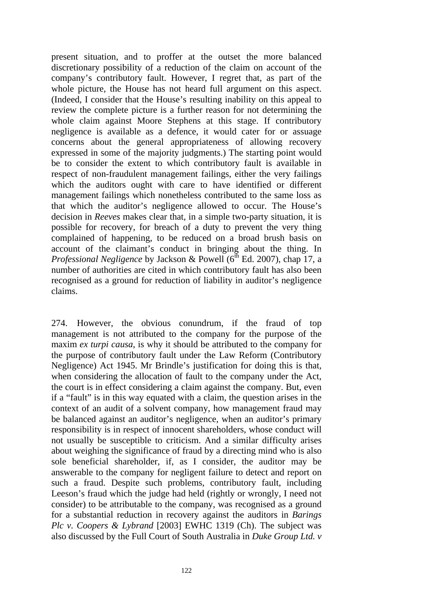present situation, and to proffer at the outset the more balanced discretionary possibility of a reduction of the claim on account of the company's contributory fault. However, I regret that, as part of the whole picture, the House has not heard full argument on this aspect. (Indeed, I consider that the House's resulting inability on this appeal to review the complete picture is a further reason for not determining the whole claim against Moore Stephens at this stage. If contributory negligence is available as a defence, it would cater for or assuage concerns about the general appropriateness of allowing recovery expressed in some of the majority judgments.) The starting point would be to consider the extent to which contributory fault is available in respect of non-fraudulent management failings, either the very failings which the auditors ought with care to have identified or different management failings which nonetheless contributed to the same loss as that which the auditor's negligence allowed to occur. The House's decision in *Reeves* makes clear that, in a simple two-party situation, it is possible for recovery, for breach of a duty to prevent the very thing complained of happening, to be reduced on a broad brush basis on account of the claimant's conduct in bringing about the thing. In *Professional Negligence* by Jackson & Powell (6<sup>th</sup> Ed. 2007), chap 17, a number of authorities are cited in which contributory fault has also been recognised as a ground for reduction of liability in auditor's negligence claims.

274. However, the obvious conundrum, if the fraud of top management is not attributed to the company for the purpose of the maxim *ex turpi causa*, is why it should be attributed to the company for the purpose of contributory fault under the Law Reform (Contributory Negligence) Act 1945. Mr Brindle's justification for doing this is that, when considering the allocation of fault to the company under the Act, the court is in effect considering a claim against the company. But, even if a "fault" is in this way equated with a claim, the question arises in the context of an audit of a solvent company, how management fraud may be balanced against an auditor's negligence, when an auditor's primary responsibility is in respect of innocent shareholders, whose conduct will not usually be susceptible to criticism. And a similar difficulty arises about weighing the significance of fraud by a directing mind who is also sole beneficial shareholder, if, as I consider, the auditor may be answerable to the company for negligent failure to detect and report on such a fraud. Despite such problems, contributory fault, including Leeson's fraud which the judge had held (rightly or wrongly, I need not consider) to be attributable to the company, was recognised as a ground for a substantial reduction in recovery against the auditors in *Barings Plc v. Coopers & Lybrand* [2003] EWHC 1319 (Ch). The subject was also discussed by the Full Court of South Australia in *Duke Group Ltd. v*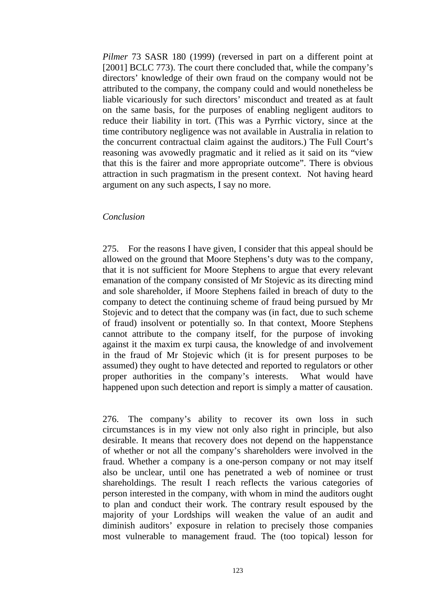*Pilmer* 73 SASR 180 (1999) (reversed in part on a different point at [2001] BCLC 773). The court there concluded that, while the company's directors' knowledge of their own fraud on the company would not be attributed to the company, the company could and would nonetheless be liable vicariously for such directors' misconduct and treated as at fault on the same basis, for the purposes of enabling negligent auditors to reduce their liability in tort. (This was a Pyrrhic victory, since at the time contributory negligence was not available in Australia in relation to the concurrent contractual claim against the auditors.) The Full Court's reasoning was avowedly pragmatic and it relied as it said on its "view that this is the fairer and more appropriate outcome". There is obvious attraction in such pragmatism in the present context. Not having heard argument on any such aspects, I say no more.

#### *Conclusion*

275. For the reasons I have given, I consider that this appeal should be allowed on the ground that Moore Stephens's duty was to the company, that it is not sufficient for Moore Stephens to argue that every relevant emanation of the company consisted of Mr Stojevic as its directing mind and sole shareholder, if Moore Stephens failed in breach of duty to the company to detect the continuing scheme of fraud being pursued by Mr Stojevic and to detect that the company was (in fact, due to such scheme of fraud) insolvent or potentially so. In that context, Moore Stephens cannot attribute to the company itself, for the purpose of invoking against it the maxim ex turpi causa, the knowledge of and involvement in the fraud of Mr Stojevic which (it is for present purposes to be assumed) they ought to have detected and reported to regulators or other proper authorities in the company's interests. What would have happened upon such detection and report is simply a matter of causation.

276. The company's ability to recover its own loss in such circumstances is in my view not only also right in principle, but also desirable. It means that recovery does not depend on the happenstance of whether or not all the company's shareholders were involved in the fraud. Whether a company is a one-person company or not may itself also be unclear, until one has penetrated a web of nominee or trust shareholdings. The result I reach reflects the various categories of person interested in the company, with whom in mind the auditors ought to plan and conduct their work. The contrary result espoused by the majority of your Lordships will weaken the value of an audit and diminish auditors' exposure in relation to precisely those companies most vulnerable to management fraud. The (too topical) lesson for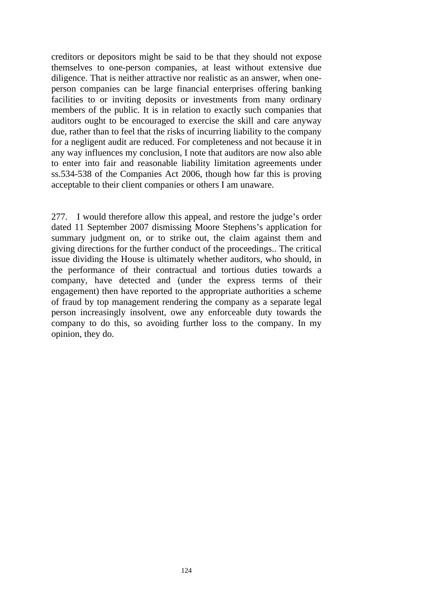creditors or depositors might be said to be that they should not expose themselves to one-person companies, at least without extensive due diligence. That is neither attractive nor realistic as an answer, when oneperson companies can be large financial enterprises offering banking facilities to or inviting deposits or investments from many ordinary members of the public. It is in relation to exactly such companies that auditors ought to be encouraged to exercise the skill and care anyway due, rather than to feel that the risks of incurring liability to the company for a negligent audit are reduced. For completeness and not because it in any way influences my conclusion, I note that auditors are now also able to enter into fair and reasonable liability limitation agreements under ss.534-538 of the Companies Act 2006, though how far this is proving acceptable to their client companies or others I am unaware.

277. I would therefore allow this appeal, and restore the judge's order dated 11 September 2007 dismissing Moore Stephens's application for summary judgment on, or to strike out, the claim against them and giving directions for the further conduct of the proceedings.. The critical issue dividing the House is ultimately whether auditors, who should, in the performance of their contractual and tortious duties towards a company, have detected and (under the express terms of their engagement) then have reported to the appropriate authorities a scheme of fraud by top management rendering the company as a separate legal person increasingly insolvent, owe any enforceable duty towards the company to do this, so avoiding further loss to the company. In my opinion, they do.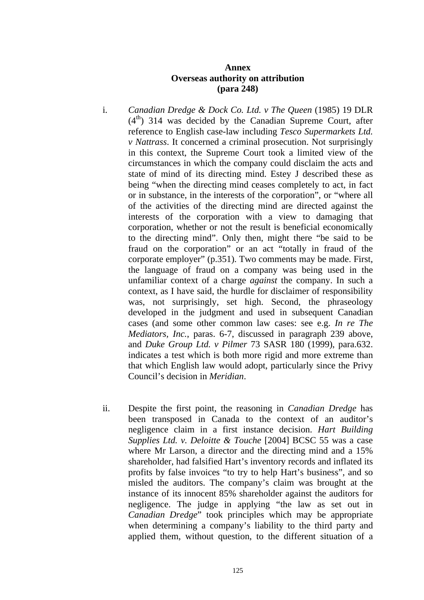# **Annex Overseas authority on attribution (para 248)**

- i. *Canadian Dredge & Dock Co. Ltd. v The Queen* (1985) 19 DLR  $(4<sup>th</sup>)$  314 was decided by the Canadian Supreme Court, after reference to English case-law including *Tesco Supermarkets Ltd. v Nattrass*. It concerned a criminal prosecution. Not surprisingly in this context, the Supreme Court took a limited view of the circumstances in which the company could disclaim the acts and state of mind of its directing mind. Estey J described these as being "when the directing mind ceases completely to act, in fact or in substance, in the interests of the corporation", or "where all of the activities of the directing mind are directed against the interests of the corporation with a view to damaging that corporation, whether or not the result is beneficial economically to the directing mind". Only then, might there "be said to be fraud on the corporation" or an act "totally in fraud of the corporate employer" (p.351). Two comments may be made. First, the language of fraud on a company was being used in the unfamiliar context of a charge *against* the company. In such a context, as I have said, the hurdle for disclaimer of responsibility was, not surprisingly, set high. Second, the phraseology developed in the judgment and used in subsequent Canadian cases (and some other common law cases: see e.g. *In re The Mediators, Inc.*, paras. 6-7, discussed in paragraph 239 above, and *Duke Group Ltd. v Pilmer* 73 SASR 180 (1999), para.632. indicates a test which is both more rigid and more extreme than that which English law would adopt, particularly since the Privy Council's decision in *Meridian*.
- ii. Despite the first point, the reasoning in *Canadian Dredge* has been transposed in Canada to the context of an auditor's negligence claim in a first instance decision. *Hart Building Supplies Ltd. v. Deloitte & Touche* [2004] BCSC 55 was a case where Mr Larson, a director and the directing mind and a 15% shareholder, had falsified Hart's inventory records and inflated its profits by false invoices "to try to help Hart's business", and so misled the auditors. The company's claim was brought at the instance of its innocent 85% shareholder against the auditors for negligence. The judge in applying "the law as set out in *Canadian Dredge*" took principles which may be appropriate when determining a company's liability to the third party and applied them, without question, to the different situation of a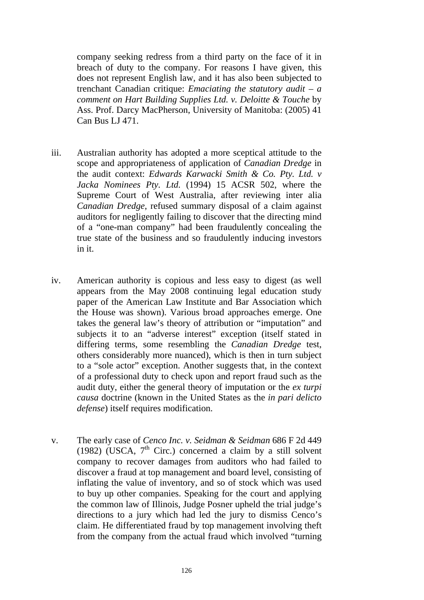company seeking redress from a third party on the face of it in breach of duty to the company. For reasons I have given, this does not represent English law, and it has also been subjected to trenchant Canadian critique: *Emaciating the statutory audit – a comment on Hart Building Supplies Ltd. v. Deloitte & Touche* by Ass. Prof. Darcy MacPherson, University of Manitoba: (2005) 41 Can Bus LJ 471.

- iii. Australian authority has adopted a more sceptical attitude to the scope and appropriateness of application of *Canadian Dredge* in the audit context: *Edwards Karwacki Smith & Co. Pty. Ltd. v Jacka Nominees Pty. Ltd.* (1994) 15 ACSR 502, where the Supreme Court of West Australia, after reviewing inter alia *Canadian Dredge*, refused summary disposal of a claim against auditors for negligently failing to discover that the directing mind of a "one-man company" had been fraudulently concealing the true state of the business and so fraudulently inducing investors in it.
- iv. American authority is copious and less easy to digest (as well appears from the May 2008 continuing legal education study paper of the American Law Institute and Bar Association which the House was shown). Various broad approaches emerge. One takes the general law's theory of attribution or "imputation" and subjects it to an "adverse interest" exception (itself stated in differing terms, some resembling the *Canadian Dredge* test, others considerably more nuanced), which is then in turn subject to a "sole actor" exception. Another suggests that, in the context of a professional duty to check upon and report fraud such as the audit duty, either the general theory of imputation or the *ex turpi causa* doctrine (known in the United States as the *in pari delicto defense*) itself requires modification.
- v. The early case of *Cenco Inc. v. Seidman & Seidman* 686 F 2d 449 (1982) (USCA,  $7<sup>th</sup>$  Circ.) concerned a claim by a still solvent company to recover damages from auditors who had failed to discover a fraud at top management and board level, consisting of inflating the value of inventory, and so of stock which was used to buy up other companies. Speaking for the court and applying the common law of Illinois, Judge Posner upheld the trial judge's directions to a jury which had led the jury to dismiss Cenco's claim. He differentiated fraud by top management involving theft from the company from the actual fraud which involved "turning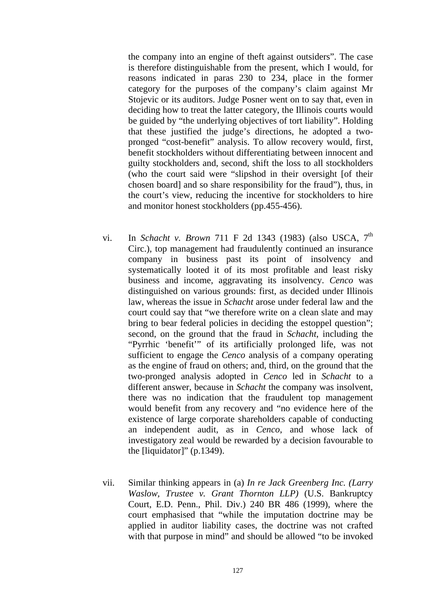the company into an engine of theft against outsiders". The case is therefore distinguishable from the present, which I would, for reasons indicated in paras 230 to 234, place in the former category for the purposes of the company's claim against Mr Stojevic or its auditors. Judge Posner went on to say that, even in deciding how to treat the latter category, the Illinois courts would be guided by "the underlying objectives of tort liability". Holding that these justified the judge's directions, he adopted a twopronged "cost-benefit" analysis. To allow recovery would, first, benefit stockholders without differentiating between innocent and guilty stockholders and, second, shift the loss to all stockholders (who the court said were "slipshod in their oversight [of their chosen board] and so share responsibility for the fraud"), thus, in the court's view, reducing the incentive for stockholders to hire and monitor honest stockholders (pp.455-456).

- vi. In *Schacht v. Brown* 711 F 2d 1343 (1983) (also USCA, 7<sup>th</sup> Circ.), top management had fraudulently continued an insurance company in business past its point of insolvency and systematically looted it of its most profitable and least risky business and income, aggravating its insolvency. *Cenco* was distinguished on various grounds: first, as decided under Illinois law, whereas the issue in *Schacht* arose under federal law and the court could say that "we therefore write on a clean slate and may bring to bear federal policies in deciding the estoppel question"; second, on the ground that the fraud in *Schacht*, including the "Pyrrhic 'benefit'" of its artificially prolonged life, was not sufficient to engage the *Cenco* analysis of a company operating as the engine of fraud on others; and, third, on the ground that the two-pronged analysis adopted in *Cenco* led in *Schacht* to a different answer, because in *Schacht* the company was insolvent, there was no indication that the fraudulent top management would benefit from any recovery and "no evidence here of the existence of large corporate shareholders capable of conducting an independent audit, as in *Cenco*, and whose lack of investigatory zeal would be rewarded by a decision favourable to the [liquidator]" (p.1349).
- vii. Similar thinking appears in (a) *In re Jack Greenberg Inc. (Larry Waslow, Trustee v. Grant Thornton LLP)* (U.S. Bankruptcy Court, E.D. Penn., Phil. Div.) 240 BR 486 (1999), where the court emphasised that "while the imputation doctrine may be applied in auditor liability cases, the doctrine was not crafted with that purpose in mind" and should be allowed "to be invoked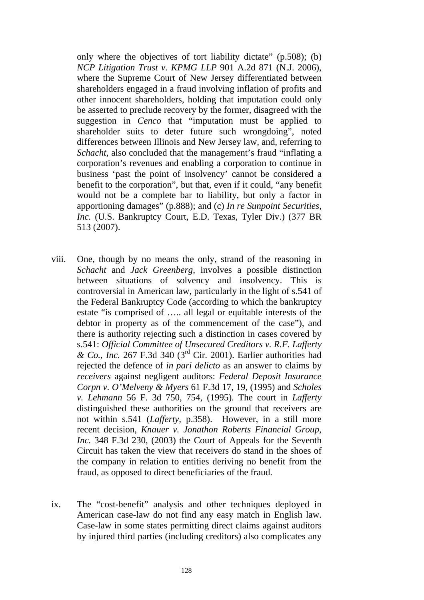only where the objectives of tort liability dictate" (p.508); (b) *NCP Litigation Trust v. KPMG LLP* 901 A.2d 871 (N.J. 2006), where the Supreme Court of New Jersey differentiated between shareholders engaged in a fraud involving inflation of profits and other innocent shareholders, holding that imputation could only be asserted to preclude recovery by the former, disagreed with the suggestion in *Cenco* that "imputation must be applied to shareholder suits to deter future such wrongdoing", noted differences between Illinois and New Jersey law, and, referring to *Schacht*, also concluded that the management's fraud "inflating a corporation's revenues and enabling a corporation to continue in business 'past the point of insolvency' cannot be considered a benefit to the corporation", but that, even if it could, "any benefit would not be a complete bar to liability, but only a factor in apportioning damages" (p.888); and (c) *In re Sunpoint Securities, Inc.* (U.S. Bankruptcy Court, E.D. Texas, Tyler Div.) (377 BR) 513 (2007).

- viii. One, though by no means the only, strand of the reasoning in *Schacht* and *Jack Greenberg*, involves a possible distinction between situations of solvency and insolvency. This is controversial in American law, particularly in the light of s.541 of the Federal Bankruptcy Code (according to which the bankruptcy estate "is comprised of ….. all legal or equitable interests of the debtor in property as of the commencement of the case"), and there is authority rejecting such a distinction in cases covered by s.541: *Official Committee of Unsecured Creditors v. R.F. Lafferty & Co., Inc.* 267 F.3d 340 (3rd Cir. 2001). Earlier authorities had rejected the defence of *in pari delicto* as an answer to claims by *receivers* against negligent auditors: *Federal Deposit Insurance Corpn v. O'Melveny & Myers* 61 F.3d 17, 19, (1995) and *Scholes v. Lehmann* 56 F. 3d 750, 754, (1995). The court in *Lafferty* distinguished these authorities on the ground that receivers are not within s.541 (*Lafferty,* p.358). However, in a still more recent decision, *Knauer v. Jonathon Roberts Financial Group, Inc.* 348 F.3d 230, (2003) the Court of Appeals for the Seventh Circuit has taken the view that receivers do stand in the shoes of the company in relation to entities deriving no benefit from the fraud, as opposed to direct beneficiaries of the fraud.
- ix. The "cost-benefit" analysis and other techniques deployed in American case-law do not find any easy match in English law. Case-law in some states permitting direct claims against auditors by injured third parties (including creditors) also complicates any